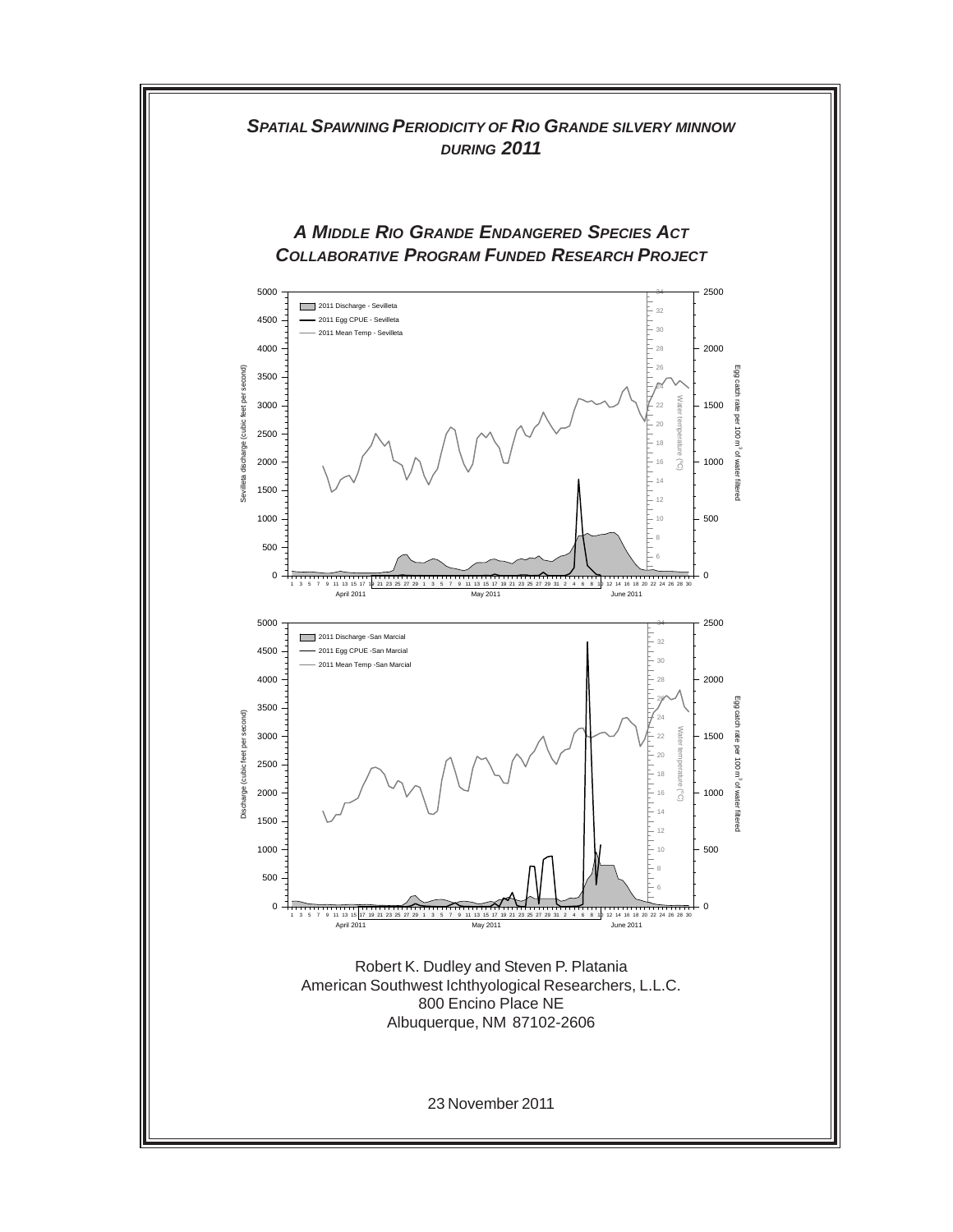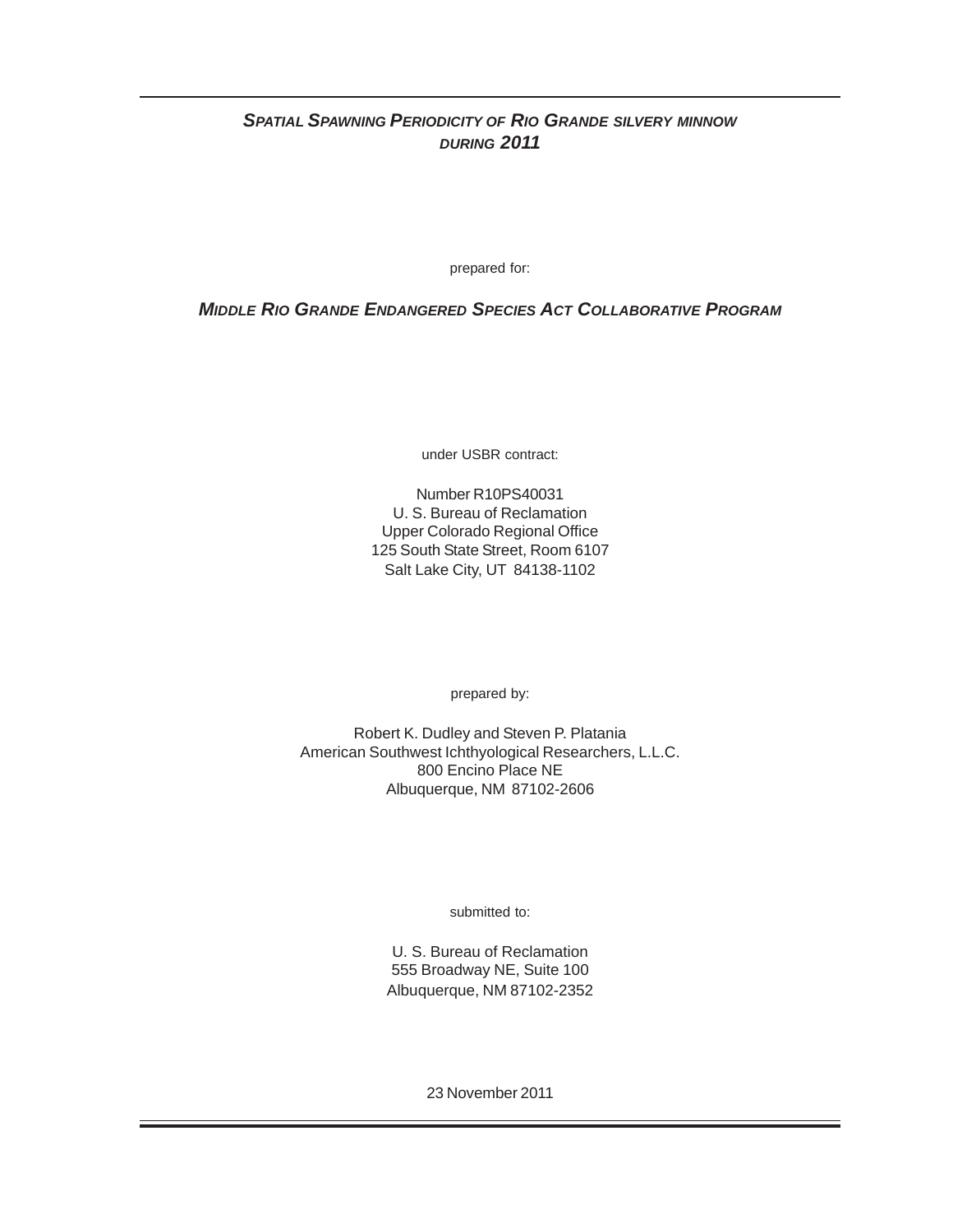# *SPATIAL SPAWNING PERIODICITY OF RIO GRANDE SILVERY MINNOW DURING 2011*

prepared for:

*MIDDLE RIO GRANDE ENDANGERED SPECIES ACT COLLABORATIVE PROGRAM*

under USBR contract:

Number R10PS40031 U. S. Bureau of Reclamation Upper Colorado Regional Office 125 South State Street, Room 6107 Salt Lake City, UT 84138-1102

prepared by:

Robert K. Dudley and Steven P. Platania American Southwest Ichthyological Researchers, L.L.C. 800 Encino Place NE Albuquerque, NM 87102-2606

submitted to:

U. S. Bureau of Reclamation 555 Broadway NE, Suite 100 Albuquerque, NM 87102-2352

23 November 2011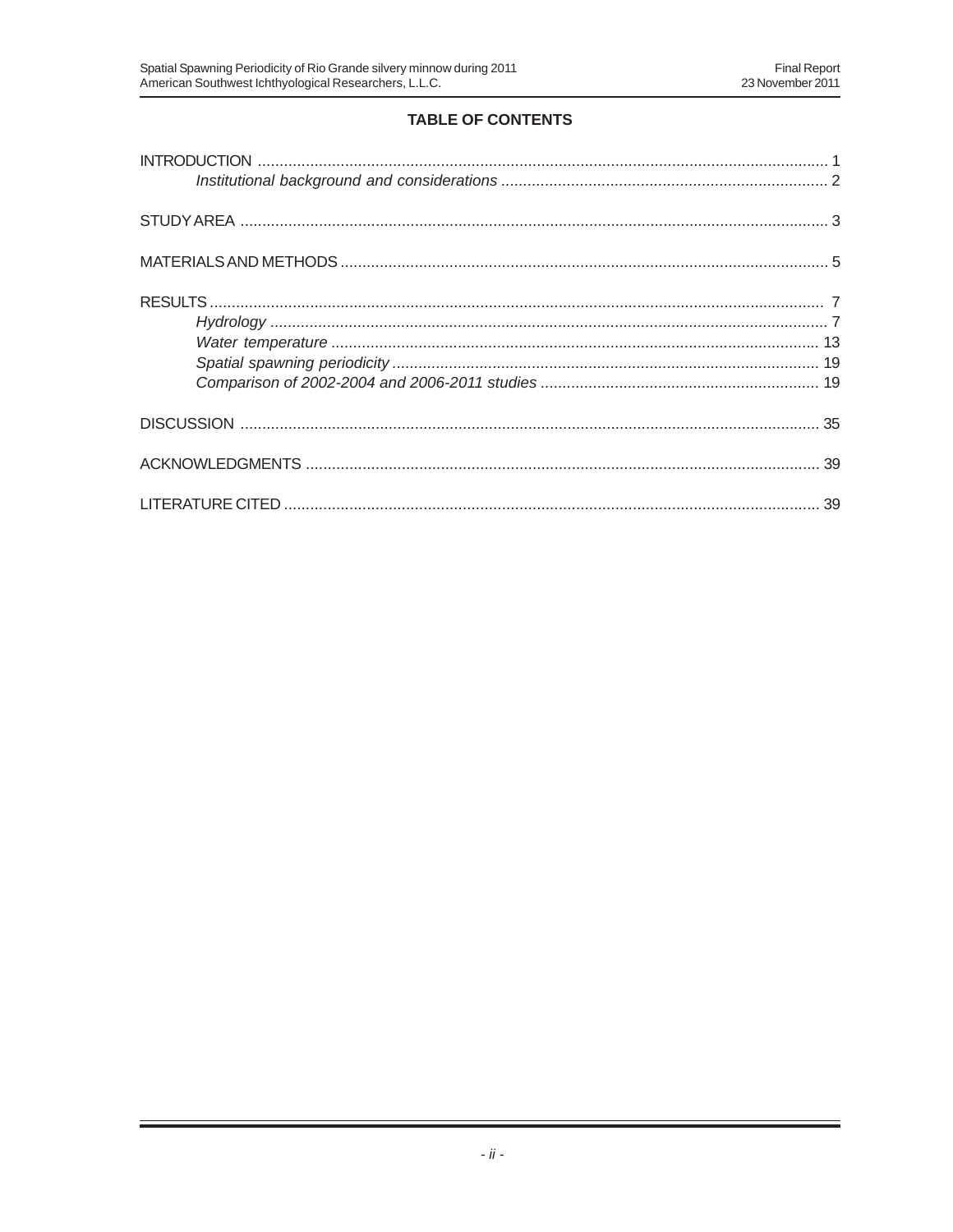# **TABLE OF CONTENTS**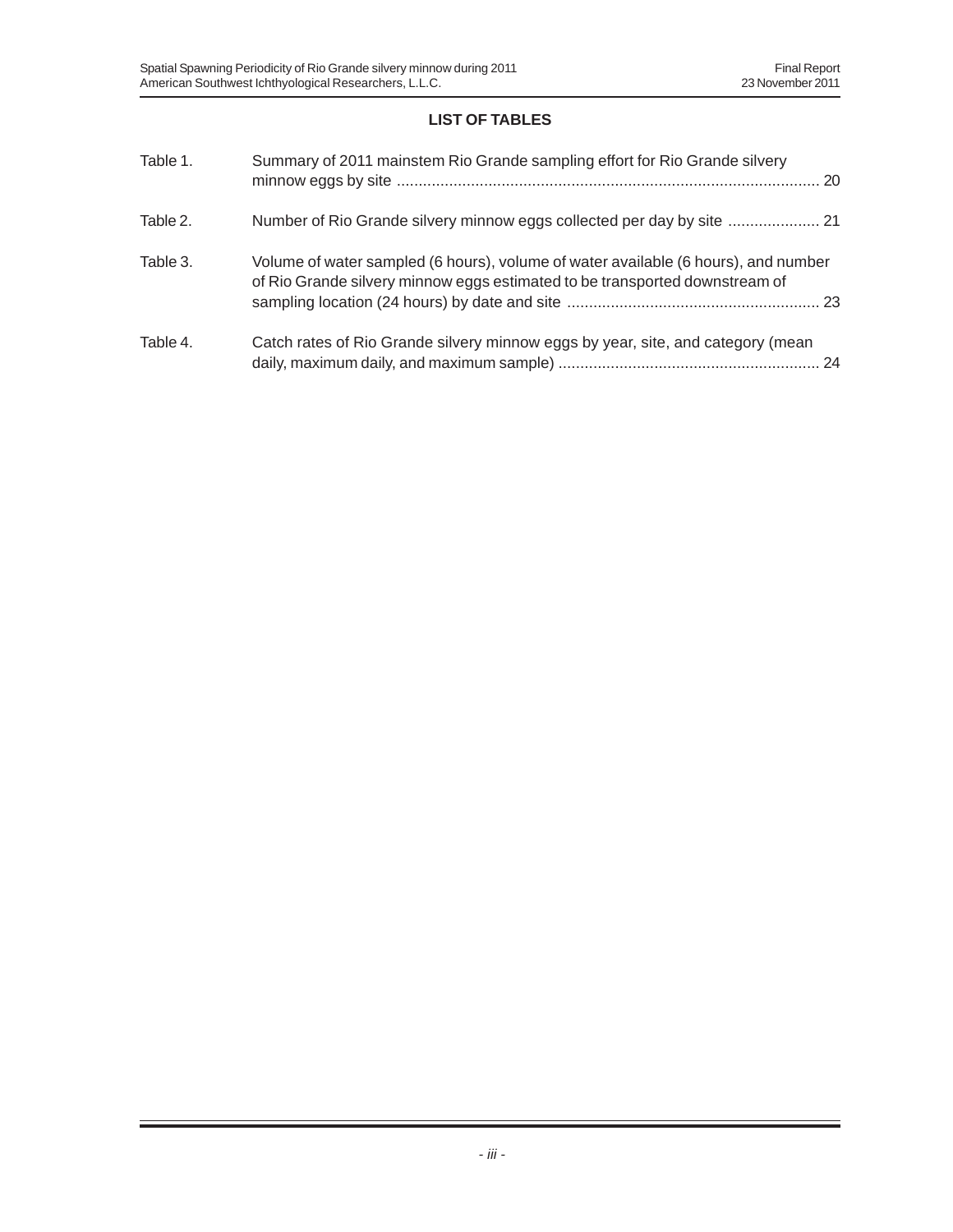# **LIST OF TABLES**

| Table 1. | Summary of 2011 mainstem Rio Grande sampling effort for Rio Grande silvery                                                                                        |
|----------|-------------------------------------------------------------------------------------------------------------------------------------------------------------------|
| Table 2. | Number of Rio Grande silvery minnow eggs collected per day by site  21                                                                                            |
| Table 3. | Volume of water sampled (6 hours), volume of water available (6 hours), and number<br>of Rio Grande silvery minnow eggs estimated to be transported downstream of |
| Table 4. | Catch rates of Rio Grande silvery minnow eggs by year, site, and category (mean                                                                                   |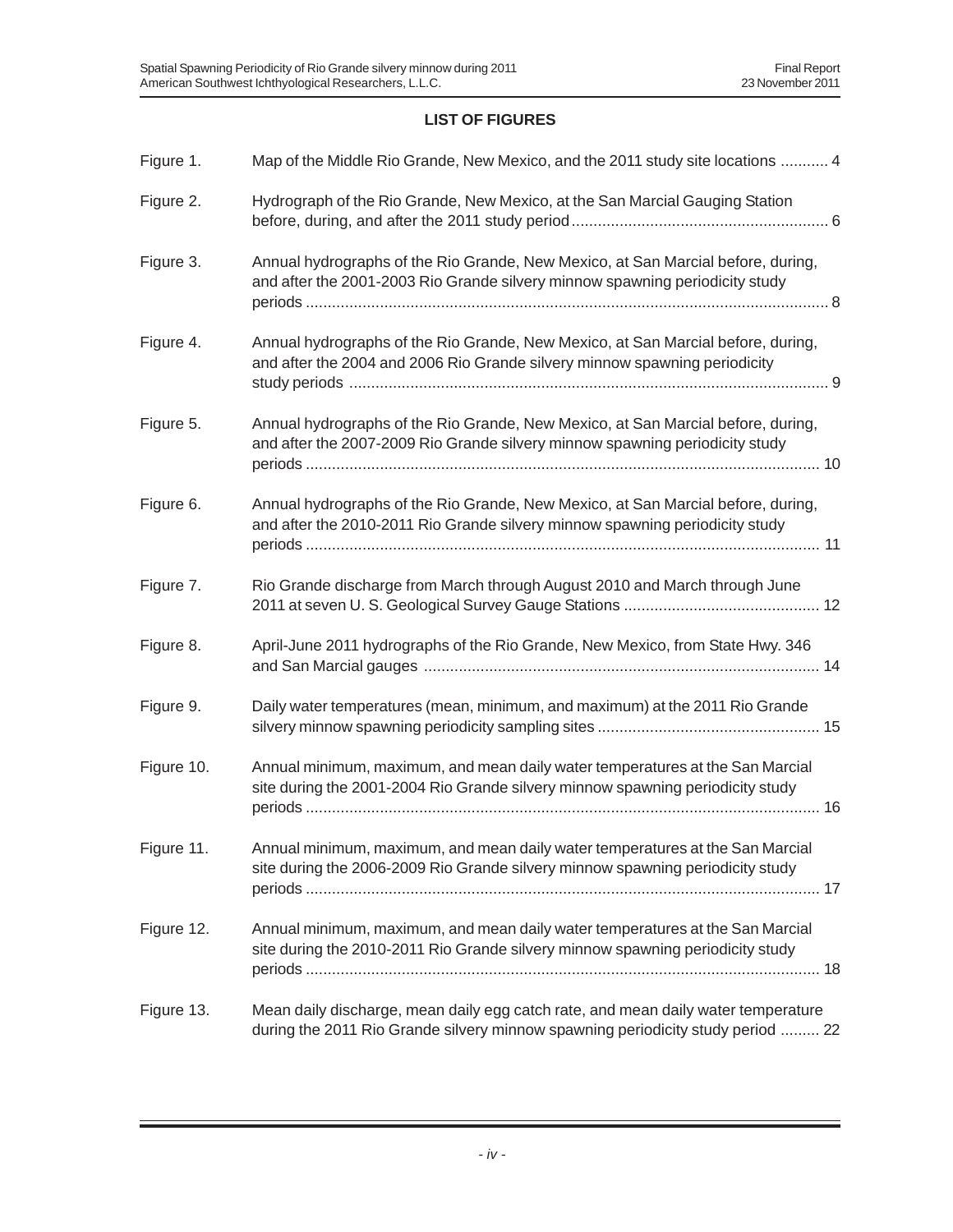# **LIST OF FIGURES**

| Figure 1.  | Map of the Middle Rio Grande, New Mexico, and the 2011 study site locations  4                                                                                       |
|------------|----------------------------------------------------------------------------------------------------------------------------------------------------------------------|
| Figure 2.  | Hydrograph of the Rio Grande, New Mexico, at the San Marcial Gauging Station                                                                                         |
| Figure 3.  | Annual hydrographs of the Rio Grande, New Mexico, at San Marcial before, during,<br>and after the 2001-2003 Rio Grande silvery minnow spawning periodicity study     |
| Figure 4.  | Annual hydrographs of the Rio Grande, New Mexico, at San Marcial before, during,<br>and after the 2004 and 2006 Rio Grande silvery minnow spawning periodicity       |
| Figure 5.  | Annual hydrographs of the Rio Grande, New Mexico, at San Marcial before, during,<br>and after the 2007-2009 Rio Grande silvery minnow spawning periodicity study     |
| Figure 6.  | Annual hydrographs of the Rio Grande, New Mexico, at San Marcial before, during,<br>and after the 2010-2011 Rio Grande silvery minnow spawning periodicity study     |
| Figure 7.  | Rio Grande discharge from March through August 2010 and March through June                                                                                           |
| Figure 8.  | April-June 2011 hydrographs of the Rio Grande, New Mexico, from State Hwy. 346                                                                                       |
| Figure 9.  | Daily water temperatures (mean, minimum, and maximum) at the 2011 Rio Grande                                                                                         |
| Figure 10. | Annual minimum, maximum, and mean daily water temperatures at the San Marcial<br>site during the 2001-2004 Rio Grande silvery minnow spawning periodicity study      |
| Figure 11. | Annual minimum, maximum, and mean daily water temperatures at the San Marcial<br>site during the 2006-2009 Rio Grande silvery minnow spawning periodicity study      |
| Figure 12. | Annual minimum, maximum, and mean daily water temperatures at the San Marcial<br>site during the 2010-2011 Rio Grande silvery minnow spawning periodicity study      |
| Figure 13. | Mean daily discharge, mean daily egg catch rate, and mean daily water temperature<br>during the 2011 Rio Grande silvery minnow spawning periodicity study period  22 |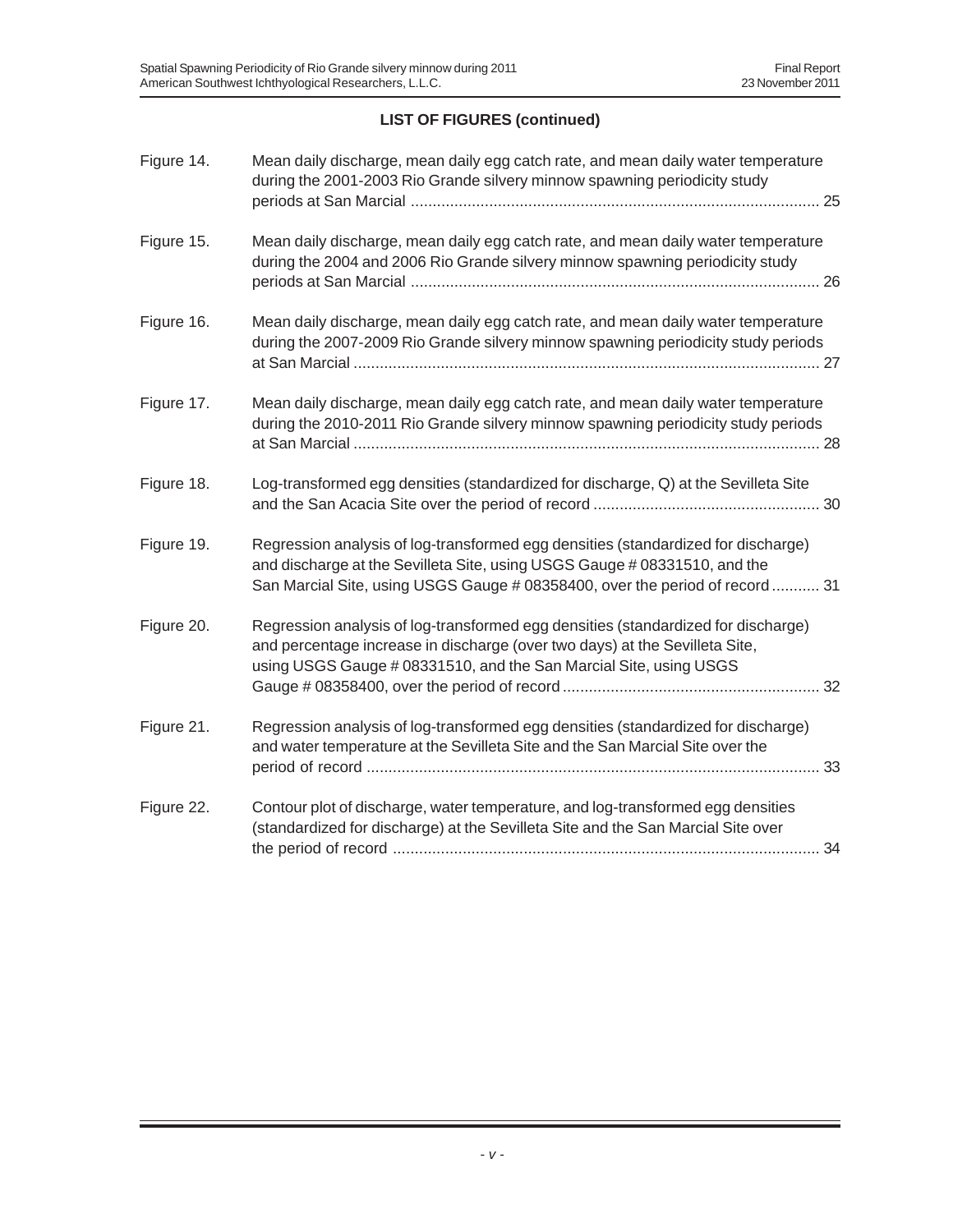# **LIST OF FIGURES (continued)**

| Figure 14. | Mean daily discharge, mean daily egg catch rate, and mean daily water temperature<br>during the 2001-2003 Rio Grande silvery minnow spawning periodicity study                                                                                 |
|------------|------------------------------------------------------------------------------------------------------------------------------------------------------------------------------------------------------------------------------------------------|
| Figure 15. | Mean daily discharge, mean daily egg catch rate, and mean daily water temperature<br>during the 2004 and 2006 Rio Grande silvery minnow spawning periodicity study                                                                             |
| Figure 16. | Mean daily discharge, mean daily egg catch rate, and mean daily water temperature<br>during the 2007-2009 Rio Grande silvery minnow spawning periodicity study periods                                                                         |
| Figure 17. | Mean daily discharge, mean daily egg catch rate, and mean daily water temperature<br>during the 2010-2011 Rio Grande silvery minnow spawning periodicity study periods                                                                         |
| Figure 18. | Log-transformed egg densities (standardized for discharge, Q) at the Sevilleta Site                                                                                                                                                            |
| Figure 19. | Regression analysis of log-transformed egg densities (standardized for discharge)<br>and discharge at the Sevilleta Site, using USGS Gauge # 08331510, and the<br>San Marcial Site, using USGS Gauge # 08358400, over the period of record  31 |
| Figure 20. | Regression analysis of log-transformed egg densities (standardized for discharge)<br>and percentage increase in discharge (over two days) at the Sevilleta Site,<br>using USGS Gauge # 08331510, and the San Marcial Site, using USGS          |
| Figure 21. | Regression analysis of log-transformed egg densities (standardized for discharge)<br>and water temperature at the Sevilleta Site and the San Marcial Site over the                                                                             |
| Figure 22. | Contour plot of discharge, water temperature, and log-transformed egg densities<br>(standardized for discharge) at the Sevilleta Site and the San Marcial Site over                                                                            |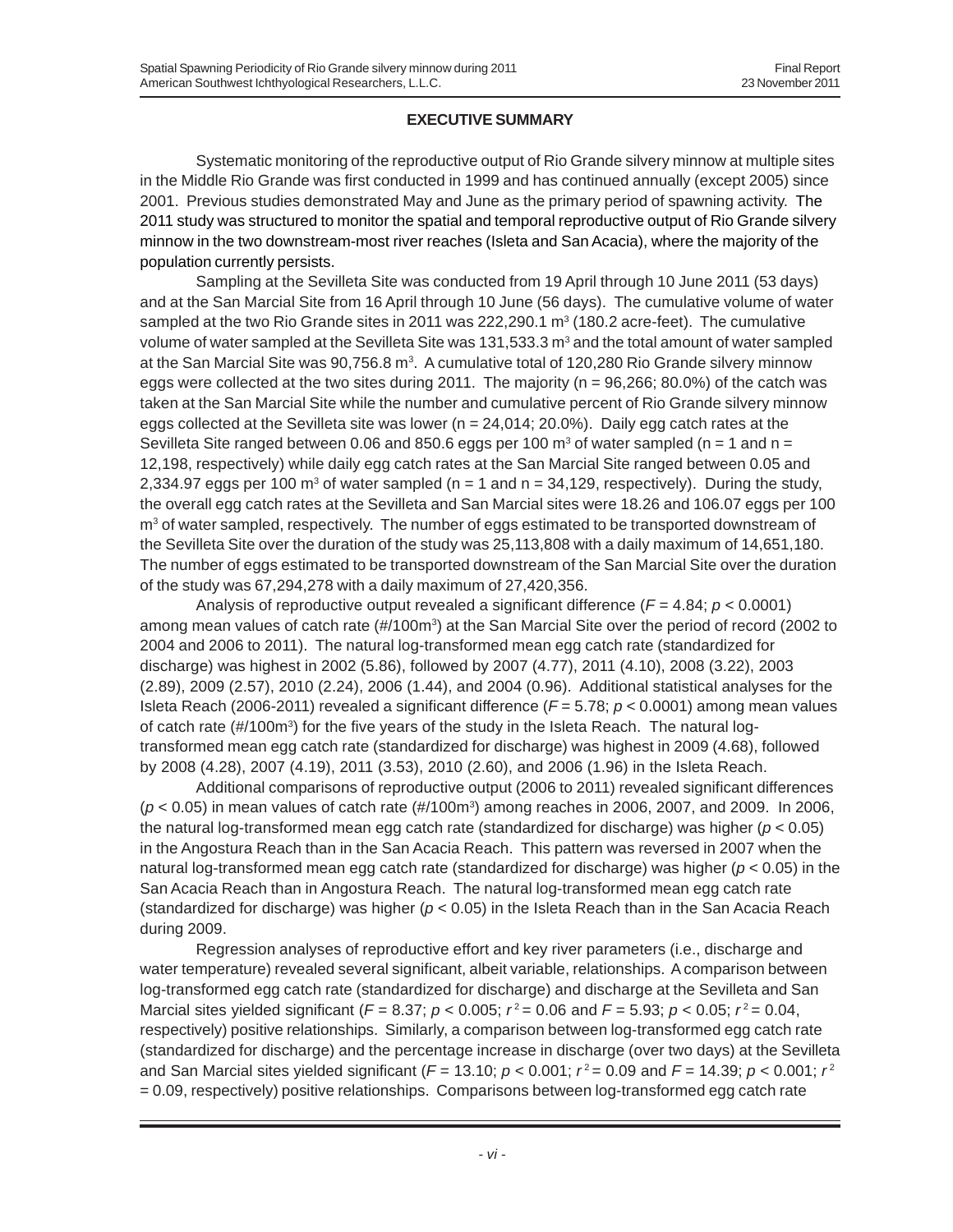# **EXECUTIVE SUMMARY**

Systematic monitoring of the reproductive output of Rio Grande silvery minnow at multiple sites in the Middle Rio Grande was first conducted in 1999 and has continued annually (except 2005) since 2001. Previous studies demonstrated May and June as the primary period of spawning activity. The 2011 study was structured to monitor the spatial and temporal reproductive output of Rio Grande silvery minnow in the two downstream-most river reaches (Isleta and San Acacia), where the majority of the population currently persists.

Sampling at the Sevilleta Site was conducted from 19 April through 10 June 2011 (53 days) and at the San Marcial Site from 16 April through 10 June (56 days). The cumulative volume of water sampled at the two Rio Grande sites in 2011 was 222,290.1  $m^3$  (180.2 acre-feet). The cumulative volume of water sampled at the Sevilleta Site was 131,533.3  $\text{m}^{_3}$  and the total amount of water sampled at the San Marcial Site was 90,756.8 m $^{\rm 3}$ . A cumulative total of 120,280 Rio Grande silvery minnow eggs were collected at the two sites during 2011. The majority ( $n = 96,266$ ; 80.0%) of the catch was taken at the San Marcial Site while the number and cumulative percent of Rio Grande silvery minnow eggs collected at the Sevilleta site was lower ( $n = 24,014$ ; 20.0%). Daily egg catch rates at the Sevilleta Site ranged between 0.06 and 850.6 eggs per 100  $\text{m}^3$  of water sampled (n = 1 and n = 12,198, respectively) while daily egg catch rates at the San Marcial Site ranged between 0.05 and 2,334.97 eggs per 100 m<sup>3</sup> of water sampled (n = 1 and n = 34,129, respectively). During the study, the overall egg catch rates at the Sevilleta and San Marcial sites were 18.26 and 106.07 eggs per 100 m3 of water sampled, respectively. The number of eggs estimated to be transported downstream of the Sevilleta Site over the duration of the study was 25,113,808 with a daily maximum of 14,651,180. The number of eggs estimated to be transported downstream of the San Marcial Site over the duration of the study was 67,294,278 with a daily maximum of 27,420,356.

Analysis of reproductive output revealed a significant difference (*F* = 4.84; *p* < 0.0001) among mean values of catch rate (#/100m<sup>3</sup>) at the San Marcial Site over the period of record (2002 to 2004 and 2006 to 2011). The natural log-transformed mean egg catch rate (standardized for discharge) was highest in 2002 (5.86), followed by 2007 (4.77), 2011 (4.10), 2008 (3.22), 2003 (2.89), 2009 (2.57), 2010 (2.24), 2006 (1.44), and 2004 (0.96). Additional statistical analyses for the Isleta Reach (2006-2011) revealed a significant difference (*F* = 5.78; *p* < 0.0001) among mean values of catch rate (#/100m<sup>3</sup>) for the five years of the study in the Isleta Reach. The natural logtransformed mean egg catch rate (standardized for discharge) was highest in 2009 (4.68), followed by 2008 (4.28), 2007 (4.19), 2011 (3.53), 2010 (2.60), and 2006 (1.96) in the Isleta Reach.

Additional comparisons of reproductive output (2006 to 2011) revealed significant differences ( $p$  < 0.05) in mean values of catch rate (#/100m<sup>3</sup>) among reaches in 2006, 2007, and 2009. In 2006, the natural log-transformed mean egg catch rate (standardized for discharge) was higher (*p* < 0.05) in the Angostura Reach than in the San Acacia Reach. This pattern was reversed in 2007 when the natural log-transformed mean egg catch rate (standardized for discharge) was higher (*p* < 0.05) in the San Acacia Reach than in Angostura Reach. The natural log-transformed mean egg catch rate (standardized for discharge) was higher (*p* < 0.05) in the Isleta Reach than in the San Acacia Reach during 2009.

Regression analyses of reproductive effort and key river parameters (i.e., discharge and water temperature) revealed several significant, albeit variable, relationships. A comparison between log-transformed egg catch rate (standardized for discharge) and discharge at the Sevilleta and San Marcial sites yielded significant ( $F = 8.37$ ;  $p < 0.005$ ;  $r^2 = 0.06$  and  $F = 5.93$ ;  $p < 0.05$ ;  $r^2 = 0.04$ , respectively) positive relationships. Similarly, a comparison between log-transformed egg catch rate (standardized for discharge) and the percentage increase in discharge (over two days) at the Sevilleta and San Marcial sites yielded significant ( $F = 13.10$ ;  $p < 0.001$ ;  $r^2 = 0.09$  and  $F = 14.39$ ;  $p < 0.001$ ;  $r^2$ = 0.09, respectively) positive relationships. Comparisons between log-transformed egg catch rate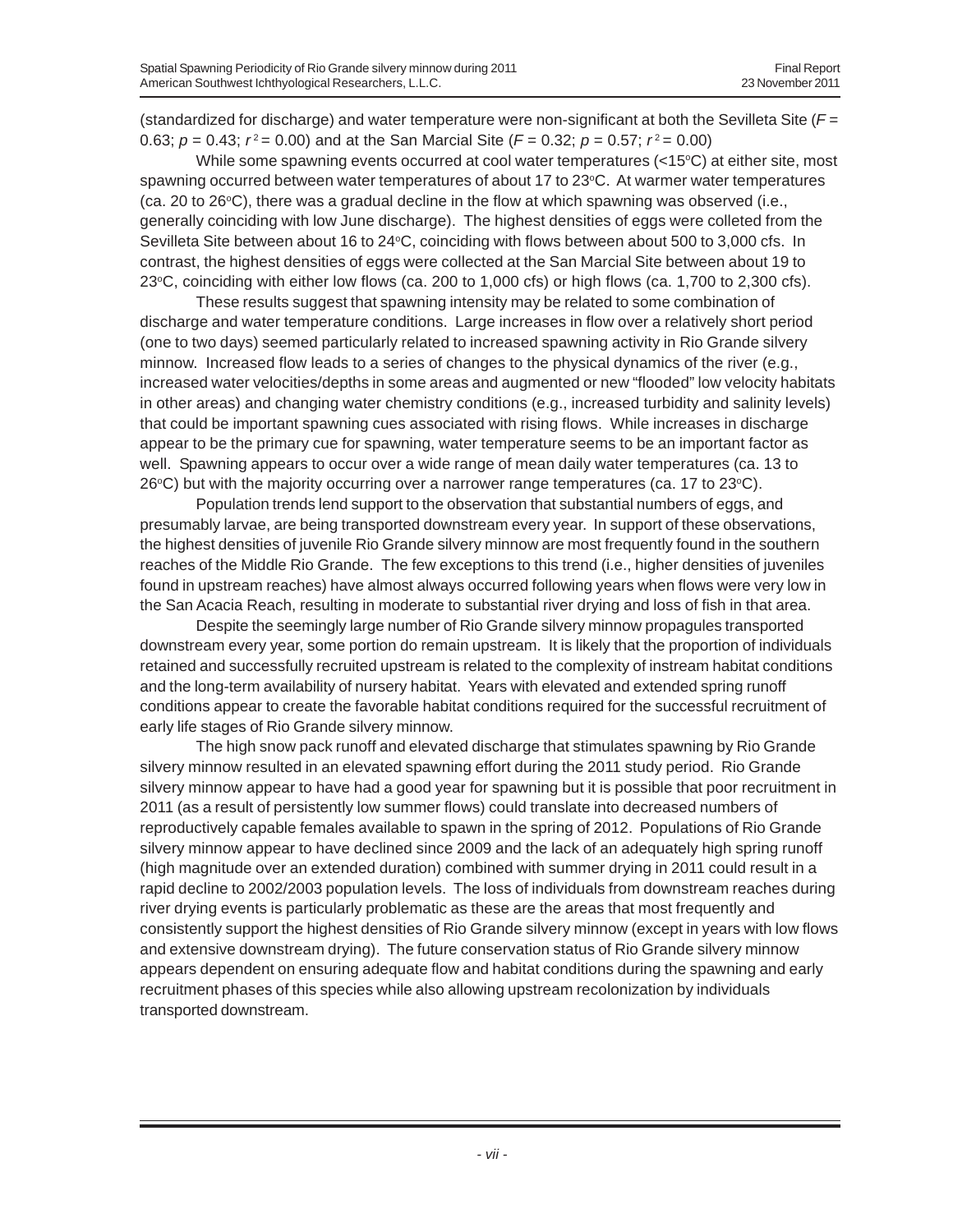(standardized for discharge) and water temperature were non-significant at both the Sevilleta Site (*F* = 0.63;  $p = 0.43$ ;  $r^2 = 0.00$ ) and at the San Marcial Site ( $F = 0.32$ ;  $p = 0.57$ ;  $r^2 = 0.00$ )

While some spawning events occurred at cool water temperatures  $(<15^{\circ}C$ ) at either site, most spawning occurred between water temperatures of about 17 to 23°C. At warmer water temperatures  $(ca, 20$  to  $26^{\circ}$ C), there was a gradual decline in the flow at which spawning was observed (i.e., generally coinciding with low June discharge). The highest densities of eggs were colleted from the Sevilleta Site between about 16 to 24°C, coinciding with flows between about 500 to 3,000 cfs. In contrast, the highest densities of eggs were collected at the San Marcial Site between about 19 to 23°C, coinciding with either low flows (ca. 200 to 1,000 cfs) or high flows (ca. 1,700 to 2,300 cfs).

These results suggest that spawning intensity may be related to some combination of discharge and water temperature conditions. Large increases in flow over a relatively short period (one to two days) seemed particularly related to increased spawning activity in Rio Grande silvery minnow. Increased flow leads to a series of changes to the physical dynamics of the river (e.g., increased water velocities/depths in some areas and augmented or new "flooded" low velocity habitats in other areas) and changing water chemistry conditions (e.g., increased turbidity and salinity levels) that could be important spawning cues associated with rising flows. While increases in discharge appear to be the primary cue for spawning, water temperature seems to be an important factor as well. Spawning appears to occur over a wide range of mean daily water temperatures (ca. 13 to  $26^{\circ}$ C) but with the majority occurring over a narrower range temperatures (ca. 17 to 23 $^{\circ}$ C).

Population trends lend support to the observation that substantial numbers of eggs, and presumably larvae, are being transported downstream every year. In support of these observations, the highest densities of juvenile Rio Grande silvery minnow are most frequently found in the southern reaches of the Middle Rio Grande. The few exceptions to this trend (i.e., higher densities of juveniles found in upstream reaches) have almost always occurred following years when flows were very low in the San Acacia Reach, resulting in moderate to substantial river drying and loss of fish in that area.

Despite the seemingly large number of Rio Grande silvery minnow propagules transported downstream every year, some portion do remain upstream. It is likely that the proportion of individuals retained and successfully recruited upstream is related to the complexity of instream habitat conditions and the long-term availability of nursery habitat. Years with elevated and extended spring runoff conditions appear to create the favorable habitat conditions required for the successful recruitment of early life stages of Rio Grande silvery minnow.

The high snow pack runoff and elevated discharge that stimulates spawning by Rio Grande silvery minnow resulted in an elevated spawning effort during the 2011 study period. Rio Grande silvery minnow appear to have had a good year for spawning but it is possible that poor recruitment in 2011 (as a result of persistently low summer flows) could translate into decreased numbers of reproductively capable females available to spawn in the spring of 2012. Populations of Rio Grande silvery minnow appear to have declined since 2009 and the lack of an adequately high spring runoff (high magnitude over an extended duration) combined with summer drying in 2011 could result in a rapid decline to 2002/2003 population levels. The loss of individuals from downstream reaches during river drying events is particularly problematic as these are the areas that most frequently and consistently support the highest densities of Rio Grande silvery minnow (except in years with low flows and extensive downstream drying). The future conservation status of Rio Grande silvery minnow appears dependent on ensuring adequate flow and habitat conditions during the spawning and early recruitment phases of this species while also allowing upstream recolonization by individuals transported downstream.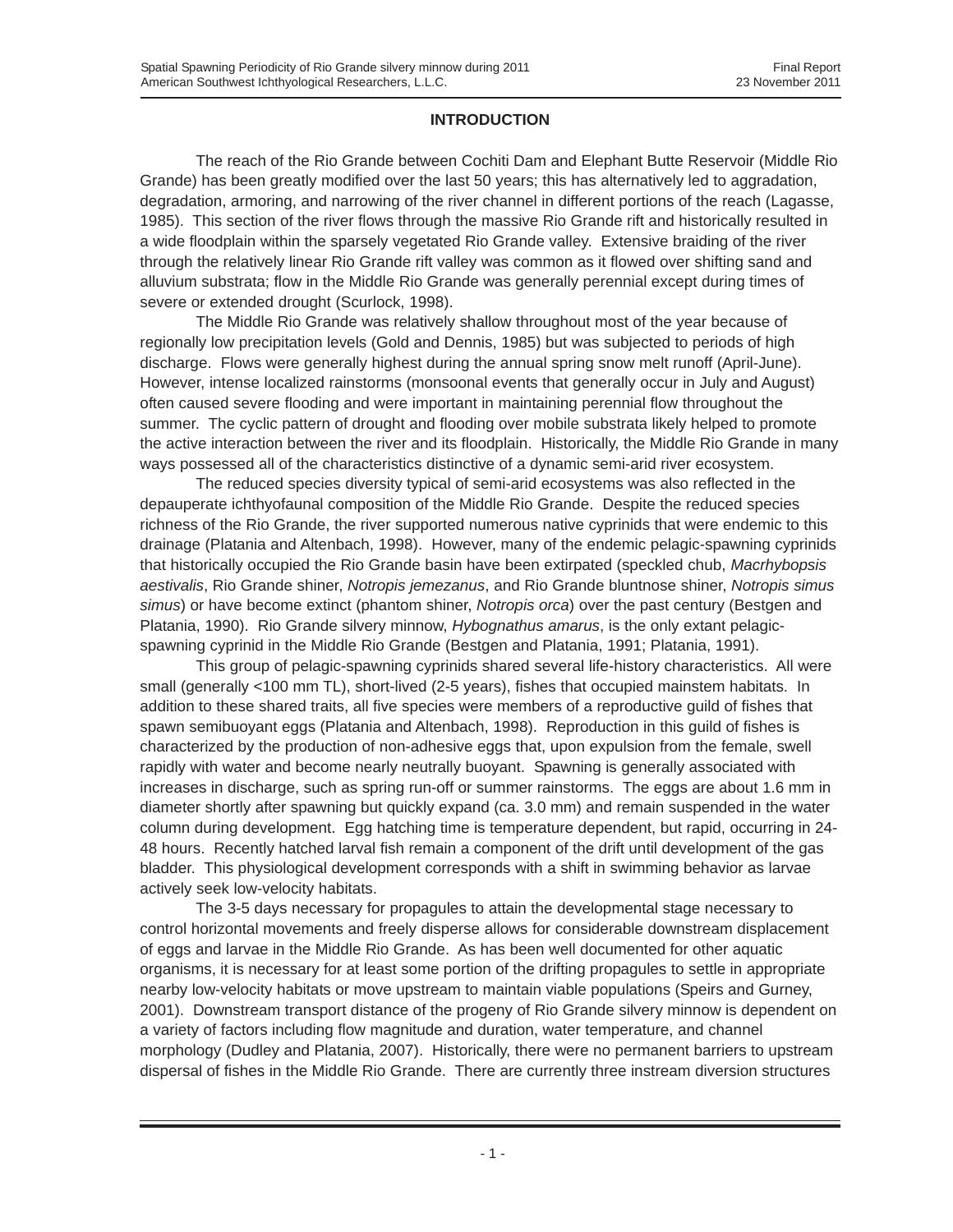# **INTRODUCTION**

The reach of the Rio Grande between Cochiti Dam and Elephant Butte Reservoir (Middle Rio Grande) has been greatly modified over the last 50 years; this has alternatively led to aggradation, degradation, armoring, and narrowing of the river channel in different portions of the reach (Lagasse, 1985). This section of the river flows through the massive Rio Grande rift and historically resulted in a wide floodplain within the sparsely vegetated Rio Grande valley. Extensive braiding of the river through the relatively linear Rio Grande rift valley was common as it flowed over shifting sand and alluvium substrata; flow in the Middle Rio Grande was generally perennial except during times of severe or extended drought (Scurlock, 1998).

The Middle Rio Grande was relatively shallow throughout most of the year because of regionally low precipitation levels (Gold and Dennis, 1985) but was subjected to periods of high discharge. Flows were generally highest during the annual spring snow melt runoff (April-June). However, intense localized rainstorms (monsoonal events that generally occur in July and August) often caused severe flooding and were important in maintaining perennial flow throughout the summer. The cyclic pattern of drought and flooding over mobile substrata likely helped to promote the active interaction between the river and its floodplain. Historically, the Middle Rio Grande in many ways possessed all of the characteristics distinctive of a dynamic semi-arid river ecosystem.

The reduced species diversity typical of semi-arid ecosystems was also reflected in the depauperate ichthyofaunal composition of the Middle Rio Grande. Despite the reduced species richness of the Rio Grande, the river supported numerous native cyprinids that were endemic to this drainage (Platania and Altenbach, 1998). However, many of the endemic pelagic-spawning cyprinids that historically occupied the Rio Grande basin have been extirpated (speckled chub, *Macrhybopsis aestivalis*, Rio Grande shiner, *Notropis jemezanus*, and Rio Grande bluntnose shiner, *Notropis simus simus*) or have become extinct (phantom shiner, *Notropis orca*) over the past century (Bestgen and Platania, 1990). Rio Grande silvery minnow, *Hybognathus amarus*, is the only extant pelagicspawning cyprinid in the Middle Rio Grande (Bestgen and Platania, 1991; Platania, 1991).

This group of pelagic-spawning cyprinids shared several life-history characteristics. All were small (generally <100 mm TL), short-lived (2-5 years), fishes that occupied mainstem habitats. In addition to these shared traits, all five species were members of a reproductive guild of fishes that spawn semibuoyant eggs (Platania and Altenbach, 1998). Reproduction in this guild of fishes is characterized by the production of non-adhesive eggs that, upon expulsion from the female, swell rapidly with water and become nearly neutrally buoyant. Spawning is generally associated with increases in discharge, such as spring run-off or summer rainstorms. The eggs are about 1.6 mm in diameter shortly after spawning but quickly expand (ca. 3.0 mm) and remain suspended in the water column during development. Egg hatching time is temperature dependent, but rapid, occurring in 24- 48 hours. Recently hatched larval fish remain a component of the drift until development of the gas bladder. This physiological development corresponds with a shift in swimming behavior as larvae actively seek low-velocity habitats.

The 3-5 days necessary for propagules to attain the developmental stage necessary to control horizontal movements and freely disperse allows for considerable downstream displacement of eggs and larvae in the Middle Rio Grande. As has been well documented for other aquatic organisms, it is necessary for at least some portion of the drifting propagules to settle in appropriate nearby low-velocity habitats or move upstream to maintain viable populations (Speirs and Gurney, 2001). Downstream transport distance of the progeny of Rio Grande silvery minnow is dependent on a variety of factors including flow magnitude and duration, water temperature, and channel morphology (Dudley and Platania, 2007). Historically, there were no permanent barriers to upstream dispersal of fishes in the Middle Rio Grande. There are currently three instream diversion structures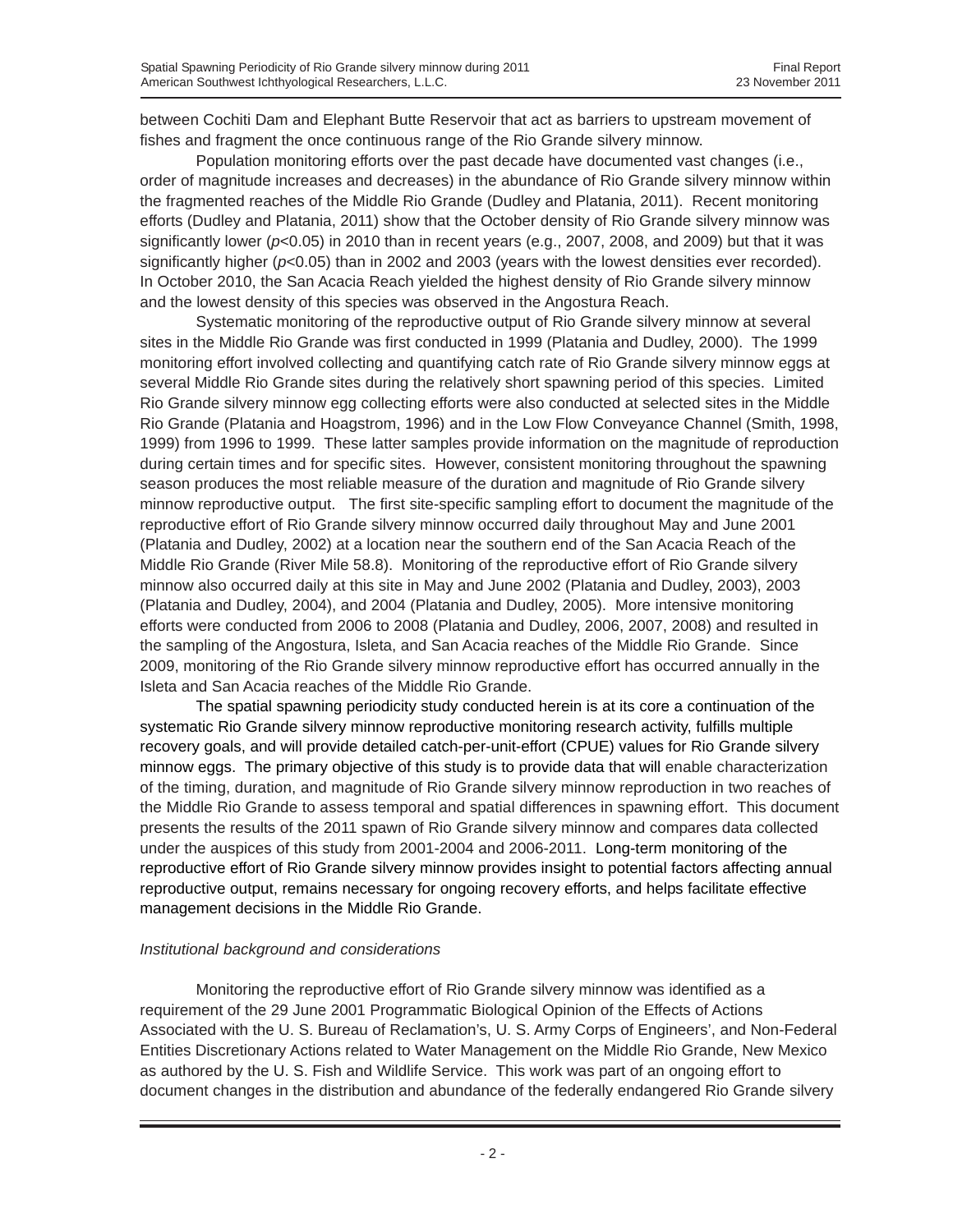between Cochiti Dam and Elephant Butte Reservoir that act as barriers to upstream movement of fishes and fragment the once continuous range of the Rio Grande silvery minnow.

Population monitoring efforts over the past decade have documented vast changes (i.e., order of magnitude increases and decreases) in the abundance of Rio Grande silvery minnow within the fragmented reaches of the Middle Rio Grande (Dudley and Platania, 2011). Recent monitoring efforts (Dudley and Platania, 2011) show that the October density of Rio Grande silvery minnow was significantly lower (*p*<0.05) in 2010 than in recent years (e.g., 2007, 2008, and 2009) but that it was significantly higher ( $p<0.05$ ) than in 2002 and 2003 (years with the lowest densities ever recorded). In October 2010, the San Acacia Reach yielded the highest density of Rio Grande silvery minnow and the lowest density of this species was observed in the Angostura Reach.

Systematic monitoring of the reproductive output of Rio Grande silvery minnow at several sites in the Middle Rio Grande was first conducted in 1999 (Platania and Dudley, 2000). The 1999 monitoring effort involved collecting and quantifying catch rate of Rio Grande silvery minnow eggs at several Middle Rio Grande sites during the relatively short spawning period of this species. Limited Rio Grande silvery minnow egg collecting efforts were also conducted at selected sites in the Middle Rio Grande (Platania and Hoagstrom, 1996) and in the Low Flow Conveyance Channel (Smith, 1998, 1999) from 1996 to 1999. These latter samples provide information on the magnitude of reproduction during certain times and for specific sites. However, consistent monitoring throughout the spawning season produces the most reliable measure of the duration and magnitude of Rio Grande silvery minnow reproductive output. The first site-specific sampling effort to document the magnitude of the reproductive effort of Rio Grande silvery minnow occurred daily throughout May and June 2001 (Platania and Dudley, 2002) at a location near the southern end of the San Acacia Reach of the Middle Rio Grande (River Mile 58.8). Monitoring of the reproductive effort of Rio Grande silvery minnow also occurred daily at this site in May and June 2002 (Platania and Dudley, 2003), 2003 (Platania and Dudley, 2004), and 2004 (Platania and Dudley, 2005). More intensive monitoring efforts were conducted from 2006 to 2008 (Platania and Dudley, 2006, 2007, 2008) and resulted in the sampling of the Angostura, Isleta, and San Acacia reaches of the Middle Rio Grande. Since 2009, monitoring of the Rio Grande silvery minnow reproductive effort has occurred annually in the Isleta and San Acacia reaches of the Middle Rio Grande.

The spatial spawning periodicity study conducted herein is at its core a continuation of the systematic Rio Grande silvery minnow reproductive monitoring research activity, fulfills multiple recovery goals, and will provide detailed catch-per-unit-effort (CPUE) values for Rio Grande silvery minnow eggs. The primary objective of this study is to provide data that will enable characterization of the timing, duration, and magnitude of Rio Grande silvery minnow reproduction in two reaches of the Middle Rio Grande to assess temporal and spatial differences in spawning effort. This document presents the results of the 2011 spawn of Rio Grande silvery minnow and compares data collected under the auspices of this study from 2001-2004 and 2006-2011. Long-term monitoring of the reproductive effort of Rio Grande silvery minnow provides insight to potential factors affecting annual reproductive output, remains necessary for ongoing recovery efforts, and helps facilitate effective management decisions in the Middle Rio Grande.

# *Institutional background and considerations*

Monitoring the reproductive effort of Rio Grande silvery minnow was identified as a requirement of the 29 June 2001 Programmatic Biological Opinion of the Effects of Actions Associated with the U. S. Bureau of Reclamation's, U. S. Army Corps of Engineers', and Non-Federal Entities Discretionary Actions related to Water Management on the Middle Rio Grande, New Mexico as authored by the U. S. Fish and Wildlife Service. This work was part of an ongoing effort to document changes in the distribution and abundance of the federally endangered Rio Grande silvery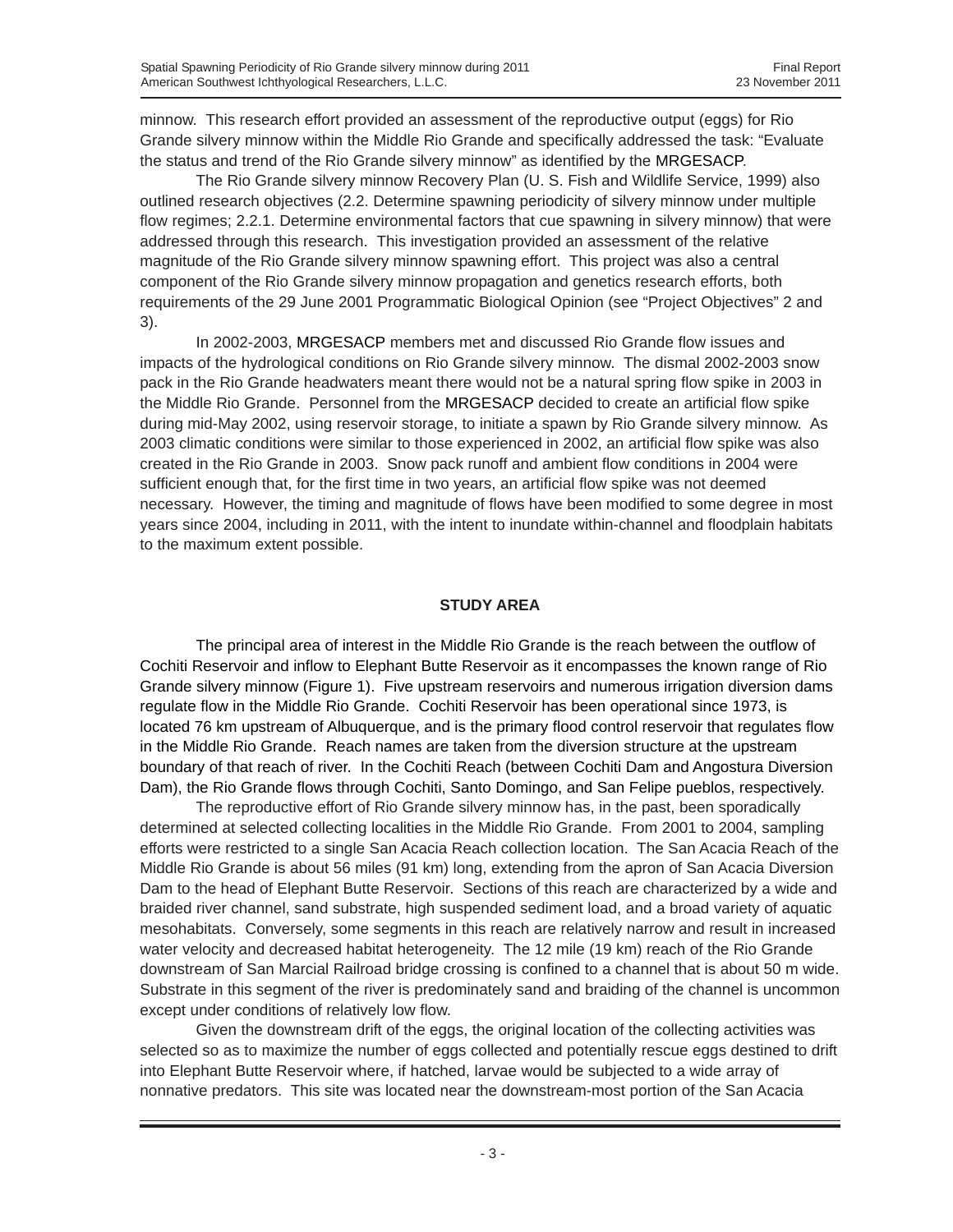minnow. This research effort provided an assessment of the reproductive output (eggs) for Rio Grande silvery minnow within the Middle Rio Grande and specifically addressed the task: "Evaluate the status and trend of the Rio Grande silvery minnow" as identified by the MRGESACP.

The Rio Grande silvery minnow Recovery Plan (U. S. Fish and Wildlife Service, 1999) also outlined research objectives (2.2. Determine spawning periodicity of silvery minnow under multiple flow regimes; 2.2.1. Determine environmental factors that cue spawning in silvery minnow) that were addressed through this research. This investigation provided an assessment of the relative magnitude of the Rio Grande silvery minnow spawning effort. This project was also a central component of the Rio Grande silvery minnow propagation and genetics research efforts, both requirements of the 29 June 2001 Programmatic Biological Opinion (see "Project Objectives" 2 and 3).

In 2002-2003, MRGESACP members met and discussed Rio Grande flow issues and impacts of the hydrological conditions on Rio Grande silvery minnow. The dismal 2002-2003 snow pack in the Rio Grande headwaters meant there would not be a natural spring flow spike in 2003 in the Middle Rio Grande. Personnel from the MRGESACP decided to create an artificial flow spike during mid-May 2002, using reservoir storage, to initiate a spawn by Rio Grande silvery minnow. As 2003 climatic conditions were similar to those experienced in 2002, an artificial flow spike was also created in the Rio Grande in 2003. Snow pack runoff and ambient flow conditions in 2004 were sufficient enough that, for the first time in two years, an artificial flow spike was not deemed necessary. However, the timing and magnitude of flows have been modified to some degree in most years since 2004, including in 2011, with the intent to inundate within-channel and floodplain habitats to the maximum extent possible.

#### **STUDY AREA**

The principal area of interest in the Middle Rio Grande is the reach between the outflow of Cochiti Reservoir and inflow to Elephant Butte Reservoir as it encompasses the known range of Rio Grande silvery minnow (Figure 1). Five upstream reservoirs and numerous irrigation diversion dams regulate flow in the Middle Rio Grande. Cochiti Reservoir has been operational since 1973, is located 76 km upstream of Albuquerque, and is the primary flood control reservoir that regulates flow in the Middle Rio Grande. Reach names are taken from the diversion structure at the upstream boundary of that reach of river. In the Cochiti Reach (between Cochiti Dam and Angostura Diversion Dam), the Rio Grande flows through Cochiti, Santo Domingo, and San Felipe pueblos, respectively.

The reproductive effort of Rio Grande silvery minnow has, in the past, been sporadically determined at selected collecting localities in the Middle Rio Grande. From 2001 to 2004, sampling efforts were restricted to a single San Acacia Reach collection location. The San Acacia Reach of the Middle Rio Grande is about 56 miles (91 km) long, extending from the apron of San Acacia Diversion Dam to the head of Elephant Butte Reservoir. Sections of this reach are characterized by a wide and braided river channel, sand substrate, high suspended sediment load, and a broad variety of aquatic mesohabitats. Conversely, some segments in this reach are relatively narrow and result in increased water velocity and decreased habitat heterogeneity. The 12 mile (19 km) reach of the Rio Grande downstream of San Marcial Railroad bridge crossing is confined to a channel that is about 50 m wide. Substrate in this segment of the river is predominately sand and braiding of the channel is uncommon except under conditions of relatively low flow.

Given the downstream drift of the eggs, the original location of the collecting activities was selected so as to maximize the number of eggs collected and potentially rescue eggs destined to drift into Elephant Butte Reservoir where, if hatched, larvae would be subjected to a wide array of nonnative predators. This site was located near the downstream-most portion of the San Acacia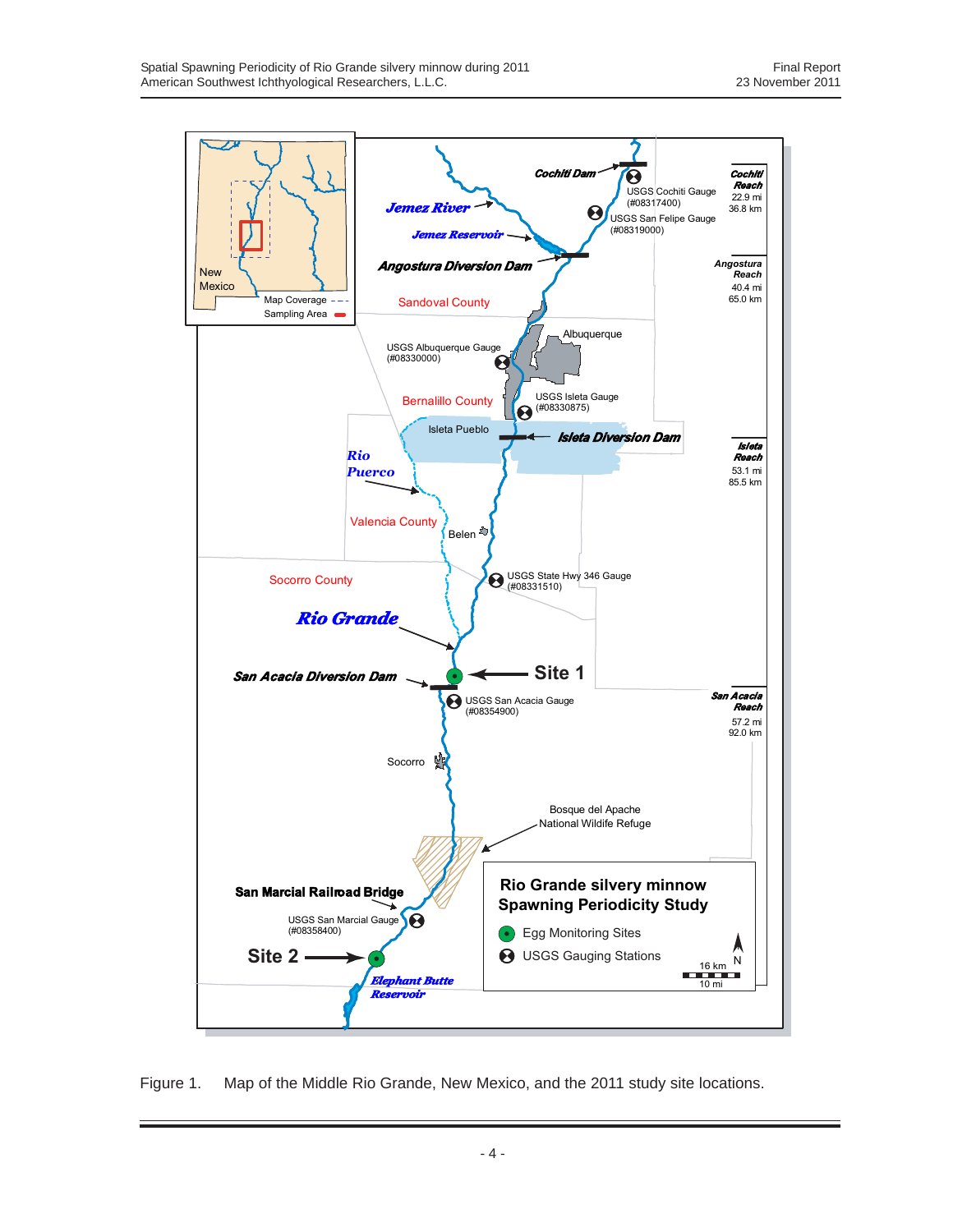

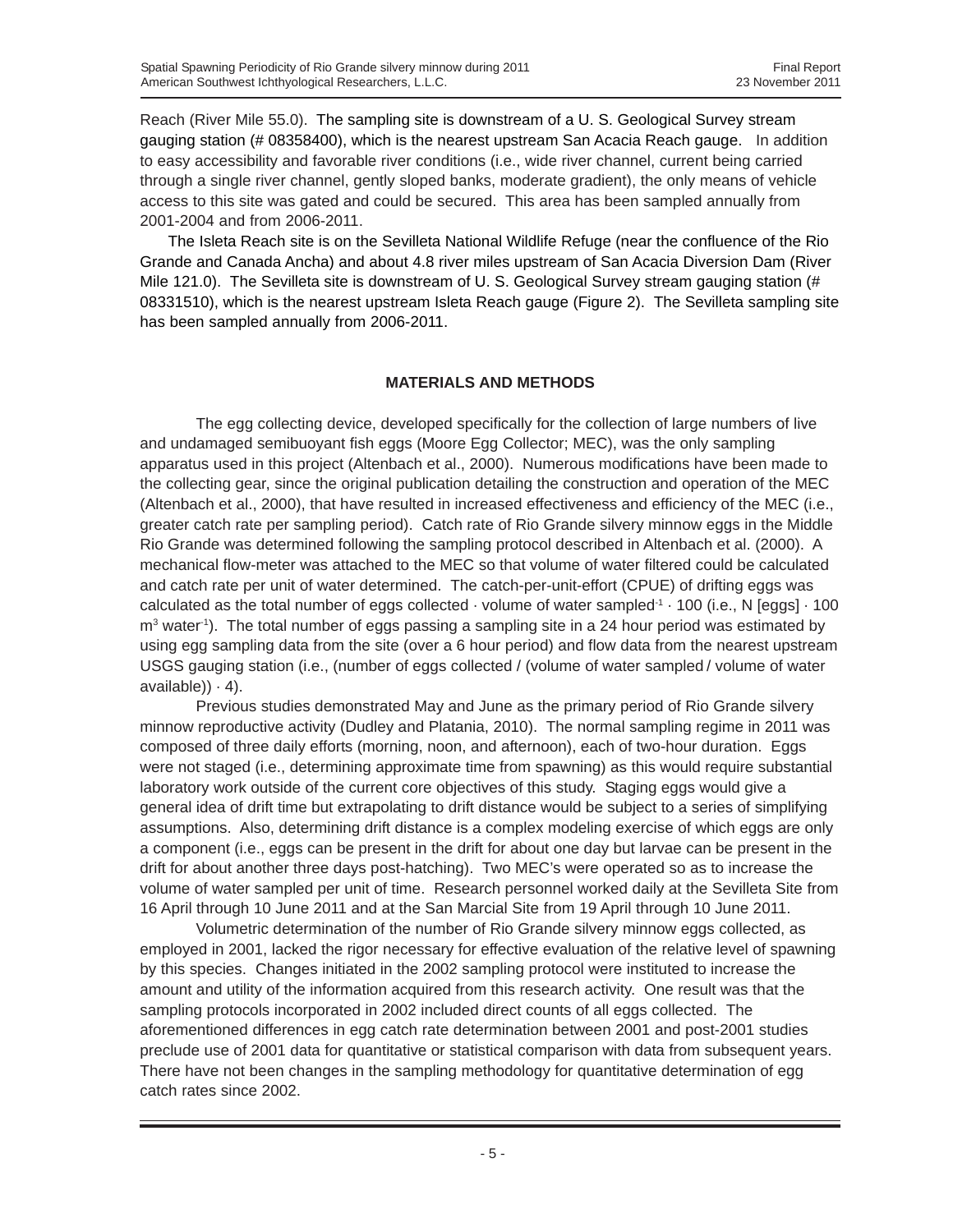Reach (River Mile 55.0). The sampling site is downstream of a U. S. Geological Survey stream gauging station (# 08358400), which is the nearest upstream San Acacia Reach gauge. In addition to easy accessibility and favorable river conditions (i.e., wide river channel, current being carried through a single river channel, gently sloped banks, moderate gradient), the only means of vehicle access to this site was gated and could be secured. This area has been sampled annually from 2001-2004 and from 2006-2011.

The Isleta Reach site is on the Sevilleta National Wildlife Refuge (near the confluence of the Rio Grande and Canada Ancha) and about 4.8 river miles upstream of San Acacia Diversion Dam (River Mile 121.0). The Sevilleta site is downstream of U. S. Geological Survey stream gauging station (# 08331510), which is the nearest upstream Isleta Reach gauge (Figure 2). The Sevilleta sampling site has been sampled annually from 2006-2011.

## **MATERIALS AND METHODS**

The egg collecting device, developed specifically for the collection of large numbers of live and undamaged semibuoyant fish eggs (Moore Egg Collector; MEC), was the only sampling apparatus used in this project (Altenbach et al., 2000). Numerous modifications have been made to the collecting gear, since the original publication detailing the construction and operation of the MEC (Altenbach et al., 2000), that have resulted in increased effectiveness and efficiency of the MEC (i.e., greater catch rate per sampling period). Catch rate of Rio Grande silvery minnow eggs in the Middle Rio Grande was determined following the sampling protocol described in Altenbach et al. (2000). A mechanical flow-meter was attached to the MEC so that volume of water filtered could be calculated and catch rate per unit of water determined. The catch-per-unit-effort (CPUE) of drifting eggs was calculated as the total number of eggs collected  $\cdot$  volume of water sampled $\cdot$   $\cdot$  100 (i.e., N [eggs]  $\cdot$  100  $m<sup>3</sup>$  water<sup>-1</sup>). The total number of eggs passing a sampling site in a 24 hour period was estimated by using egg sampling data from the site (over a 6 hour period) and flow data from the nearest upstream USGS gauging station (i.e., (number of eggs collected / (volume of water sampled / volume of water  $available)$ )  $\cdot$  4).

Previous studies demonstrated May and June as the primary period of Rio Grande silvery minnow reproductive activity (Dudley and Platania, 2010). The normal sampling regime in 2011 was composed of three daily efforts (morning, noon, and afternoon), each of two-hour duration. Eggs were not staged (i.e., determining approximate time from spawning) as this would require substantial laboratory work outside of the current core objectives of this study. Staging eggs would give a general idea of drift time but extrapolating to drift distance would be subject to a series of simplifying assumptions. Also, determining drift distance is a complex modeling exercise of which eggs are only a component (i.e., eggs can be present in the drift for about one day but larvae can be present in the drift for about another three days post-hatching). Two MEC's were operated so as to increase the volume of water sampled per unit of time. Research personnel worked daily at the Sevilleta Site from 16 April through 10 June 2011 and at the San Marcial Site from 19 April through 10 June 2011.

Volumetric determination of the number of Rio Grande silvery minnow eggs collected, as employed in 2001, lacked the rigor necessary for effective evaluation of the relative level of spawning by this species. Changes initiated in the 2002 sampling protocol were instituted to increase the amount and utility of the information acquired from this research activity. One result was that the sampling protocols incorporated in 2002 included direct counts of all eggs collected. The aforementioned differences in egg catch rate determination between 2001 and post-2001 studies preclude use of 2001 data for quantitative or statistical comparison with data from subsequent years. There have not been changes in the sampling methodology for quantitative determination of egg catch rates since 2002.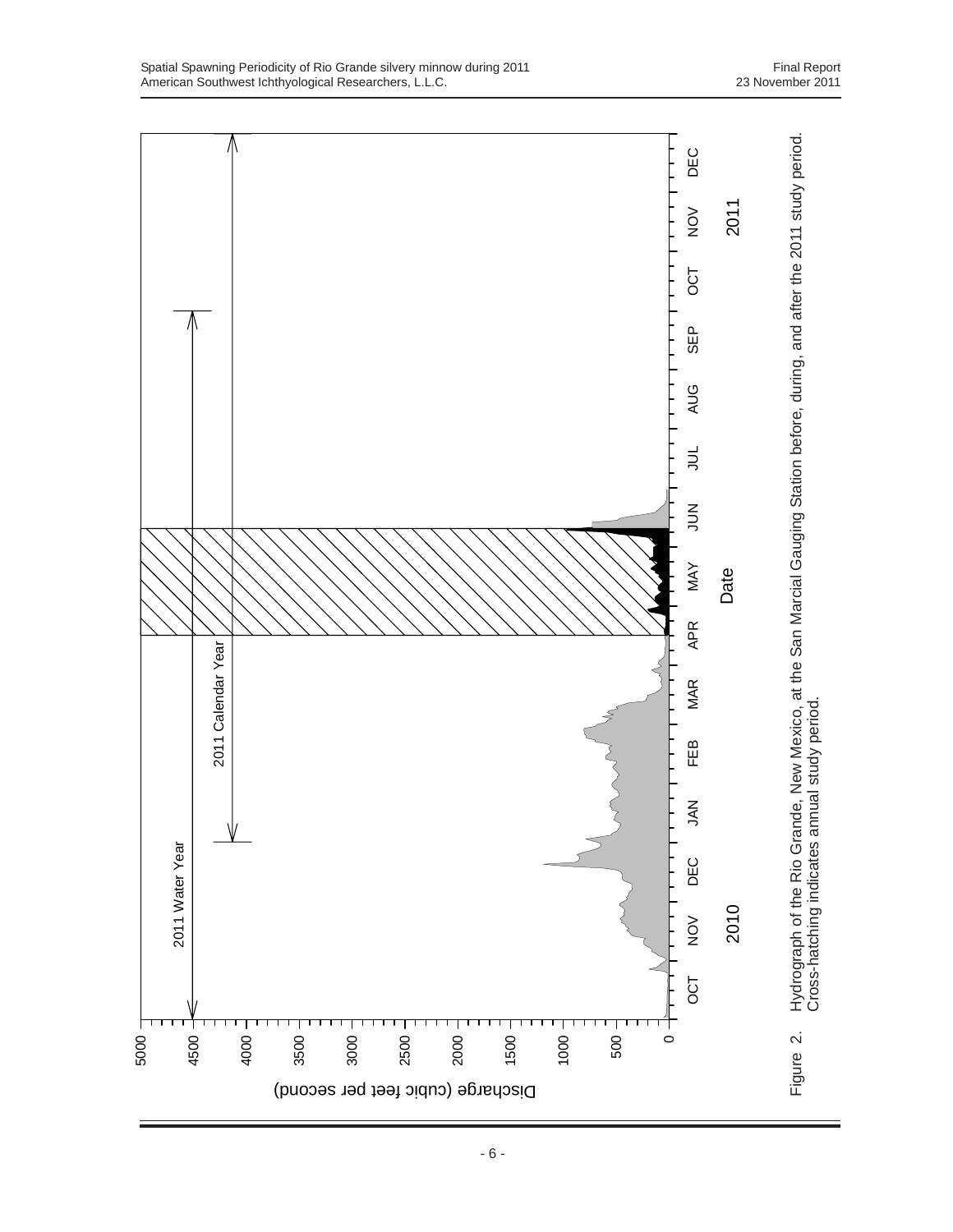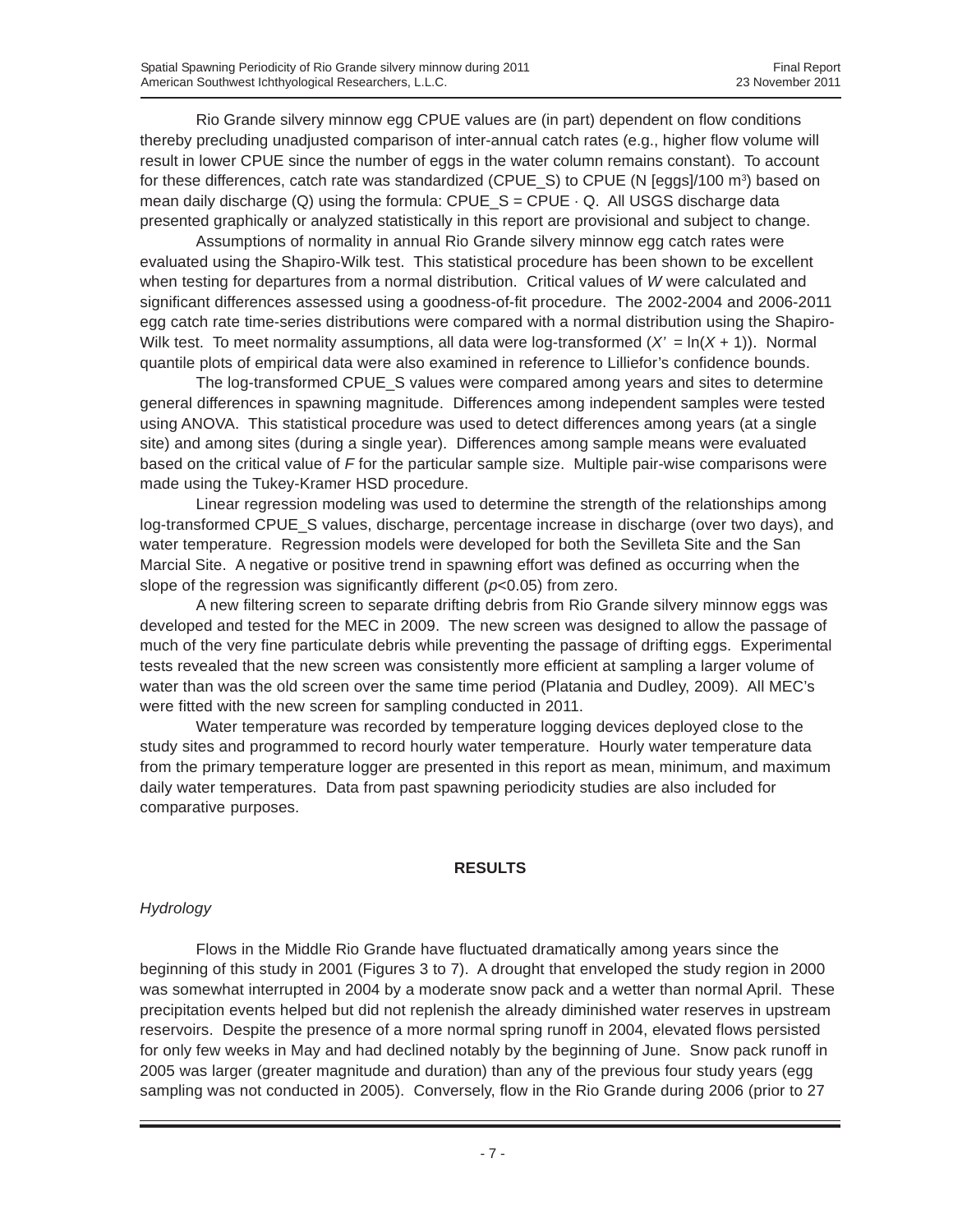Rio Grande silvery minnow egg CPUE values are (in part) dependent on flow conditions thereby precluding unadjusted comparison of inter-annual catch rates (e.g., higher flow volume will result in lower CPUE since the number of eggs in the water column remains constant). To account for these differences, catch rate was standardized (CPUE\_S) to CPUE (N [eggs]/100 m<sup>3</sup>) based on mean daily discharge  $(Q)$  using the formula: CPUE  $S = CPUE \cdot Q$ . All USGS discharge data presented graphically or analyzed statistically in this report are provisional and subject to change.

Assumptions of normality in annual Rio Grande silvery minnow egg catch rates were evaluated using the Shapiro-Wilk test. This statistical procedure has been shown to be excellent when testing for departures from a normal distribution. Critical values of *W* were calculated and significant differences assessed using a goodness-of-fit procedure. The 2002-2004 and 2006-2011 egg catch rate time-series distributions were compared with a normal distribution using the Shapiro-Wilk test. To meet normality assumptions, all data were log-transformed  $(X' = \ln(X + 1))$ . Normal quantile plots of empirical data were also examined in reference to Lilliefor's confidence bounds.

The log-transformed CPUE\_S values were compared among years and sites to determine general differences in spawning magnitude. Differences among independent samples were tested using ANOVA. This statistical procedure was used to detect differences among years (at a single site) and among sites (during a single year). Differences among sample means were evaluated based on the critical value of *F* for the particular sample size. Multiple pair-wise comparisons were made using the Tukey-Kramer HSD procedure.

Linear regression modeling was used to determine the strength of the relationships among log-transformed CPUE\_S values, discharge, percentage increase in discharge (over two days), and water temperature. Regression models were developed for both the Sevilleta Site and the San Marcial Site. A negative or positive trend in spawning effort was defined as occurring when the slope of the regression was significantly different (*p*<0.05) from zero.

A new filtering screen to separate drifting debris from Rio Grande silvery minnow eggs was developed and tested for the MEC in 2009. The new screen was designed to allow the passage of much of the very fine particulate debris while preventing the passage of drifting eggs. Experimental tests revealed that the new screen was consistently more efficient at sampling a larger volume of water than was the old screen over the same time period (Platania and Dudley, 2009). All MEC's were fitted with the new screen for sampling conducted in 2011.

Water temperature was recorded by temperature logging devices deployed close to the study sites and programmed to record hourly water temperature. Hourly water temperature data from the primary temperature logger are presented in this report as mean, minimum, and maximum daily water temperatures. Data from past spawning periodicity studies are also included for comparative purposes.

#### **RESULTS**

# *Hydrology*

Flows in the Middle Rio Grande have fluctuated dramatically among years since the beginning of this study in 2001 (Figures 3 to 7). A drought that enveloped the study region in 2000 was somewhat interrupted in 2004 by a moderate snow pack and a wetter than normal April. These precipitation events helped but did not replenish the already diminished water reserves in upstream reservoirs. Despite the presence of a more normal spring runoff in 2004, elevated flows persisted for only few weeks in May and had declined notably by the beginning of June. Snow pack runoff in 2005 was larger (greater magnitude and duration) than any of the previous four study years (egg sampling was not conducted in 2005). Conversely, flow in the Rio Grande during 2006 (prior to 27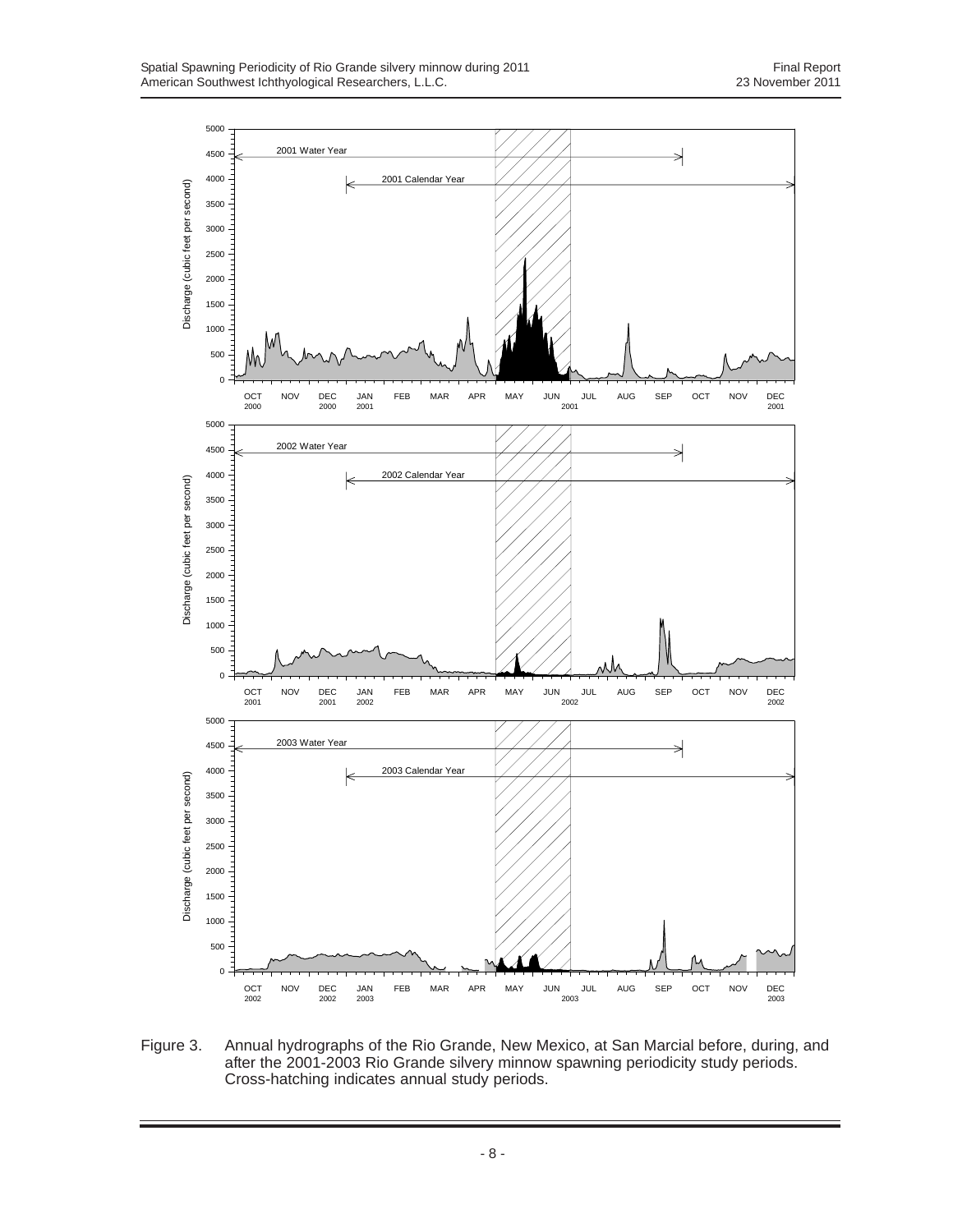

Figure 3. Annual hydrographs of the Rio Grande, New Mexico, at San Marcial before, during, and after the 2001-2003 Rio Grande silvery minnow spawning periodicity study periods. Cross-hatching indicates annual study periods.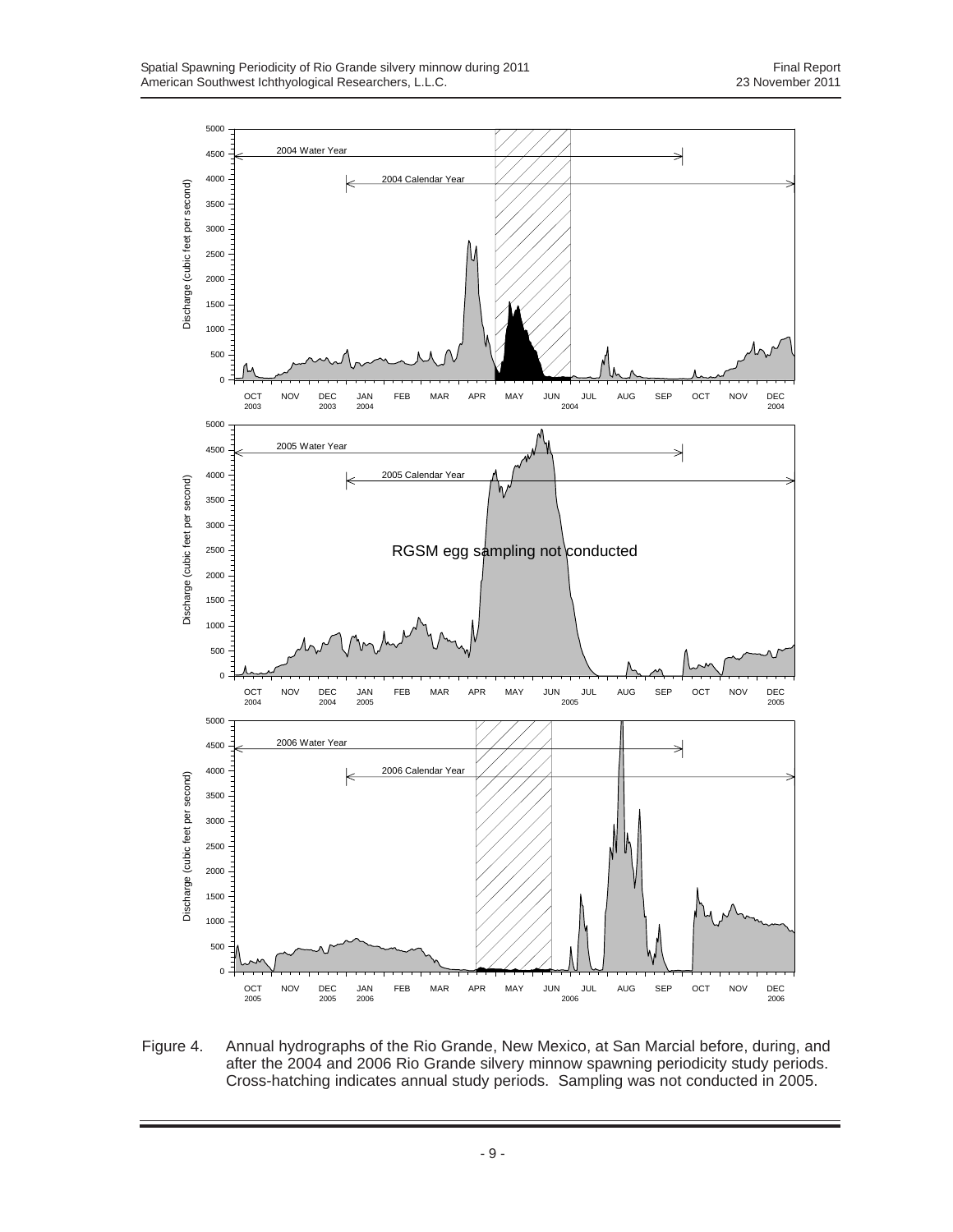

Figure 4. Annual hydrographs of the Rio Grande, New Mexico, at San Marcial before, during, and after the 2004 and 2006 Rio Grande silvery minnow spawning periodicity study periods. Cross-hatching indicates annual study periods. Sampling was not conducted in 2005.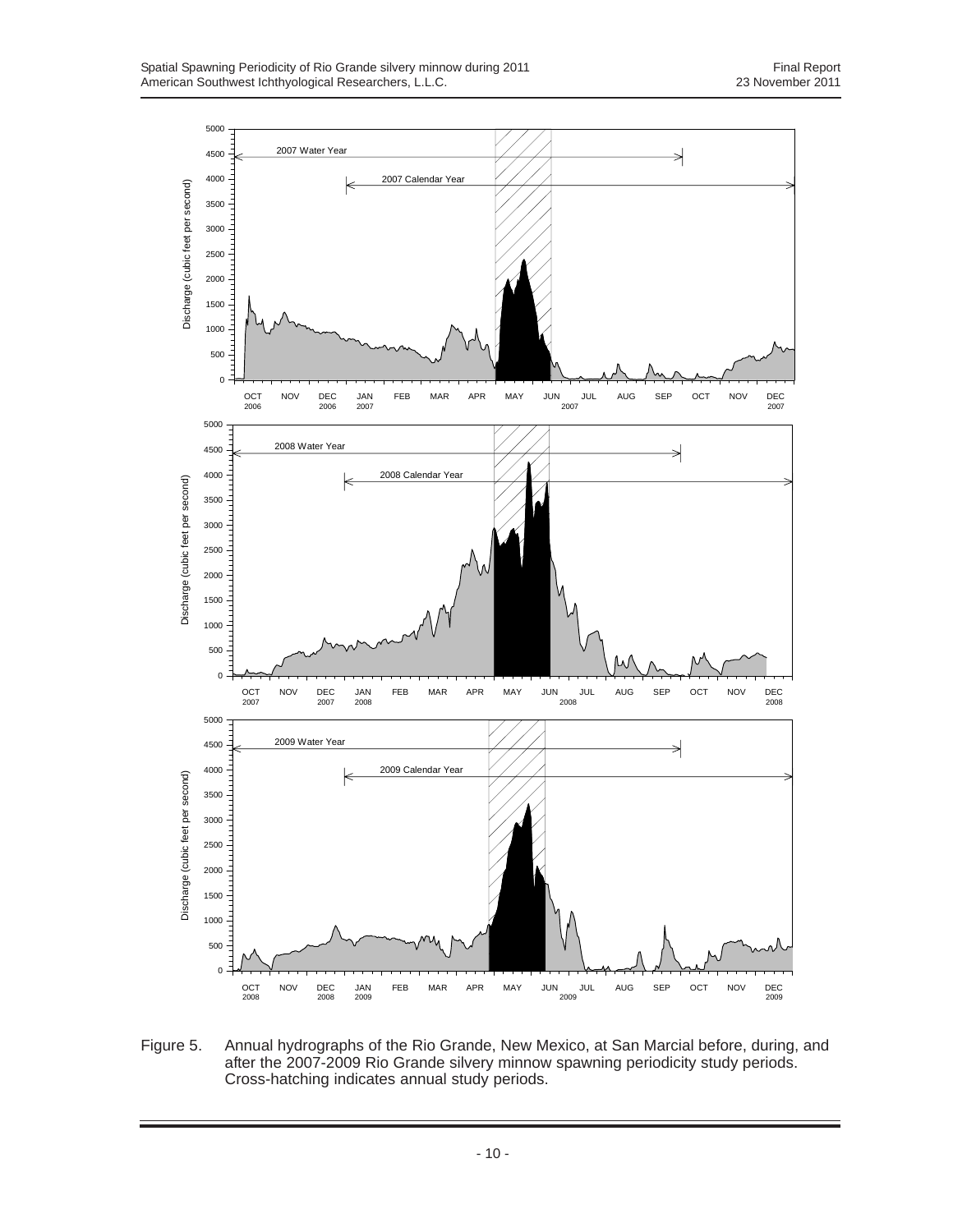

Figure 5. Annual hydrographs of the Rio Grande, New Mexico, at San Marcial before, during, and after the 2007-2009 Rio Grande silvery minnow spawning periodicity study periods. Cross-hatching indicates annual study periods.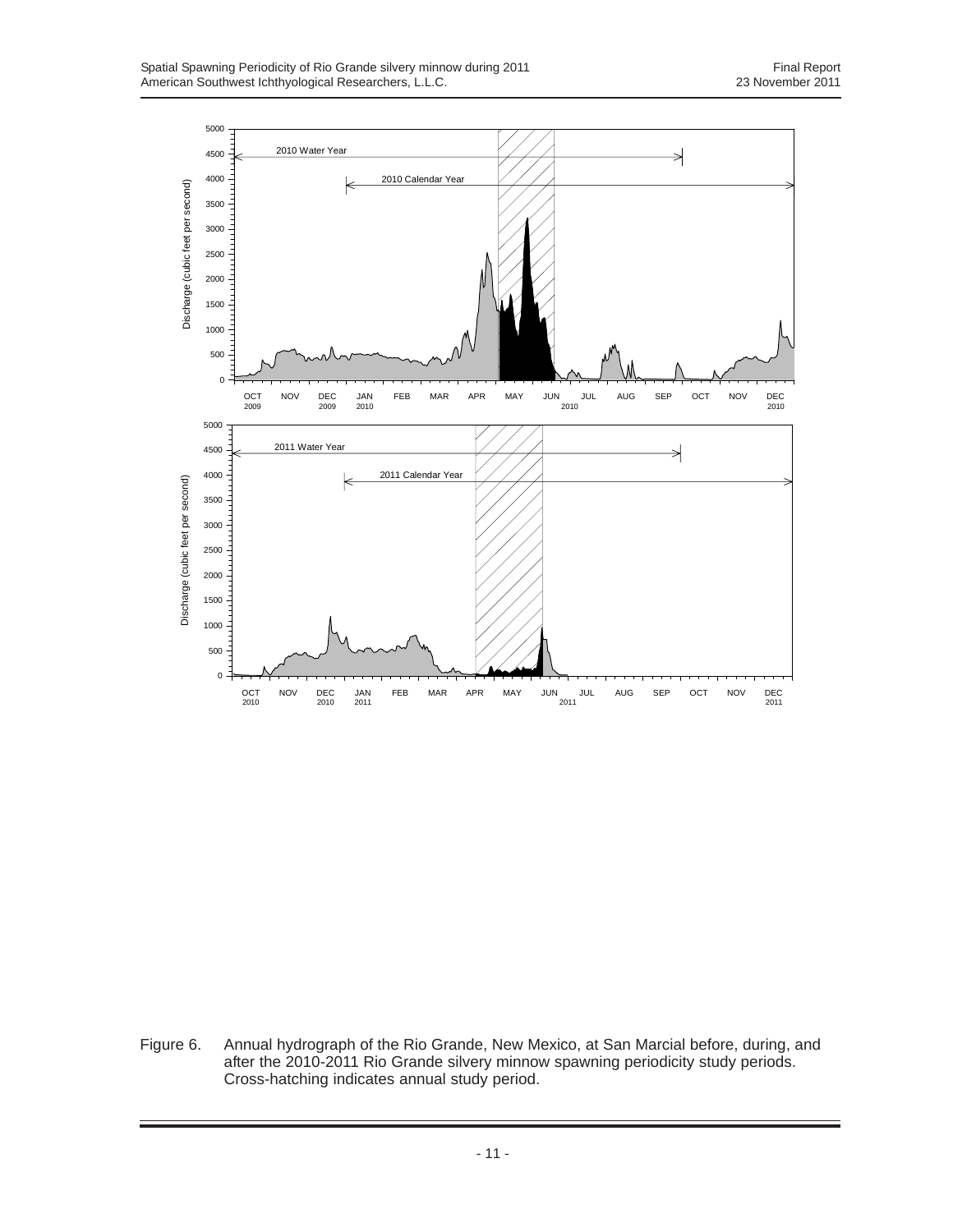

Figure 6. Annual hydrograph of the Rio Grande, New Mexico, at San Marcial before, during, and after the 2010-2011 Rio Grande silvery minnow spawning periodicity study periods. Cross-hatching indicates annual study period.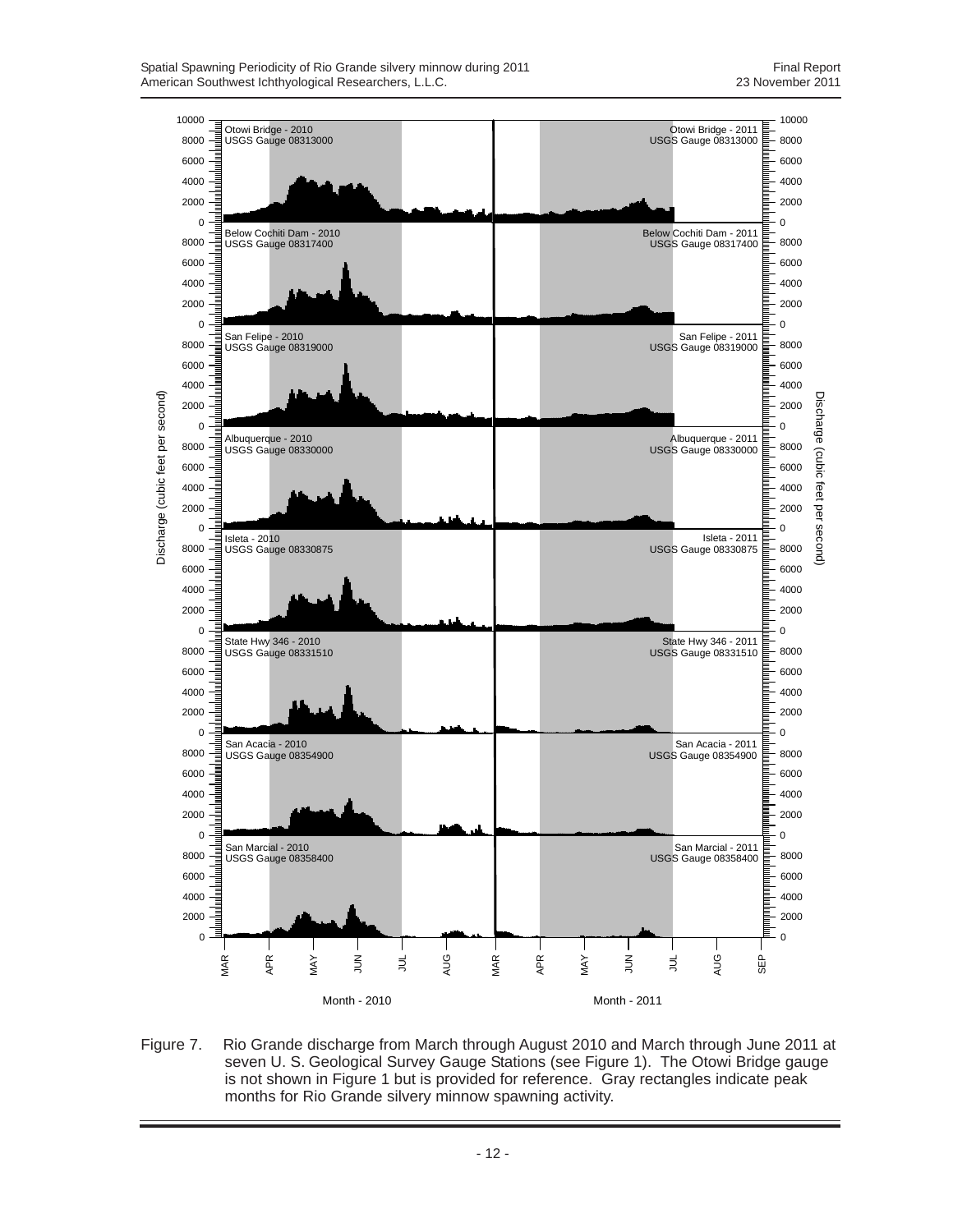

Figure 7. Rio Grande discharge from March through August 2010 and March through June 2011 at seven U. S. Geological Survey Gauge Stations (see Figure 1). The Otowi Bridge gauge is not shown in Figure 1 but is provided for reference. Gray rectangles indicate peak months for Rio Grande silvery minnow spawning activity.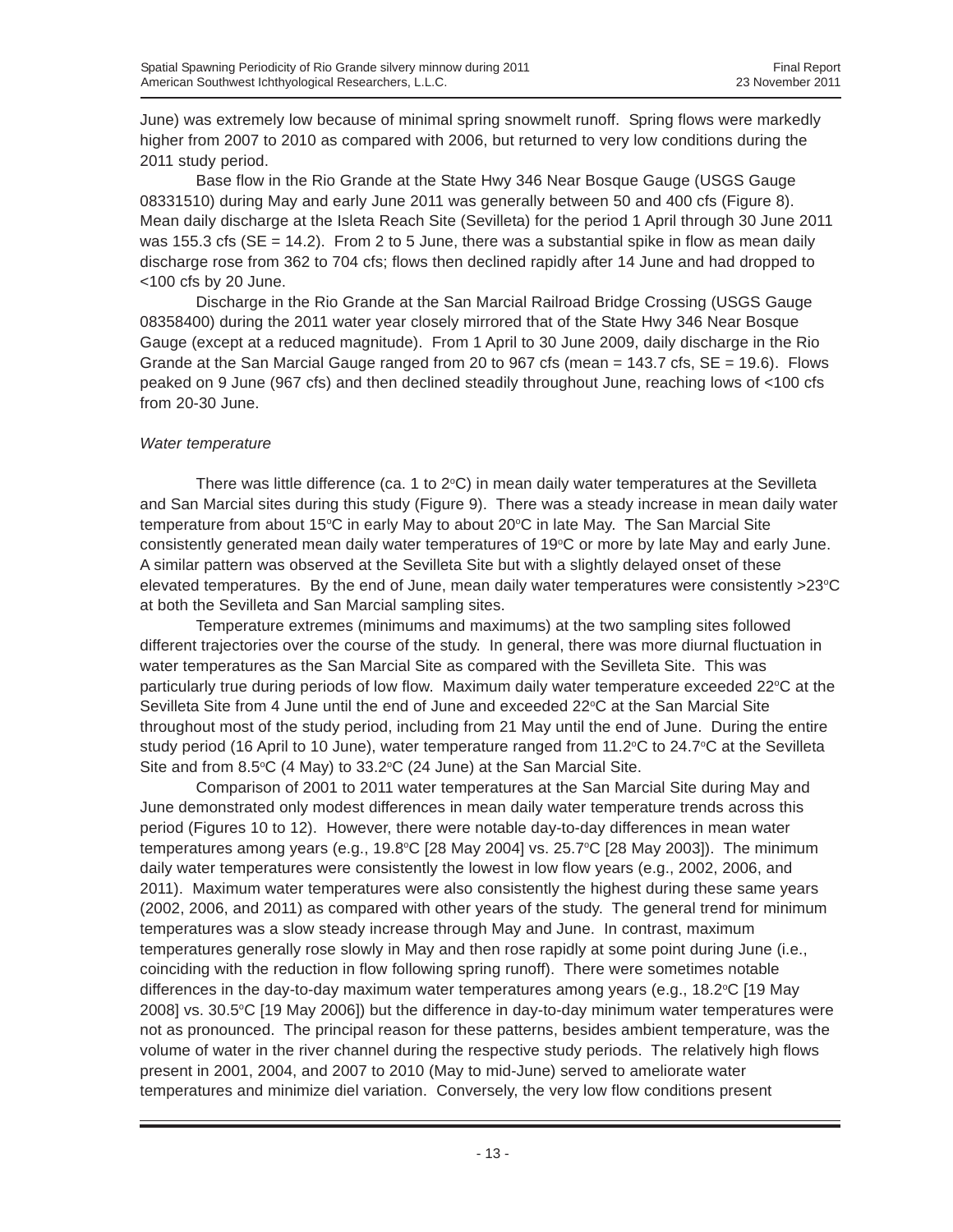June) was extremely low because of minimal spring snowmelt runoff. Spring flows were markedly higher from 2007 to 2010 as compared with 2006, but returned to very low conditions during the 2011 study period.

Base flow in the Rio Grande at the State Hwy 346 Near Bosque Gauge (USGS Gauge 08331510) during May and early June 2011 was generally between 50 and 400 cfs (Figure 8). Mean daily discharge at the Isleta Reach Site (Sevilleta) for the period 1 April through 30 June 2011 was 155.3 cfs ( $SE = 14.2$ ). From 2 to 5 June, there was a substantial spike in flow as mean daily discharge rose from 362 to 704 cfs; flows then declined rapidly after 14 June and had dropped to <100 cfs by 20 June.

Discharge in the Rio Grande at the San Marcial Railroad Bridge Crossing (USGS Gauge 08358400) during the 2011 water year closely mirrored that of the State Hwy 346 Near Bosque Gauge (except at a reduced magnitude). From 1 April to 30 June 2009, daily discharge in the Rio Grande at the San Marcial Gauge ranged from 20 to  $967$  cfs (mean = 143.7 cfs,  $SE = 19.6$ ). Flows peaked on 9 June (967 cfs) and then declined steadily throughout June, reaching lows of <100 cfs from 20-30 June.

#### *Water temperature*

There was little difference (ca. 1 to 2°C) in mean daily water temperatures at the Sevilleta and San Marcial sites during this study (Figure 9). There was a steady increase in mean daily water temperature from about 15°C in early May to about 20°C in late May. The San Marcial Site consistently generated mean daily water temperatures of 19°C or more by late May and early June. A similar pattern was observed at the Sevilleta Site but with a slightly delayed onset of these elevated temperatures. By the end of June, mean daily water temperatures were consistently >23°C at both the Sevilleta and San Marcial sampling sites.

Temperature extremes (minimums and maximums) at the two sampling sites followed different trajectories over the course of the study. In general, there was more diurnal fluctuation in water temperatures as the San Marcial Site as compared with the Sevilleta Site. This was particularly true during periods of low flow. Maximum daily water temperature exceeded 22°C at the Sevilleta Site from 4 June until the end of June and exceeded 22°C at the San Marcial Site throughout most of the study period, including from 21 May until the end of June. During the entire study period (16 April to 10 June), water temperature ranged from 11.2°C to 24.7°C at the Sevilleta Site and from 8.5 $\degree$ C (4 May) to 33.2 $\degree$ C (24 June) at the San Marcial Site.

Comparison of 2001 to 2011 water temperatures at the San Marcial Site during May and June demonstrated only modest differences in mean daily water temperature trends across this period (Figures 10 to 12). However, there were notable day-to-day differences in mean water temperatures among years (e.g., 19.8°C [28 May 2004] vs. 25.7°C [28 May 2003]). The minimum daily water temperatures were consistently the lowest in low flow years (e.g., 2002, 2006, and 2011). Maximum water temperatures were also consistently the highest during these same years (2002, 2006, and 2011) as compared with other years of the study. The general trend for minimum temperatures was a slow steady increase through May and June. In contrast, maximum temperatures generally rose slowly in May and then rose rapidly at some point during June (i.e., coinciding with the reduction in flow following spring runoff). There were sometimes notable differences in the day-to-day maximum water temperatures among years (e.g., 18.2°C [19 May 2008] vs. 30.5°C [19 May 2006]) but the difference in day-to-day minimum water temperatures were not as pronounced. The principal reason for these patterns, besides ambient temperature, was the volume of water in the river channel during the respective study periods. The relatively high flows present in 2001, 2004, and 2007 to 2010 (May to mid-June) served to ameliorate water temperatures and minimize diel variation. Conversely, the very low flow conditions present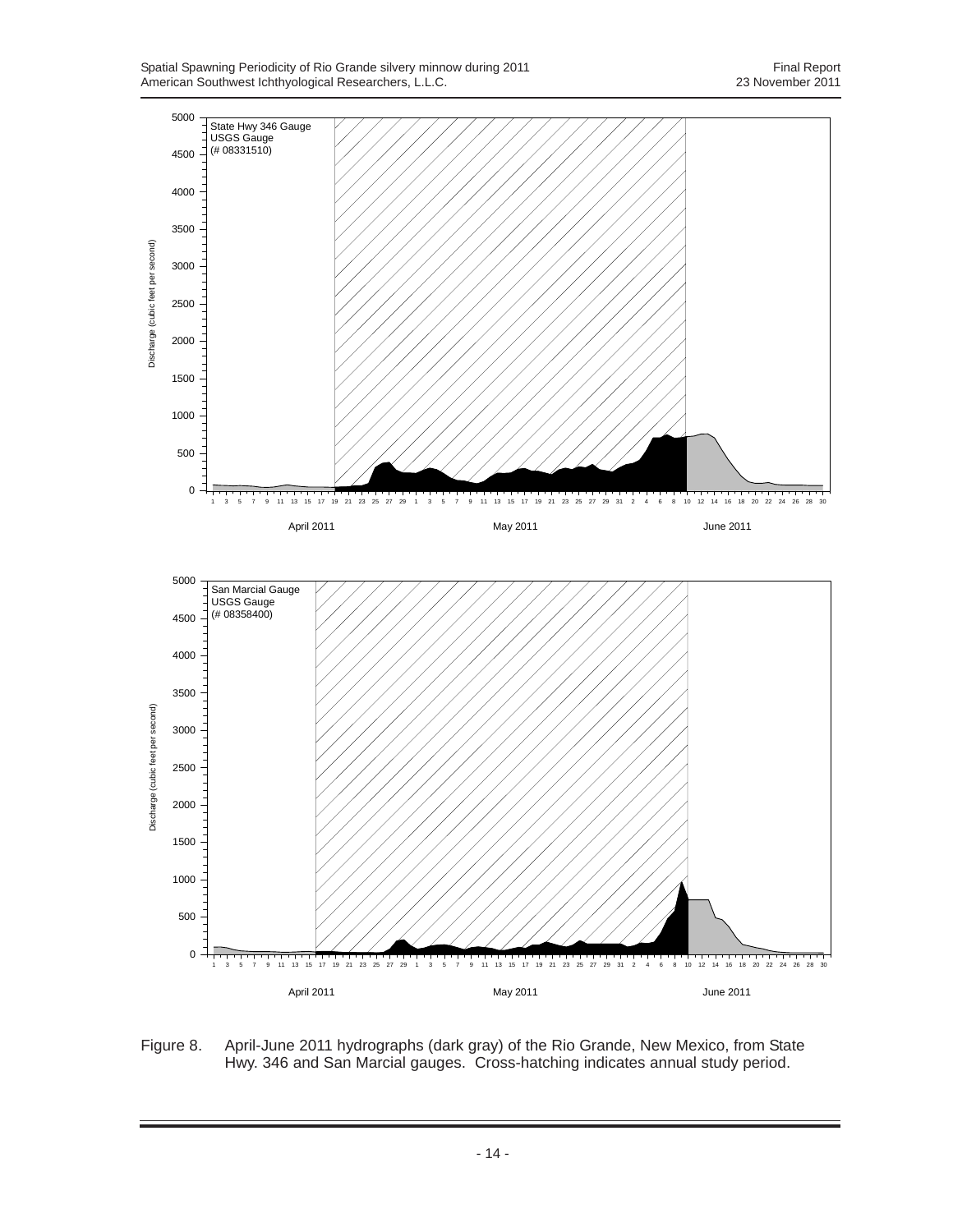Spatial Spawning Periodicity of Rio Grande silvery minnow during 2011 **Final Report** Final Report American Southwest Ichthyological Researchers, L.L.C. 23 November 2011

![](_page_21_Figure_2.jpeg)

Figure 8. April-June 2011 hydrographs (dark gray) of the Rio Grande, New Mexico, from State Hwy. 346 and San Marcial gauges. Cross-hatching indicates annual study period.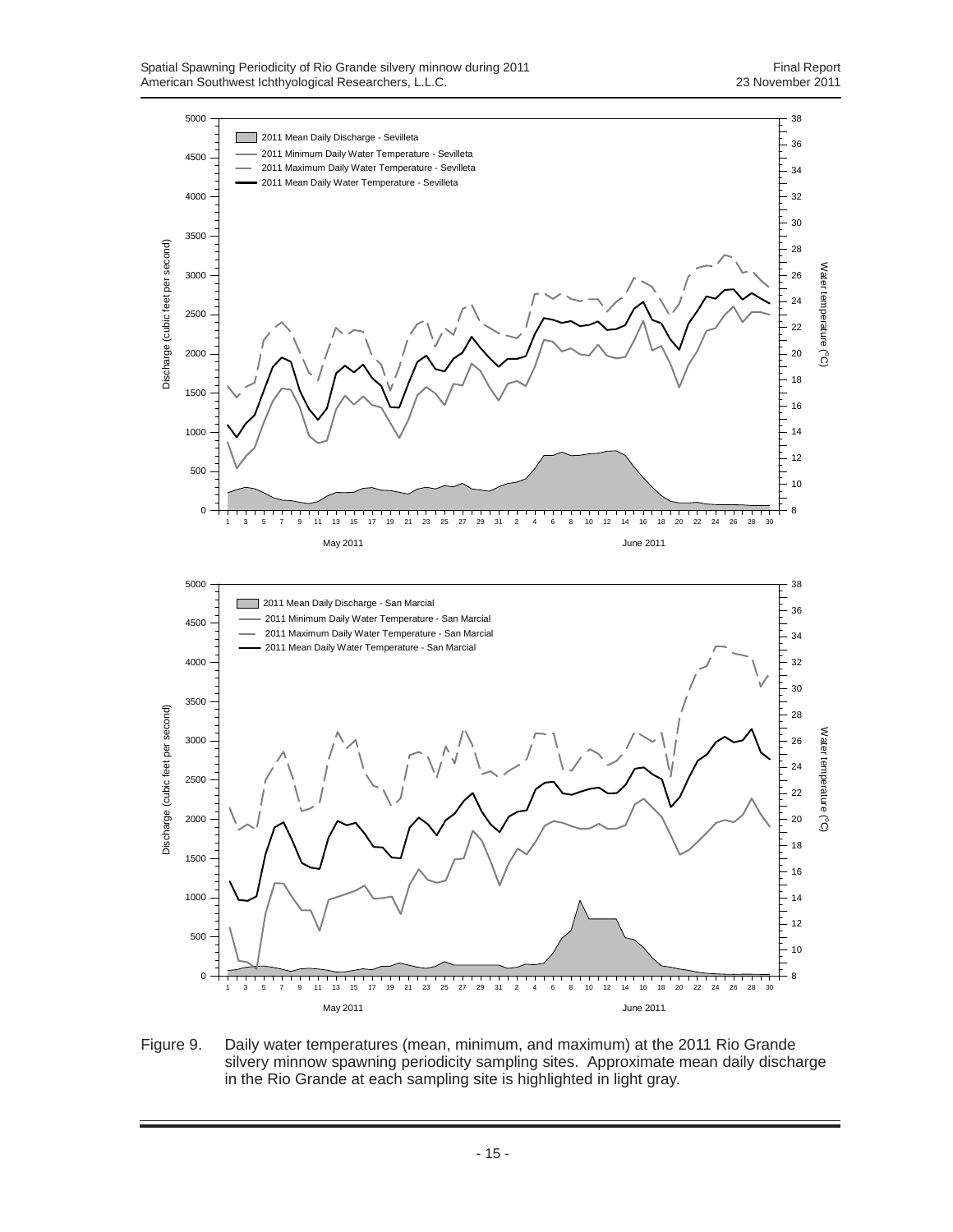![](_page_22_Figure_2.jpeg)

Figure 9. Daily water temperatures (mean, minimum, and maximum) at the 2011 Rio Grande silvery minnow spawning periodicity sampling sites. Approximate mean daily discharge in the Rio Grande at each sampling site is highlighted in light gray.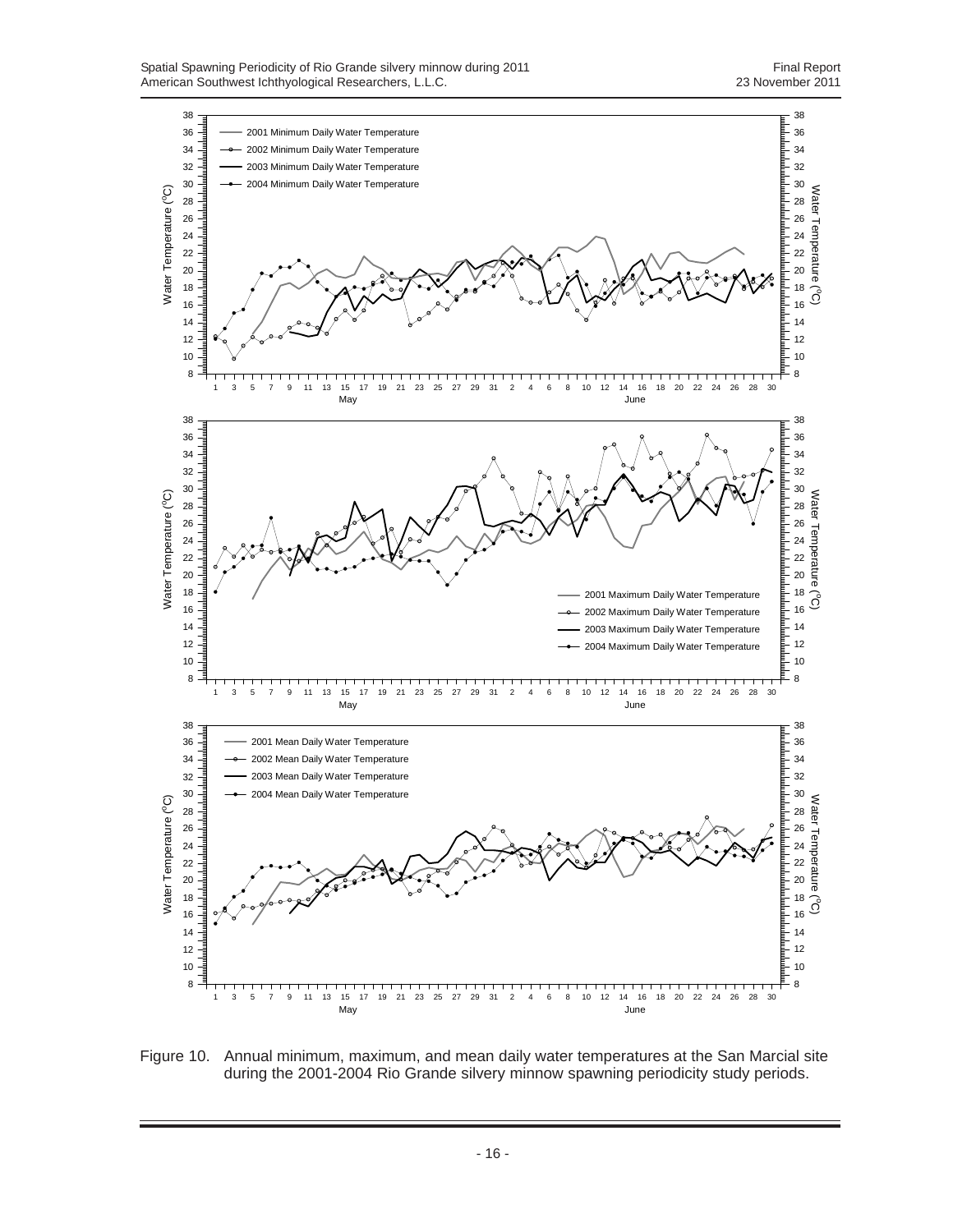![](_page_23_Figure_2.jpeg)

Figure 10. Annual minimum, maximum, and mean daily water temperatures at the San Marcial site during the 2001-2004 Rio Grande silvery minnow spawning periodicity study periods.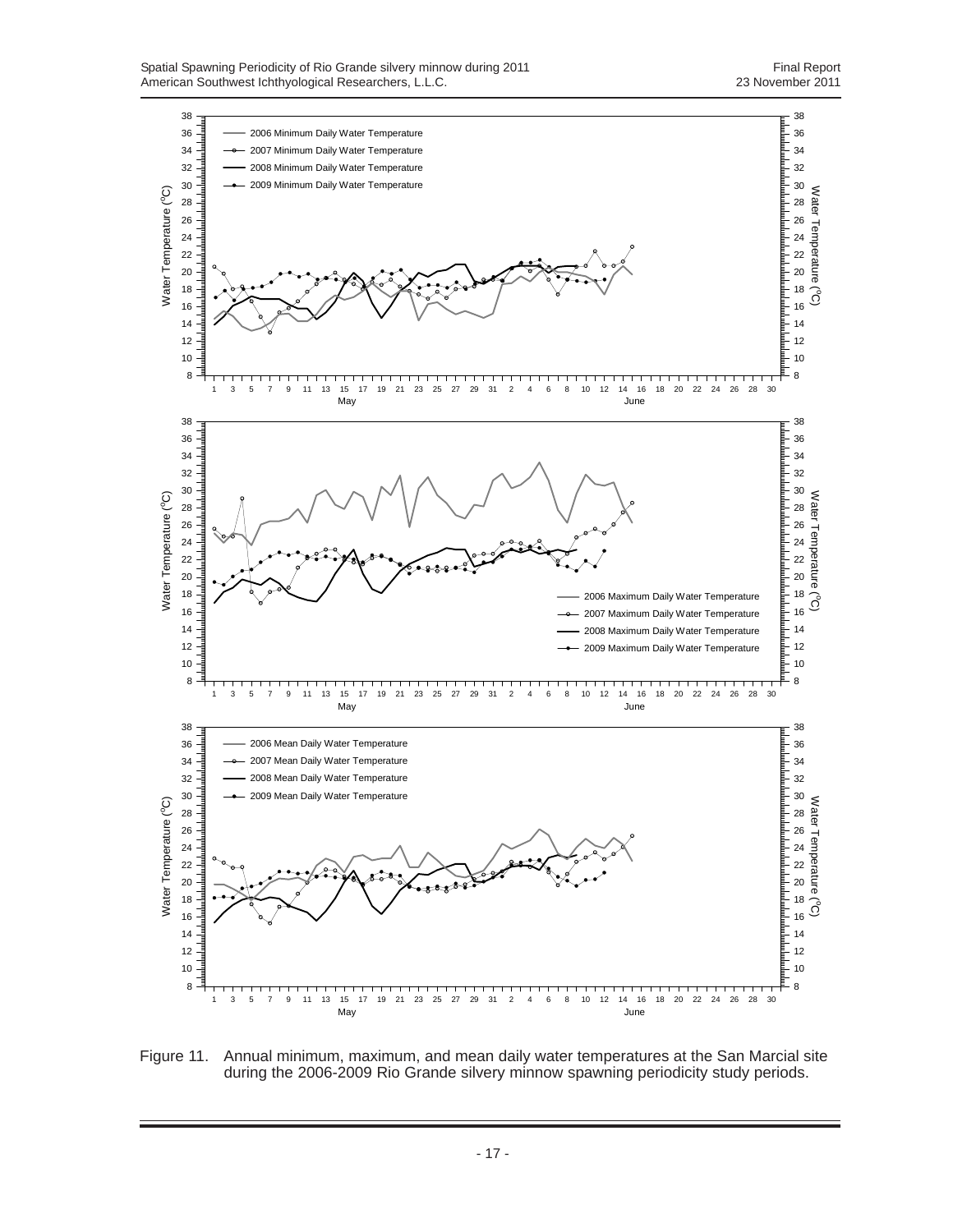![](_page_24_Figure_2.jpeg)

Figure 11. Annual minimum, maximum, and mean daily water temperatures at the San Marcial site during the 2006-2009 Rio Grande silvery minnow spawning periodicity study periods.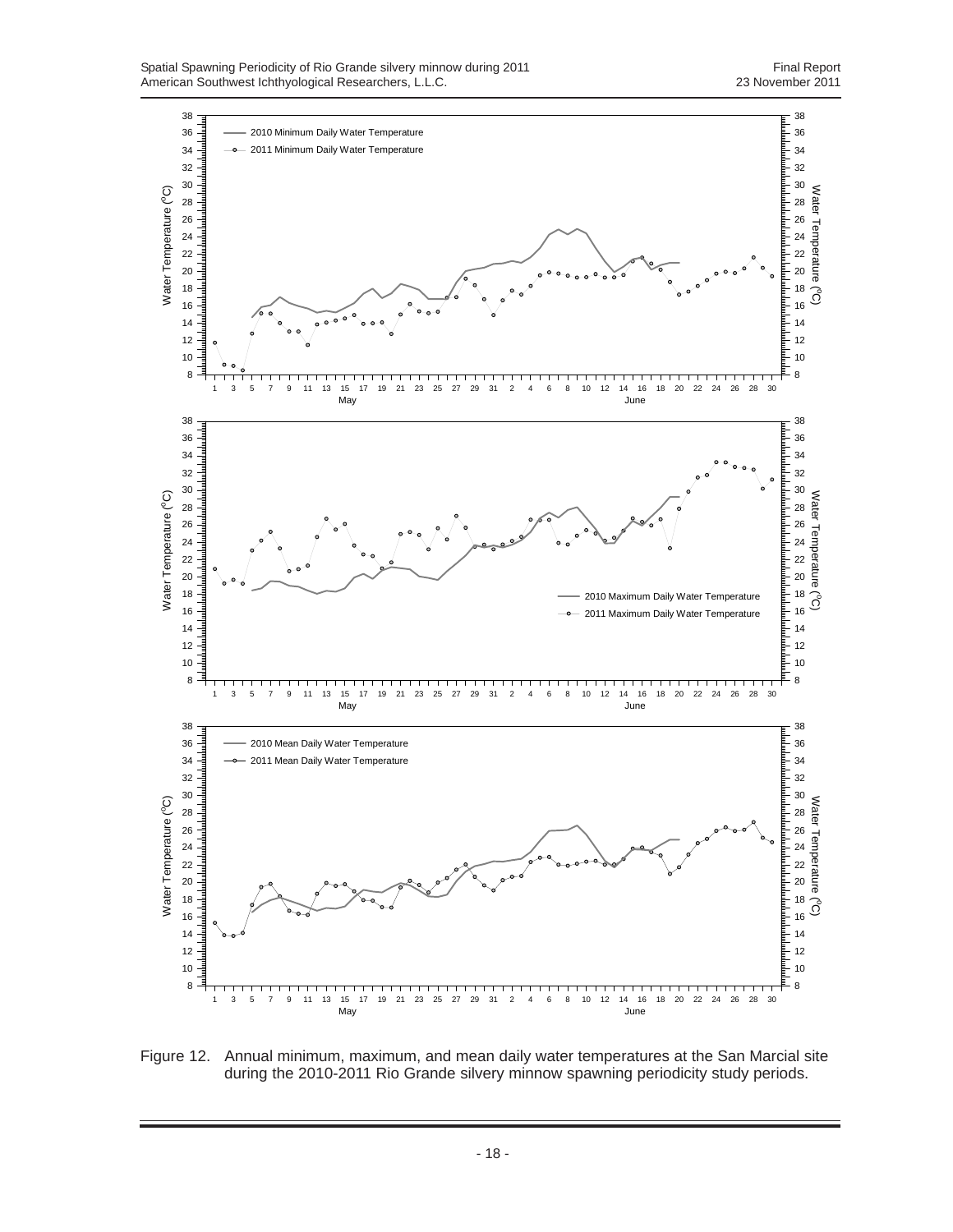![](_page_25_Figure_2.jpeg)

Figure 12. Annual minimum, maximum, and mean daily water temperatures at the San Marcial site during the 2010-2011 Rio Grande silvery minnow spawning periodicity study periods.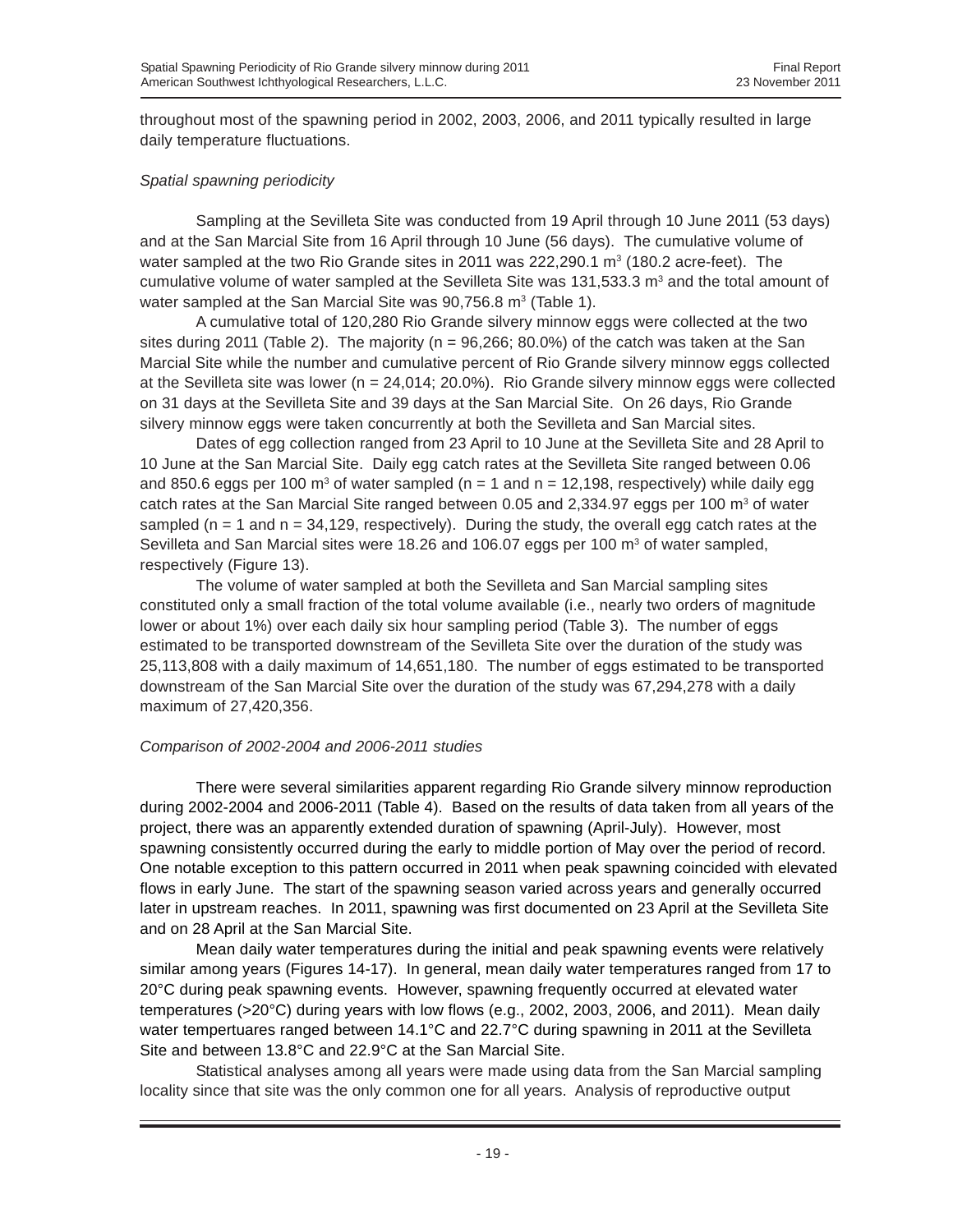throughout most of the spawning period in 2002, 2003, 2006, and 2011 typically resulted in large daily temperature fluctuations.

# *Spatial spawning periodicity*

Sampling at the Sevilleta Site was conducted from 19 April through 10 June 2011 (53 days) and at the San Marcial Site from 16 April through 10 June (56 days). The cumulative volume of water sampled at the two Rio Grande sites in 2011 was 222,290.1  $m<sup>3</sup>$  (180.2 acre-feet). The cumulative volume of water sampled at the Sevilleta Site was  $131,533.3$  m<sup>3</sup> and the total amount of water sampled at the San Marcial Site was 90,756.8 m<sup>3</sup> (Table 1).

A cumulative total of 120,280 Rio Grande silvery minnow eggs were collected at the two sites during 2011 (Table 2). The majority (n = 96,266; 80.0%) of the catch was taken at the San Marcial Site while the number and cumulative percent of Rio Grande silvery minnow eggs collected at the Sevilleta site was lower ( $n = 24,014$ ; 20.0%). Rio Grande silvery minnow eggs were collected on 31 days at the Sevilleta Site and 39 days at the San Marcial Site. On 26 days, Rio Grande silvery minnow eggs were taken concurrently at both the Sevilleta and San Marcial sites.

Dates of egg collection ranged from 23 April to 10 June at the Sevilleta Site and 28 April to 10 June at the San Marcial Site. Daily egg catch rates at the Sevilleta Site ranged between 0.06 and 850.6 eggs per 100 m<sup>3</sup> of water sampled (n = 1 and n = 12,198, respectively) while daily egg catch rates at the San Marcial Site ranged between 0.05 and 2,334.97 eggs per 100  $\text{m}^3$  of water sampled ( $n = 1$  and  $n = 34,129$ , respectively). During the study, the overall egg catch rates at the Sevilleta and San Marcial sites were 18.26 and 106.07 eggs per 100  $\text{m}^3$  of water sampled, respectively (Figure 13).

The volume of water sampled at both the Sevilleta and San Marcial sampling sites constituted only a small fraction of the total volume available (i.e., nearly two orders of magnitude lower or about 1%) over each daily six hour sampling period (Table 3). The number of eggs estimated to be transported downstream of the Sevilleta Site over the duration of the study was 25,113,808 with a daily maximum of 14,651,180. The number of eggs estimated to be transported downstream of the San Marcial Site over the duration of the study was 67,294,278 with a daily maximum of 27,420,356.

#### *Comparison of 2002-2004 and 2006-2011 studies*

There were several similarities apparent regarding Rio Grande silvery minnow reproduction during 2002-2004 and 2006-2011 (Table 4). Based on the results of data taken from all years of the project, there was an apparently extended duration of spawning (April-July). However, most spawning consistently occurred during the early to middle portion of May over the period of record. One notable exception to this pattern occurred in 2011 when peak spawning coincided with elevated flows in early June. The start of the spawning season varied across years and generally occurred later in upstream reaches. In 2011, spawning was first documented on 23 April at the Sevilleta Site and on 28 April at the San Marcial Site.

Mean daily water temperatures during the initial and peak spawning events were relatively similar among years (Figures 14-17). In general, mean daily water temperatures ranged from 17 to 20°C during peak spawning events. However, spawning frequently occurred at elevated water temperatures (>20°C) during years with low flows (e.g., 2002, 2003, 2006, and 2011). Mean daily water tempertuares ranged between 14.1°C and 22.7°C during spawning in 2011 at the Sevilleta Site and between 13.8°C and 22.9°C at the San Marcial Site.

Statistical analyses among all years were made using data from the San Marcial sampling locality since that site was the only common one for all years. Analysis of reproductive output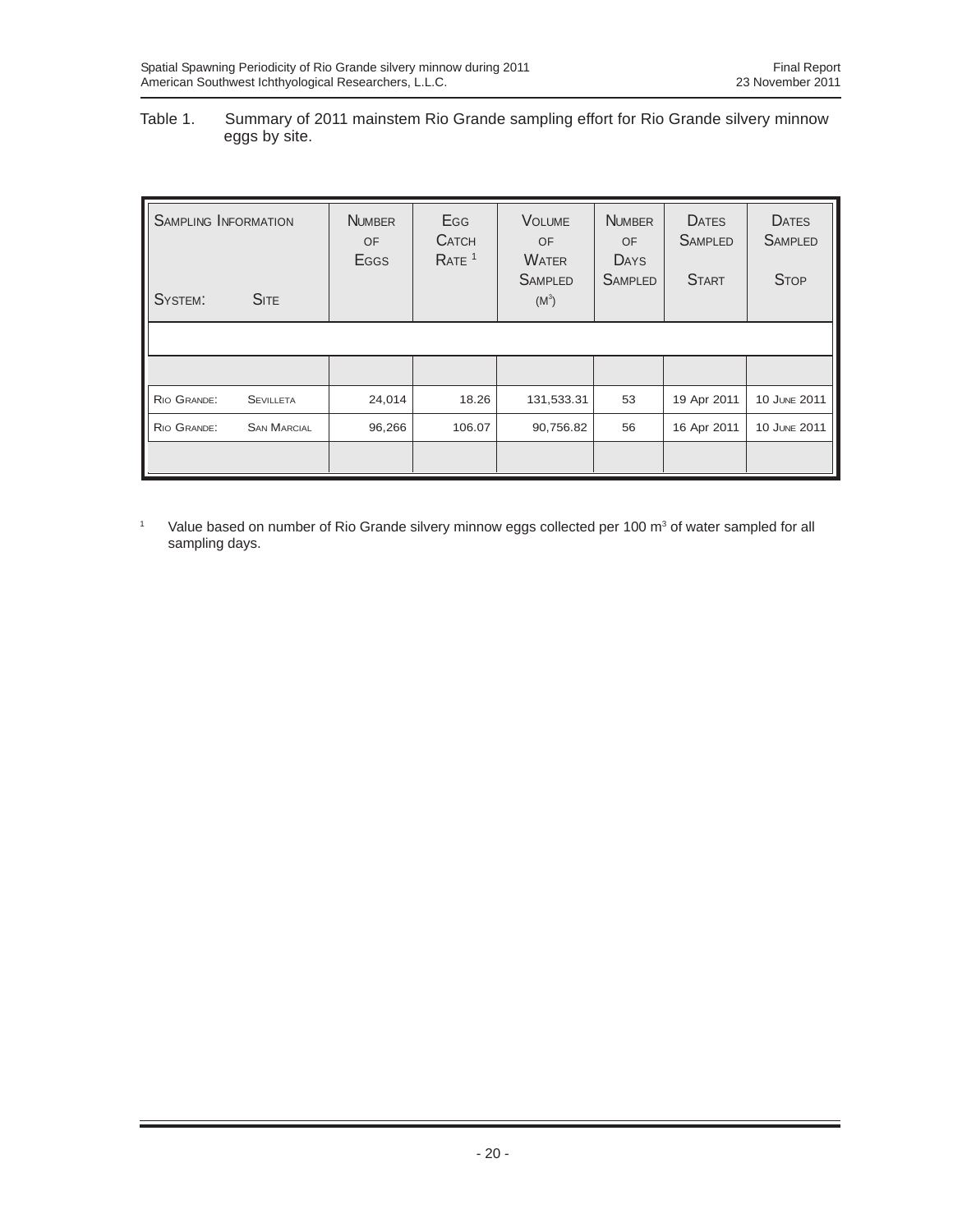## Table 1. Summary of 2011 mainstem Rio Grande sampling effort for Rio Grande silvery minnow eggs by site.

| <b>SAMPLING INFORMATION</b><br>SYSTEM: | <b>SITE</b>        | <b>NUMBER</b><br>OF<br>Eggs | <b>E</b> GG<br><b>CATCH</b><br>RATE <sup>1</sup> | <b>VOLUME</b><br><b>OF</b><br><b>WATER</b><br><b>SAMPLED</b><br>$(M^3)$ | <b>NUMBER</b><br><b>OF</b><br><b>DAYS</b><br><b>SAMPLED</b> | <b>DATES</b><br><b>SAMPLED</b><br><b>START</b> | <b>DATES</b><br><b>SAMPLED</b><br><b>STOP</b> |
|----------------------------------------|--------------------|-----------------------------|--------------------------------------------------|-------------------------------------------------------------------------|-------------------------------------------------------------|------------------------------------------------|-----------------------------------------------|
|                                        |                    |                             |                                                  |                                                                         |                                                             |                                                |                                               |
|                                        |                    |                             |                                                  |                                                                         |                                                             |                                                |                                               |
| RIO GRANDE:                            | <b>SEVILLETA</b>   | 24,014                      | 18.26                                            | 131,533.31                                                              | 53                                                          | 19 Apr 2011                                    | 10 JUNE 2011                                  |
| RIO GRANDE:                            | <b>SAN MARCIAL</b> | 96,266                      | 106.07                                           | 90,756.82                                                               | 56                                                          | 16 Apr 2011                                    | 10 JUNE 2011                                  |
|                                        |                    |                             |                                                  |                                                                         |                                                             |                                                |                                               |

<sup>1</sup> Value based on number of Rio Grande silvery minnow eggs collected per 100 m<sup>3</sup> of water sampled for all sampling days.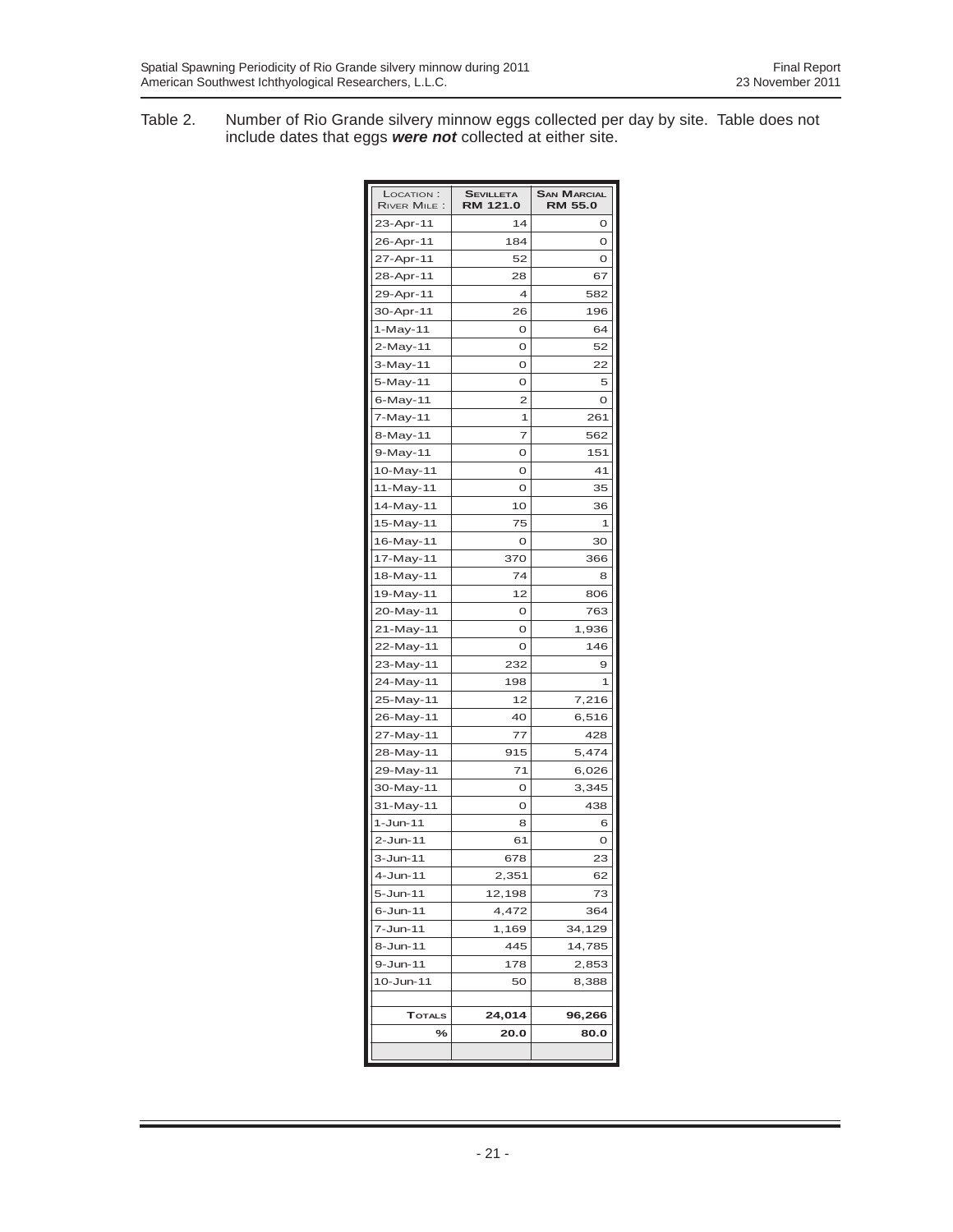Table 2. Number of Rio Grande silvery minnow eggs collected per day by site. Table does not include dates that eggs *were not* collected at either site.

| LOCATION:<br>RIVER MILE: | <b>SEVILLETA</b><br>RM 121.0 | <b>SAN MARCIAL</b><br><b>RM 55.0</b> |
|--------------------------|------------------------------|--------------------------------------|
| 23-Apr-11                | 14                           | o                                    |
| 26-Apr-11                | 184                          | O                                    |
| 27-Apr-11                | 52                           | O                                    |
| 28-Apr-11                | 28                           | 67                                   |
| 29-Apr-11                | 4                            | 582                                  |
| 30-Apr-11                | 26                           | 196                                  |
| 1-May-11                 | o                            | 64                                   |
| 2-May-11                 | o                            | 52                                   |
| 3-May-11                 | o                            | 22                                   |
| 5-May-11                 | o                            | 5                                    |
| 6-May-11                 | 2                            | O                                    |
| 7-May-11                 | 1                            | 261                                  |
| 8-May-11                 | 7                            | 562                                  |
| 9-May-11                 | o                            | 151                                  |
| 10-May-11                | o                            | 41                                   |
| 11-May-11                | o                            | 35                                   |
| 14-May-11                | 10                           | 36                                   |
| 15-May-11                | 75                           | 1                                    |
| 16-May-11                | 0                            | 30                                   |
| 17-May-11                | 370                          | 366                                  |
| 18-May-11                | 74                           | 8                                    |
| 19-May-11                | 12                           | 806                                  |
| 20-May-11                | o                            | 763                                  |
| 21-May-11                | o                            | 1,936                                |
| 22-May-11                | o                            | 146                                  |
| 23-May-11                | 232                          | 9                                    |
| 24-May-11                | 198                          | 1                                    |
| 25-May-11                | 12                           | 7,216                                |
| 26-May-11                | 40                           | 6,516                                |
| 27-May-11                | 77                           | 428                                  |
| 28-May-11                | 915                          | 5,474                                |
| 29-May-11                | 71                           | 6,026                                |
| 30-May-11                | o                            | 3,345                                |
| 31-May-11                | o                            | 438                                  |
| $1 -$ Jun-11             | 8                            | 6                                    |
| $2 - Jun-11$             | 61                           | O                                    |
| 3-Jun-11                 | 678                          | 23                                   |
| 4-Jun-11                 | 2,351                        | 62                                   |
| 5-Jun-11                 | 12,198                       | 73                                   |
| 6-Jun-11                 | 4,472                        | 364                                  |
| 7-Jun-11                 | 1,169                        | 34,129                               |
| 8-Jun-11                 | 445                          | 14,785                               |
| 9-Jun-11                 | 178                          | 2,853                                |
| $10 - Jun-11$            | 50                           | 8,388                                |
|                          |                              |                                      |
| <b>TOTALS</b>            | 24,014                       | 96,266                               |
| ℅                        | 20.0                         | 80.0                                 |
|                          |                              |                                      |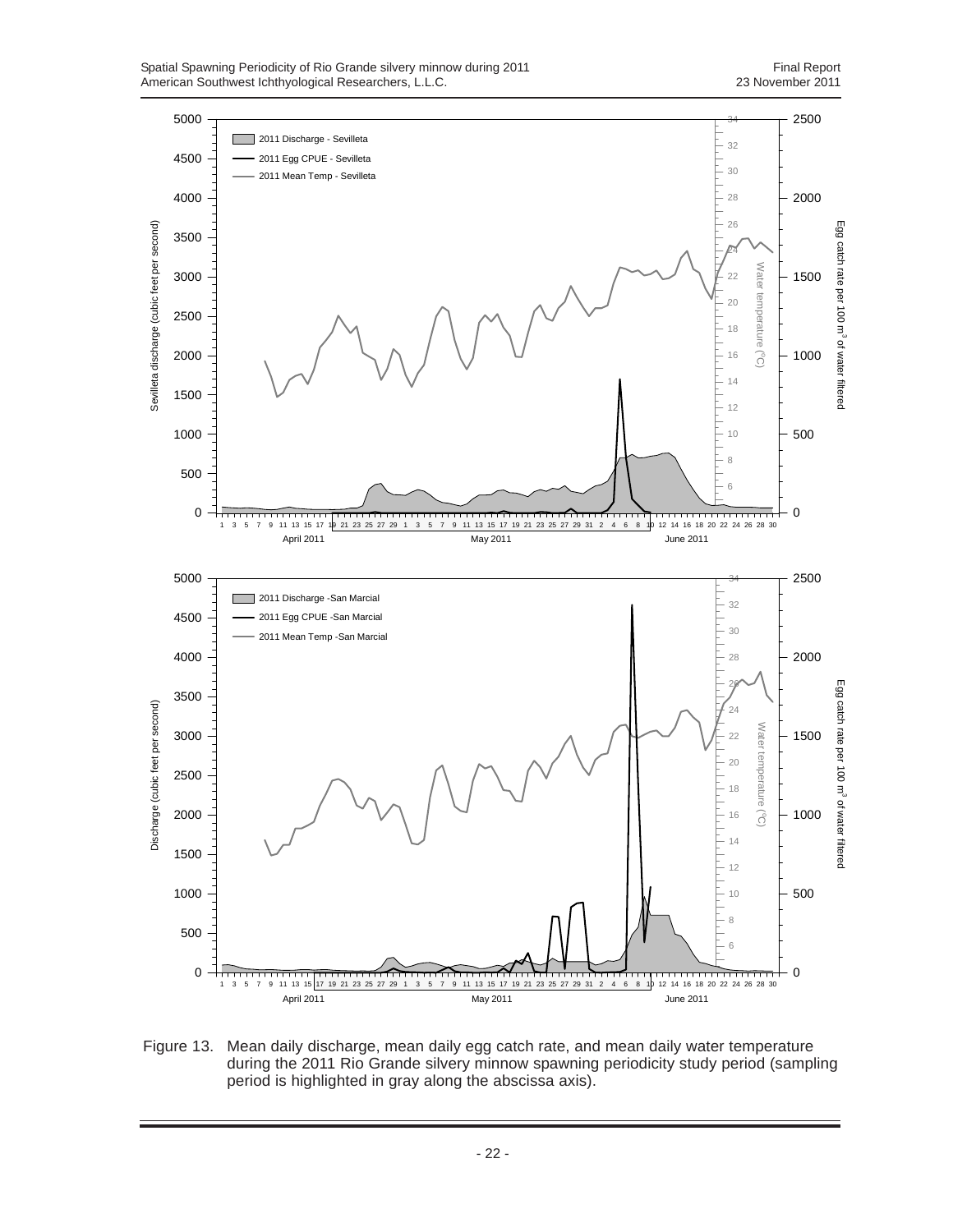![](_page_29_Figure_2.jpeg)

Figure 13. Mean daily discharge, mean daily egg catch rate, and mean daily water temperature during the 2011 Rio Grande silvery minnow spawning periodicity study period (sampling period is highlighted in gray along the abscissa axis).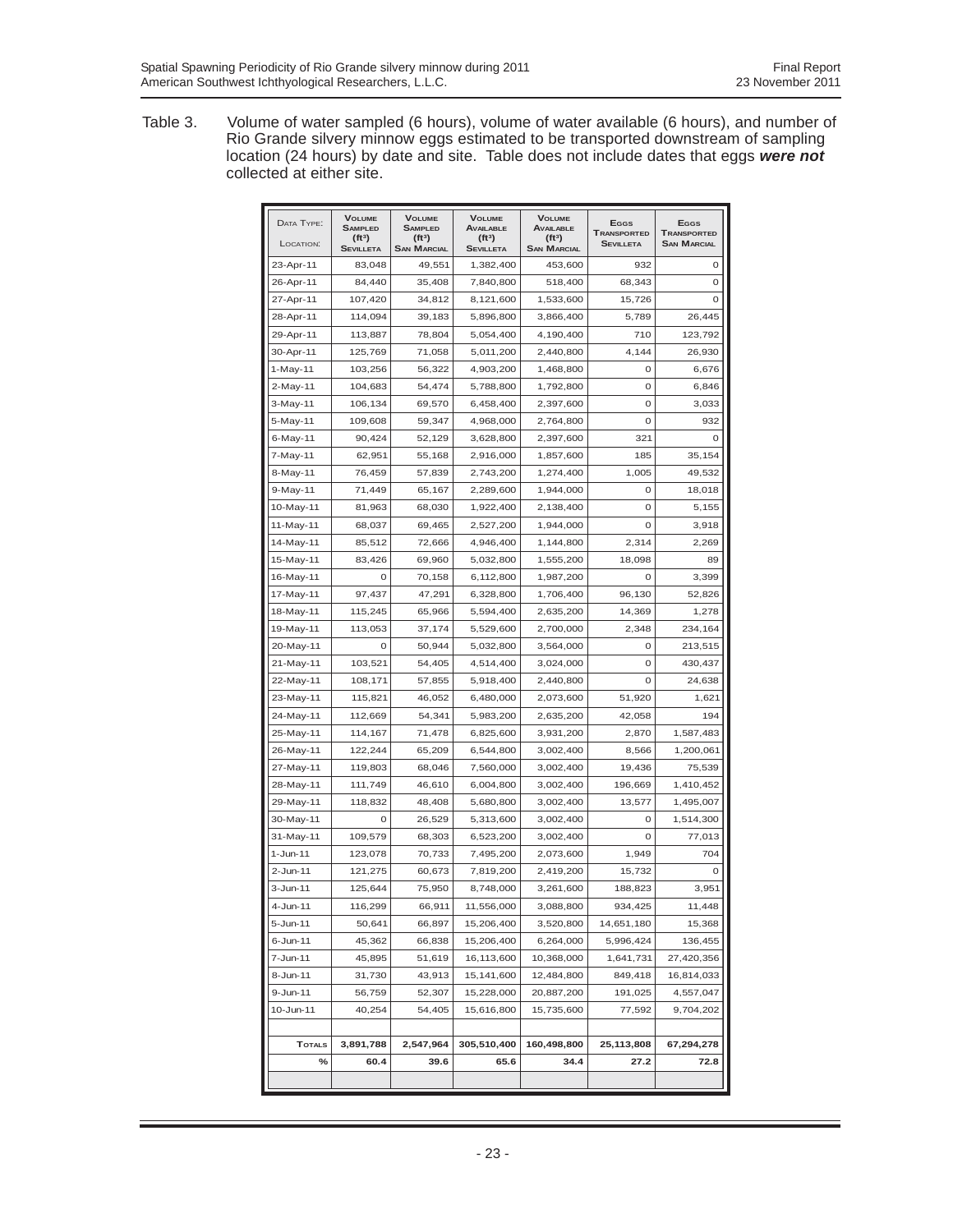Table 3. Volume of water sampled (6 hours), volume of water available (6 hours), and number of Rio Grande silvery minnow eggs estimated to be transported downstream of sampling location (24 hours) by date and site. Table does not include dates that eggs *were not* collected at either site.

| DATA TYPE:<br>LOCATION: | <b>VOLUME</b><br><b>SAMPLED</b><br>$(ft^3)$ | <b>VOLUME</b><br><b>SAMPLED</b><br>$(ft^3)$ | <b>VOLUME</b><br><b>AVAILABLE</b><br>(ft <sup>3</sup> ) | <b>VOLUME</b><br><b>AVAILABLE</b><br>$(ft^3)$ | <b>E</b> GGS<br><b>TRANSPORTED</b><br>Sevilleta | <b>E</b> GGS<br><b>TRANSPORTED</b><br><b>SAN MARCIAL</b> |
|-------------------------|---------------------------------------------|---------------------------------------------|---------------------------------------------------------|-----------------------------------------------|-------------------------------------------------|----------------------------------------------------------|
| 23-Apr-11               | <b>SEVILLETA</b><br>83,048                  | <b>SAN MARCIAL</b><br>49,551                | <b>SEVILLETA</b><br>1,382,400                           | <b>SAN MARCIAL</b><br>453,600                 | 932                                             | 0                                                        |
| 26-Apr-11               | 84,440                                      | 35,408                                      | 7,840,800                                               | 518,400                                       | 68,343                                          | 0                                                        |
|                         | 107,420                                     | 34,812                                      |                                                         |                                               |                                                 | $\mathbf 0$                                              |
| 27-Apr-11               |                                             |                                             | 8,121,600                                               | 1,533,600                                     | 15,726                                          |                                                          |
| 28-Apr-11               | 114,094                                     | 39,183                                      | 5,896,800                                               | 3,866,400                                     | 5,789                                           | 26,445                                                   |
| 29-Apr-11               | 113,887                                     | 78,804                                      | 5,054,400                                               | 4,190,400                                     | 710                                             | 123,792                                                  |
| 30-Apr-11               | 125,769                                     | 71,058                                      | 5,011,200                                               | 2,440,800                                     | 4,144                                           | 26,930                                                   |
| 1-May-11                | 103,256                                     | 56,322                                      | 4,903,200                                               | 1,468,800                                     | 0                                               | 6,676                                                    |
| 2-May-11                | 104,683                                     | 54,474                                      | 5,788,800                                               | 1,792,800                                     | 0                                               | 6,846                                                    |
| 3-May-11                | 106,134                                     | 69,570                                      | 6,458,400                                               | 2,397,600                                     | $\circ$                                         | 3,033                                                    |
| 5-May-11                | 109,608                                     | 59,347                                      | 4,968,000                                               | 2,764,800                                     | 0                                               | 932                                                      |
| 6-May-11                | 90,424                                      | 52,129                                      | 3,628,800                                               | 2,397,600                                     | 321                                             | 0                                                        |
| 7-May-11                | 62,951                                      | 55,168                                      | 2,916,000                                               | 1,857,600                                     | 185                                             | 35,154                                                   |
| 8-May-11                | 76,459                                      | 57,839                                      | 2,743,200                                               | 1,274,400                                     | 1,005                                           | 49,532                                                   |
| 9-May-11                | 71,449                                      | 65,167                                      | 2,289,600                                               | 1,944,000                                     | 0                                               | 18,018                                                   |
| 10-May-11               | 81,963                                      | 68,030                                      | 1,922,400                                               | 2,138,400                                     | 0                                               | 5,155                                                    |
| 11-May-11               | 68,037                                      | 69,465                                      | 2,527,200                                               | 1,944,000                                     | 0                                               | 3,918                                                    |
| 14-May-11               | 85,512                                      | 72,666                                      | 4,946,400                                               | 1,144,800                                     | 2,314                                           | 2,269                                                    |
| 15-May-11               | 83,426                                      | 69,960                                      | 5,032,800                                               | 1,555,200                                     | 18,098                                          | 89                                                       |
| 16-May-11               | 0                                           | 70,158                                      | 6,112,800                                               | 1,987,200                                     | $\circ$                                         | 3,399                                                    |
| 17-May-11               | 97,437                                      | 47,291                                      | 6,328,800                                               | 1,706,400                                     | 96,130                                          | 52,826                                                   |
| 18-May-11               | 115,245                                     | 65,966                                      | 5,594,400                                               | 2,635,200                                     | 14,369                                          | 1,278                                                    |
| 19-May-11               | 113,053                                     | 37,174                                      | 5,529,600                                               | 2,700,000                                     | 2,348                                           | 234,164                                                  |
| 20-May-11               | 0                                           | 50,944                                      | 5,032,800                                               | 3,564,000                                     | $\circ$                                         | 213,515                                                  |
| 21-May-11               | 103,521                                     | 54,405                                      | 4,514,400                                               | 3,024,000                                     | 0                                               | 430,437                                                  |
| 22-May-11               | 108,171                                     | 57,855                                      | 5,918,400                                               | 2,440,800                                     | $\circ$                                         | 24,638                                                   |
| 23-May-11               | 115,821                                     | 46,052                                      | 6,480,000                                               | 2,073,600                                     | 51,920                                          | 1,621                                                    |
| 24-May-11               | 112,669                                     | 54,341                                      | 5,983,200                                               | 2,635,200                                     | 42,058                                          | 194                                                      |
| 25-May-11               | 114,167                                     | 71,478                                      | 6,825,600                                               | 3,931,200                                     | 2,870                                           | 1,587,483                                                |
| 26-May-11               | 122,244                                     | 65,209                                      | 6,544,800                                               | 3,002,400                                     | 8,566                                           | 1,200,061                                                |
| 27-May-11               | 119,803                                     | 68,046                                      | 7,560,000                                               | 3,002,400                                     | 19,436                                          | 75,539                                                   |
| 28-May-11               | 111,749                                     | 46,610                                      | 6,004,800                                               | 3,002,400                                     | 196,669                                         | 1,410,452                                                |
| 29-May-11               | 118,832                                     | 48,408                                      | 5,680,800                                               | 3,002,400                                     | 13,577                                          | 1,495,007                                                |
| 30-May-11               | $\circ$                                     | 26,529                                      | 5,313,600                                               | 3,002,400                                     | 0                                               | 1,514,300                                                |
| 31-May-11               | 109,579                                     | 68,303                                      | 6,523,200                                               | 3,002,400                                     | 0                                               | 77,013                                                   |
| $1 - Jun-11$            | 123,078                                     | 70,733                                      | 7,495,200                                               | 2,073,600                                     | 1,949                                           | 704                                                      |
| 2-Jun-11                | 121,275                                     | 60,673                                      | 7,819,200                                               | 2,419,200                                     | 15,732                                          | 0                                                        |
| 3-Jun-11                | 125,644                                     | 75,950                                      | 8,748,000                                               | 3,261,600                                     | 188,823                                         | 3,951                                                    |
| 4-Jun-11                | 116,299                                     | 66,911                                      | 11,556,000                                              | 3,088,800                                     | 934,425                                         | 11,448                                                   |
| 5-Jun-11                | 50,641                                      | 66,897                                      | 15,206,400                                              | 3,520,800                                     | 14,651,180                                      | 15,368                                                   |
| 6-Jun-11                | 45,362                                      | 66,838                                      | 15,206,400                                              | 6,264,000                                     | 5,996,424                                       | 136,455                                                  |
| 7-Jun-11                | 45,895                                      | 51,619                                      | 16,113,600                                              | 10,368,000                                    | 1,641,731                                       | 27,420,356                                               |
| 8-Jun-11                | 31,730                                      | 43,913                                      | 15,141,600                                              | 12,484,800                                    | 849,418                                         | 16,814,033                                               |
| 9-Jun-11                | 56,759                                      | 52,307                                      | 15,228,000                                              | 20,887,200                                    | 191,025                                         | 4,557,047                                                |
| 10-Jun-11               | 40,254                                      | 54,405                                      | 15,616,800                                              | 15,735,600                                    | 77,592                                          | 9,704,202                                                |
|                         |                                             |                                             |                                                         |                                               |                                                 |                                                          |
| <b>TOTALS</b>           | 3,891,788                                   | 2,547,964                                   | 305,510,400                                             | 160,498,800                                   | 25,113,808                                      | 67,294,278                                               |
| $\%$                    | 60.4                                        | 39.6                                        | 65.6                                                    | 34.4                                          | 27.2                                            | 72.8                                                     |
|                         |                                             |                                             |                                                         |                                               |                                                 |                                                          |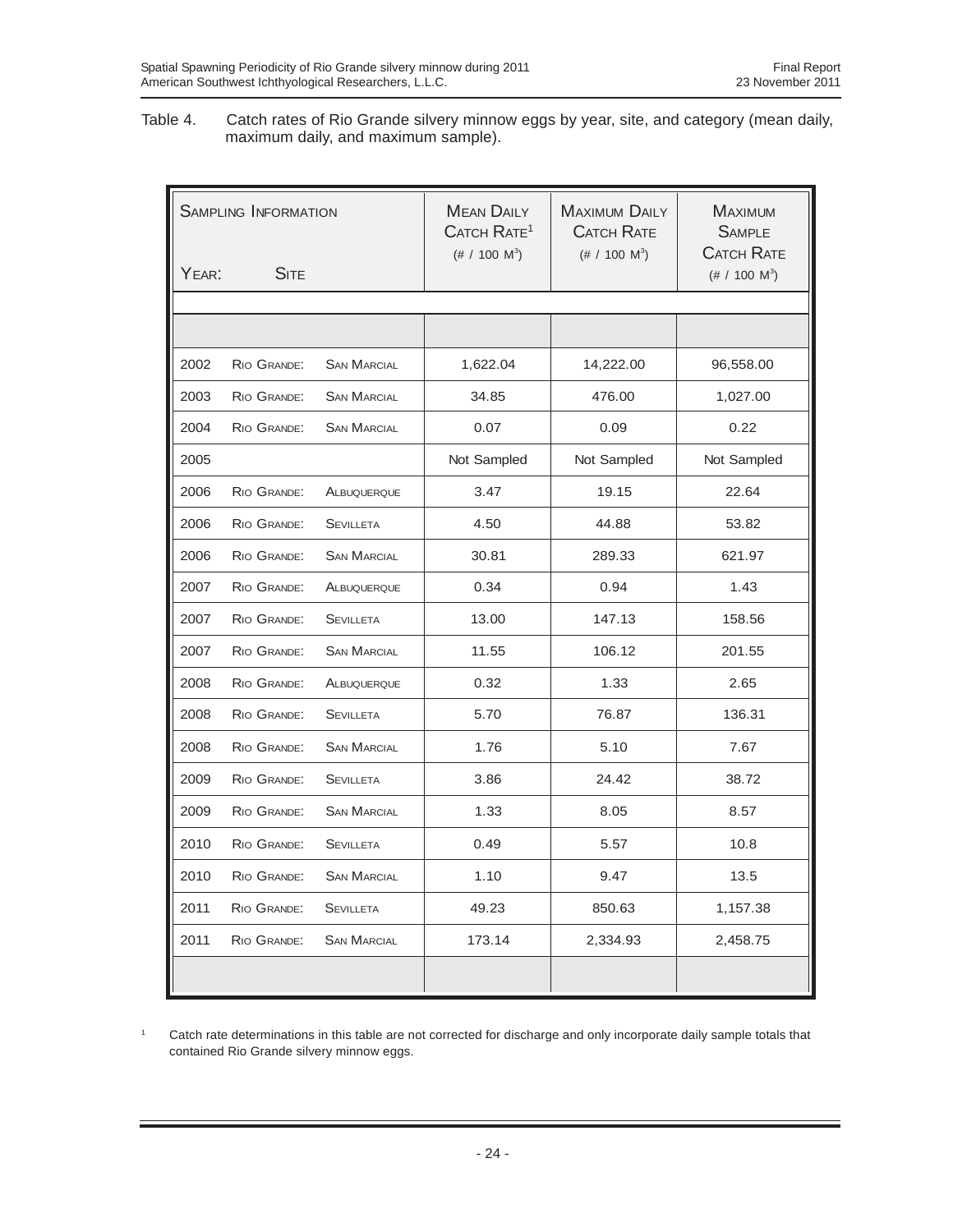Table 4. Catch rates of Rio Grande silvery minnow eggs by year, site, and category (mean daily, maximum daily, and maximum sample).

| <b>SAMPLING INFORMATION</b> |             |                    | <b>MEAN DAILY</b><br>CATCH RATE <sup>1</sup><br>$(\# / 100 \text{ M}^3)$ | <b>MAXIMUM DAILY</b><br><b>CATCH RATE</b><br>$(\# / 100 \text{ M}^3)$ | <b>MAXIMUM</b><br><b>SAMPLE</b><br><b>CATCH RATE</b> |
|-----------------------------|-------------|--------------------|--------------------------------------------------------------------------|-----------------------------------------------------------------------|------------------------------------------------------|
| YFAR:                       | <b>SITE</b> |                    |                                                                          |                                                                       | $(\# / 100 \text{ M}^3)$                             |
|                             |             |                    |                                                                          |                                                                       |                                                      |
|                             |             |                    |                                                                          |                                                                       |                                                      |
| 2002                        | RIO GRANDE: | <b>SAN MARCIAL</b> | 1,622.04                                                                 | 14,222.00                                                             | 96,558.00                                            |
| 2003                        | RIO GRANDE: | <b>SAN MARCIAL</b> | 34.85                                                                    | 476.00                                                                | 1,027.00                                             |
| 2004                        | RIO GRANDE: | <b>SAN MARCIAL</b> | 0.07                                                                     | 0.09                                                                  | 0.22                                                 |
| 2005                        |             |                    | Not Sampled                                                              | Not Sampled                                                           | Not Sampled                                          |
| 2006                        | RIO GRANDE: | ALBUQUERQUE        | 3.47                                                                     | 19.15                                                                 | 22.64                                                |
| 2006                        | RIO GRANDE: | <b>SEVILLETA</b>   | 4.50                                                                     | 44.88                                                                 | 53.82                                                |
| 2006                        | RIO GRANDE: | <b>SAN MARCIAL</b> | 30.81                                                                    | 289.33                                                                | 621.97                                               |
| 2007                        | RIO GRANDE: | ALBUQUERQUE        | 0.34                                                                     | 0.94                                                                  | 1.43                                                 |
| 2007                        | RIO GRANDE: | <b>SEVILLETA</b>   | 13.00                                                                    | 147.13                                                                | 158.56                                               |
| 2007                        | RIO GRANDE: | <b>SAN MARCIAL</b> | 11.55                                                                    | 106.12                                                                | 201.55                                               |
| 2008                        | RIO GRANDE: | ALBUQUERQUE        | 0.32                                                                     | 1.33                                                                  | 2.65                                                 |
| 2008                        | RIO GRANDE: | <b>SEVILLETA</b>   | 5.70                                                                     | 76.87                                                                 | 136.31                                               |
| 2008                        | RIO GRANDE: | <b>SAN MARCIAL</b> | 1.76                                                                     | 5.10                                                                  | 7.67                                                 |
| 2009                        | RIO GRANDE: | <b>SEVILLETA</b>   | 3.86                                                                     | 24.42                                                                 | 38.72                                                |
| 2009                        | RIO GRANDE: | <b>SAN MARCIAL</b> | 1.33                                                                     | 8.05                                                                  | 8.57                                                 |
| 2010                        | RIO GRANDE: | <b>SEVILLETA</b>   | 0.49                                                                     | 5.57                                                                  | 10.8                                                 |
| 2010                        | RIO GRANDE: | <b>SAN MARCIAL</b> | 1.10                                                                     | 9.47                                                                  | 13.5                                                 |
| 2011                        | RIO GRANDE: | <b>SEVILLETA</b>   | 49.23                                                                    | 850.63                                                                | 1,157.38                                             |
| 2011                        | RIO GRANDE: | <b>SAN MARCIAL</b> | 173.14                                                                   | 2,334.93                                                              | 2,458.75                                             |
|                             |             |                    |                                                                          |                                                                       |                                                      |

<sup>1</sup> Catch rate determinations in this table are not corrected for discharge and only incorporate daily sample totals that contained Rio Grande silvery minnow eggs.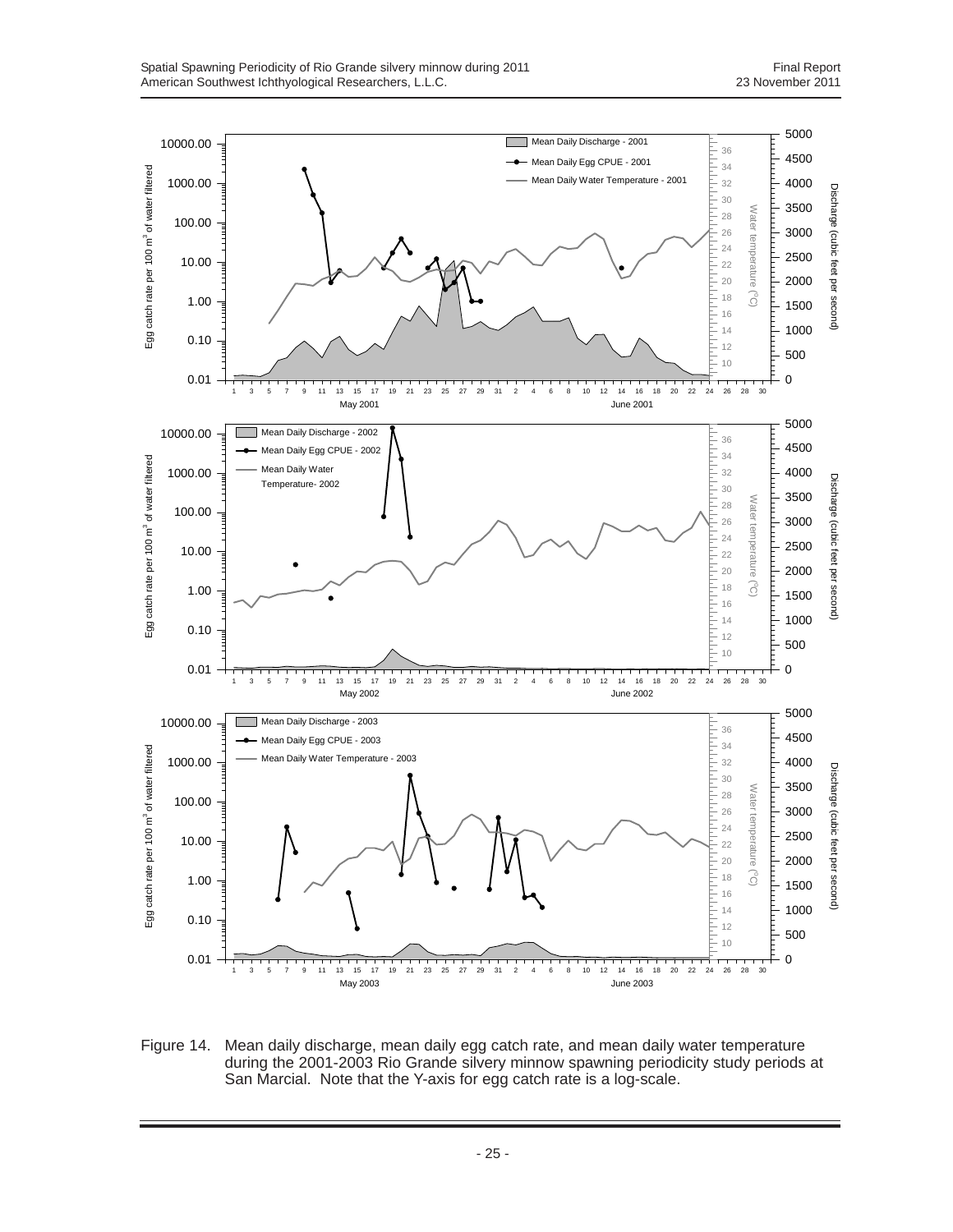![](_page_32_Figure_2.jpeg)

Figure 14. Mean daily discharge, mean daily egg catch rate, and mean daily water temperature during the 2001-2003 Rio Grande silvery minnow spawning periodicity study periods at San Marcial. Note that the Y-axis for egg catch rate is a log-scale.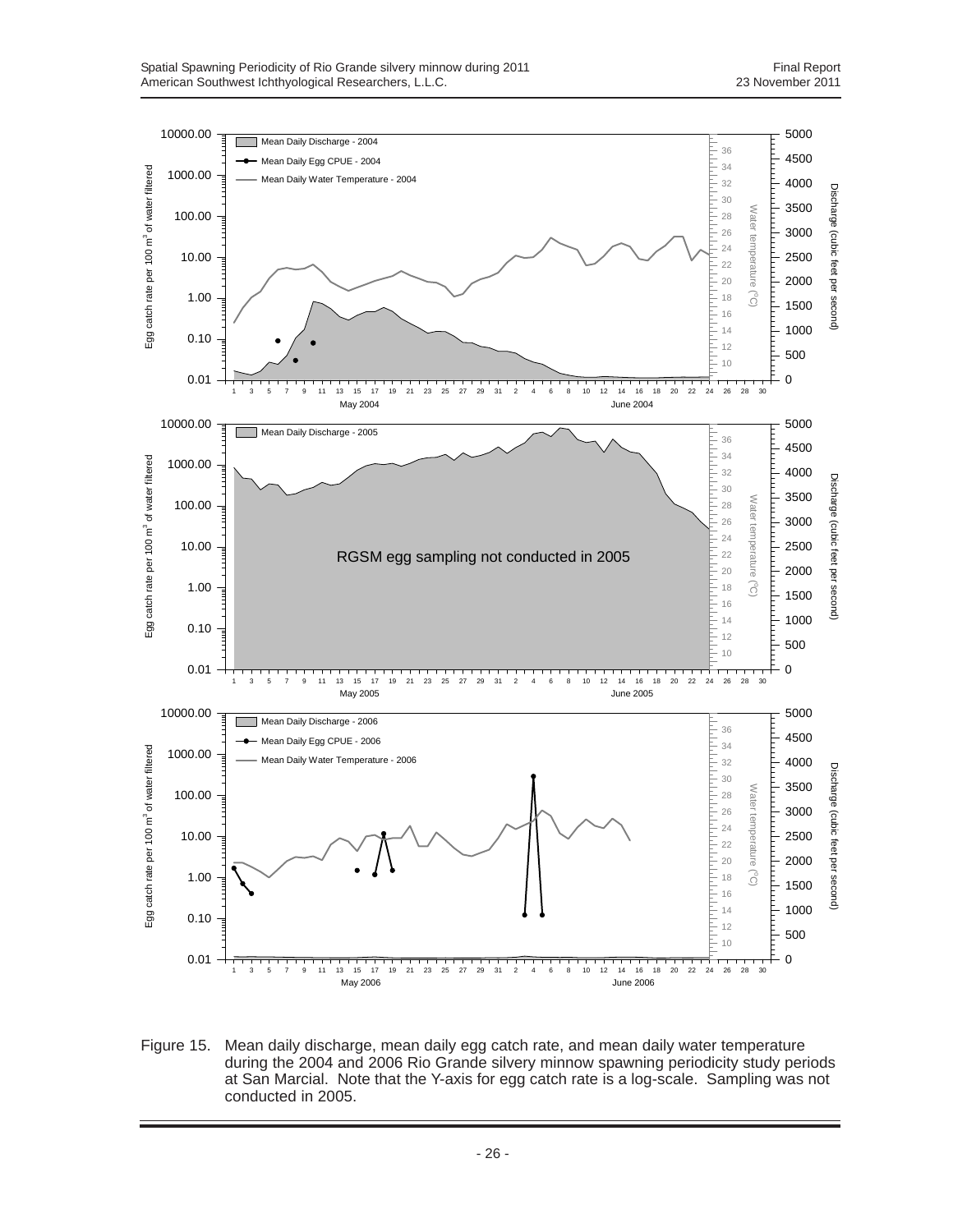![](_page_33_Figure_2.jpeg)

Figure 15. Mean daily discharge, mean daily egg catch rate, and mean daily water temperature during the 2004 and 2006 Rio Grande silvery minnow spawning periodicity study periods at San Marcial. Note that the Y-axis for egg catch rate is a log-scale. Sampling was not conducted in 2005.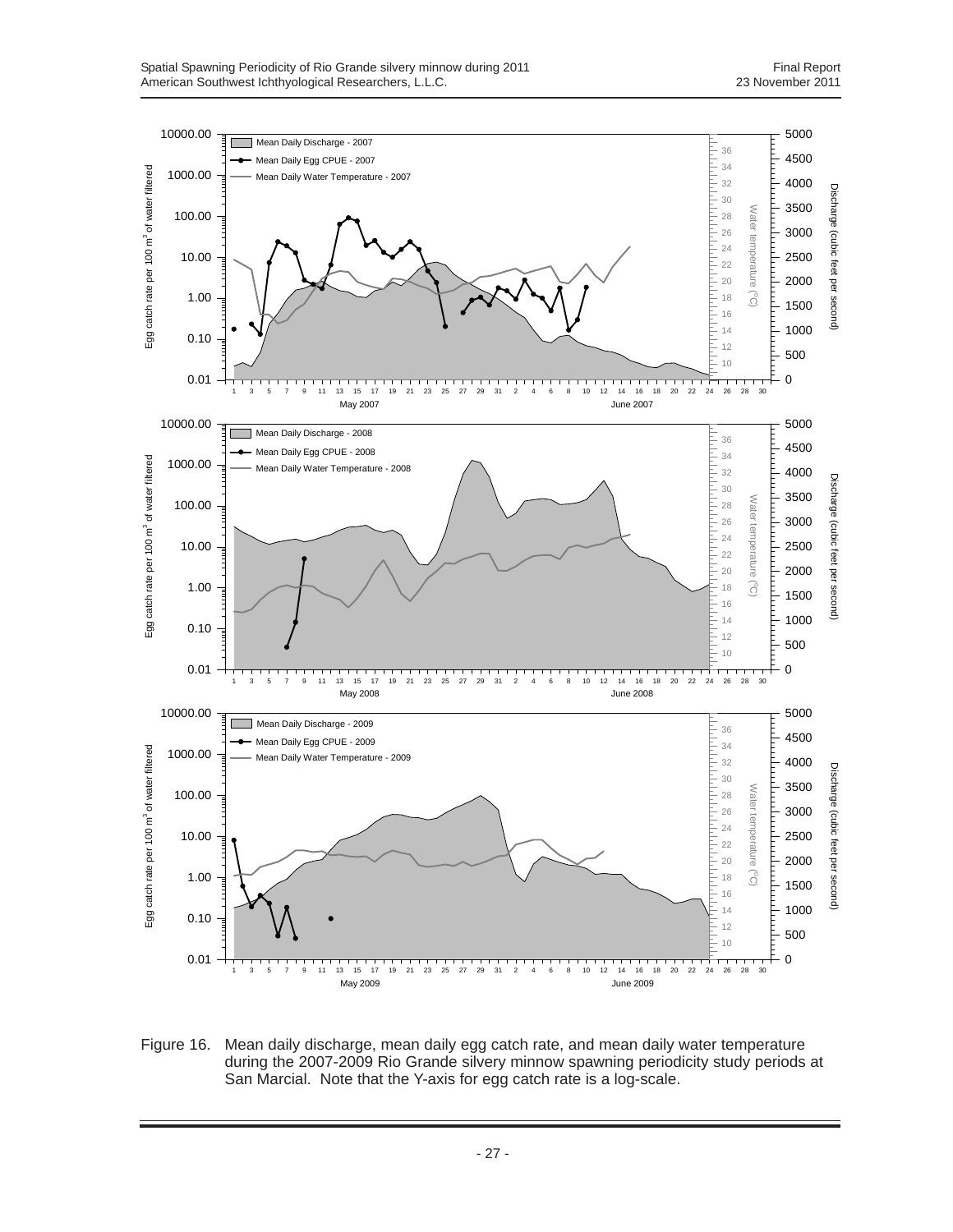![](_page_34_Figure_2.jpeg)

Figure 16. Mean daily discharge, mean daily egg catch rate, and mean daily water temperature during the 2007-2009 Rio Grande silvery minnow spawning periodicity study periods at San Marcial. Note that the Y-axis for egg catch rate is a log-scale.

- 27 -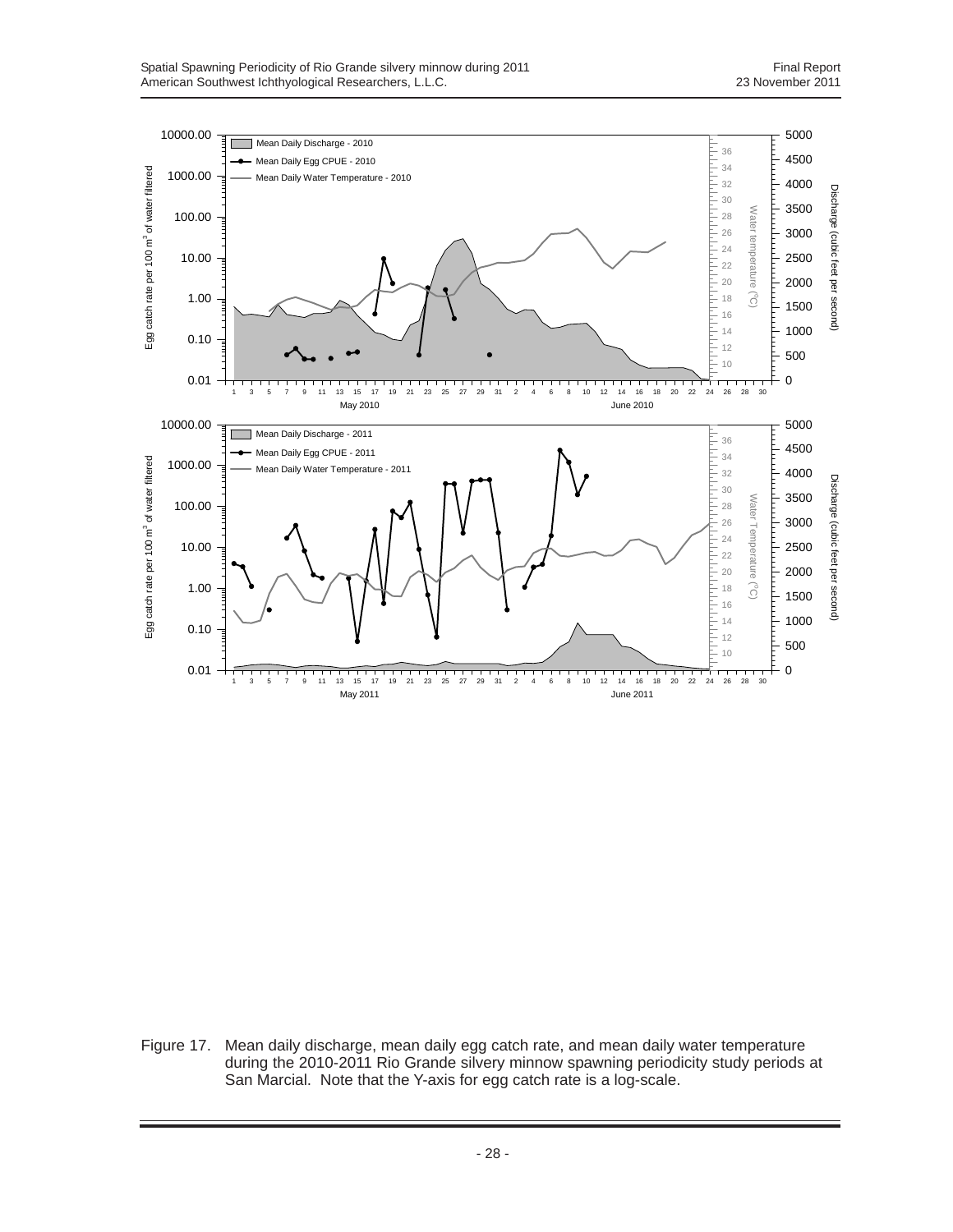![](_page_35_Figure_2.jpeg)

Figure 17. Mean daily discharge, mean daily egg catch rate, and mean daily water temperature during the 2010-2011 Rio Grande silvery minnow spawning periodicity study periods at San Marcial. Note that the Y-axis for egg catch rate is a log-scale.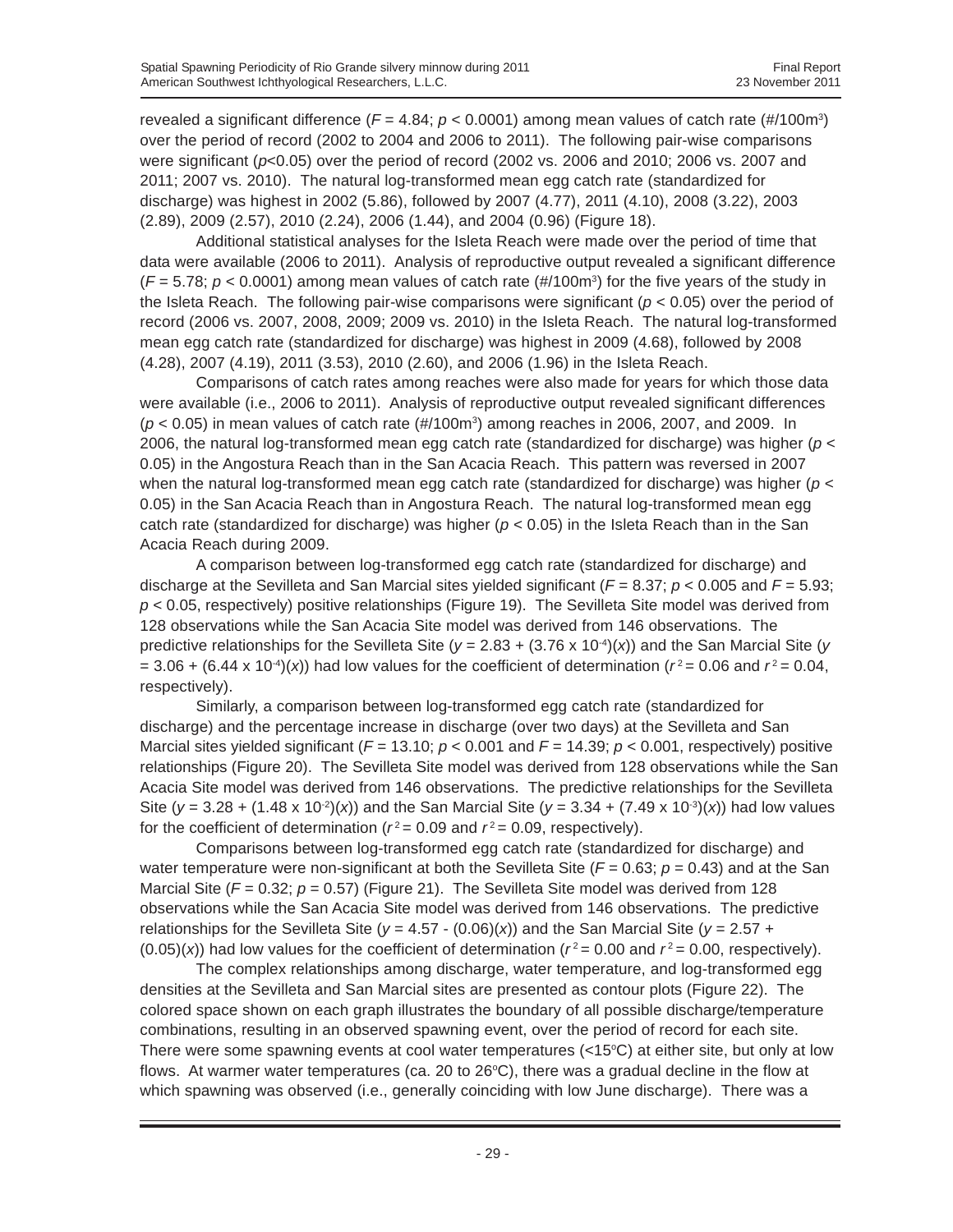revealed a significant difference (*F* = 4.84; *p* < 0.0001) among mean values of catch rate (#/100m3 ) over the period of record (2002 to 2004 and 2006 to 2011). The following pair-wise comparisons were significant (*p*<0.05) over the period of record (2002 vs. 2006 and 2010; 2006 vs. 2007 and 2011; 2007 vs. 2010). The natural log-transformed mean egg catch rate (standardized for discharge) was highest in 2002 (5.86), followed by 2007 (4.77), 2011 (4.10), 2008 (3.22), 2003 (2.89), 2009 (2.57), 2010 (2.24), 2006 (1.44), and 2004 (0.96) (Figure 18).

Additional statistical analyses for the Isleta Reach were made over the period of time that data were available (2006 to 2011). Analysis of reproductive output revealed a significant difference ( $F = 5.78$ ;  $p < 0.0001$ ) among mean values of catch rate (#/100m<sup>3</sup>) for the five years of the study in the Isleta Reach. The following pair-wise comparisons were significant (*p* < 0.05) over the period of record (2006 vs. 2007, 2008, 2009; 2009 vs. 2010) in the Isleta Reach. The natural log-transformed mean egg catch rate (standardized for discharge) was highest in 2009 (4.68), followed by 2008 (4.28), 2007 (4.19), 2011 (3.53), 2010 (2.60), and 2006 (1.96) in the Isleta Reach.

Comparisons of catch rates among reaches were also made for years for which those data were available (i.e., 2006 to 2011). Analysis of reproductive output revealed significant differences  $(p < 0.05)$  in mean values of catch rate  $(\#/100\text{m}^3)$  among reaches in 2006, 2007, and 2009. In 2006, the natural log-transformed mean egg catch rate (standardized for discharge) was higher (*p* < 0.05) in the Angostura Reach than in the San Acacia Reach. This pattern was reversed in 2007 when the natural log-transformed mean egg catch rate (standardized for discharge) was higher (*p* < 0.05) in the San Acacia Reach than in Angostura Reach. The natural log-transformed mean egg catch rate (standardized for discharge) was higher ( $p < 0.05$ ) in the Isleta Reach than in the San Acacia Reach during 2009.

A comparison between log-transformed egg catch rate (standardized for discharge) and discharge at the Sevilleta and San Marcial sites yielded significant (*F* = 8.37; *p* < 0.005 and *F* = 5.93; *p* < 0.05, respectively) positive relationships (Figure 19). The Sevilleta Site model was derived from 128 observations while the San Acacia Site model was derived from 146 observations. The predictive relationships for the Sevilleta Site ( $y = 2.83 + (3.76 \times 10^{-4})(x)$ ) and the San Marcial Site ( $y = 2.83 + (3.76 \times 10^{-4})(x)$ )  $= 3.06 + (6.44 \times 10^{-4})(x)$  had low values for the coefficient of determination ( $r^2 = 0.06$  and  $r^2 = 0.04$ , respectively).

Similarly, a comparison between log-transformed egg catch rate (standardized for discharge) and the percentage increase in discharge (over two days) at the Sevilleta and San Marcial sites yielded significant ( $F = 13.10$ ;  $p < 0.001$  and  $F = 14.39$ ;  $p < 0.001$ , respectively) positive relationships (Figure 20). The Sevilleta Site model was derived from 128 observations while the San Acacia Site model was derived from 146 observations. The predictive relationships for the Sevilleta Site ( $y = 3.28 + (1.48 \times 10^{-2})(x)$ ) and the San Marcial Site ( $y = 3.34 + (7.49 \times 10^{-3})(x)$ ) had low values for the coefficient of determination ( $r^2$  = 0.09 and  $r^2$  = 0.09, respectively).

Comparisons between log-transformed egg catch rate (standardized for discharge) and water temperature were non-significant at both the Sevilleta Site  $(F = 0.63; p = 0.43)$  and at the San Marcial Site ( $F = 0.32$ ;  $p = 0.57$ ) (Figure 21). The Sevilleta Site model was derived from 128 observations while the San Acacia Site model was derived from 146 observations. The predictive relationships for the Sevilleta Site ( $y = 4.57 - (0.06)(x)$ ) and the San Marcial Site ( $y = 2.57 +$  $(0.05)(x)$  had low values for the coefficient of determination ( $r^2 = 0.00$  and  $r^2 = 0.00$ , respectively).

The complex relationships among discharge, water temperature, and log-transformed egg densities at the Sevilleta and San Marcial sites are presented as contour plots (Figure 22). The colored space shown on each graph illustrates the boundary of all possible discharge/temperature combinations, resulting in an observed spawning event, over the period of record for each site. There were some spawning events at cool water temperatures  $\left($ <15°C) at either site, but only at low flows. At warmer water temperatures (ca. 20 to 26°C), there was a gradual decline in the flow at which spawning was observed (i.e., generally coinciding with low June discharge). There was a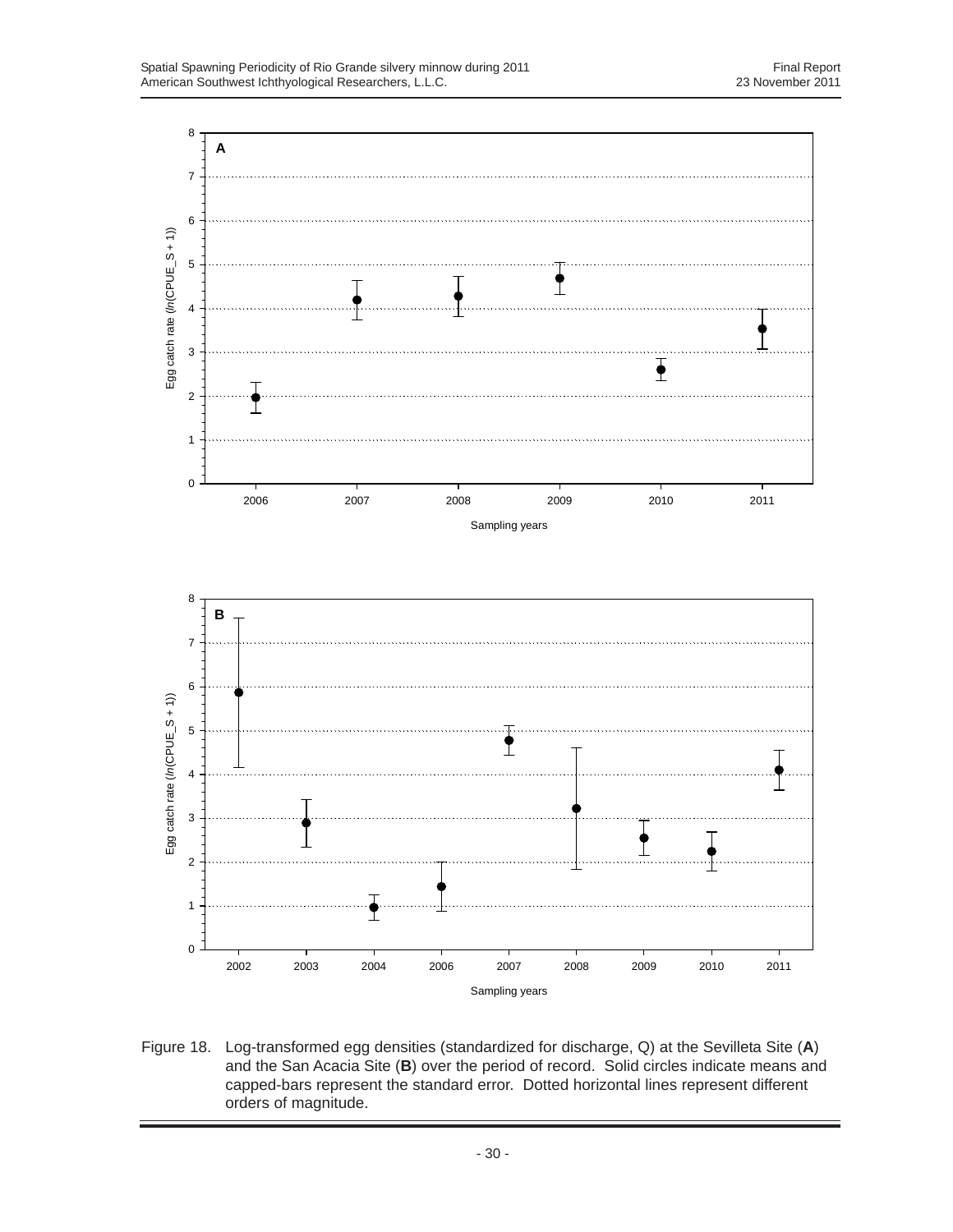![](_page_37_Figure_2.jpeg)

Figure 18. Log-transformed egg densities (standardized for discharge, Q) at the Sevilleta Site (**A**) and the San Acacia Site (**B**) over the period of record. Solid circles indicate means and capped-bars represent the standard error. Dotted horizontal lines represent different orders of magnitude.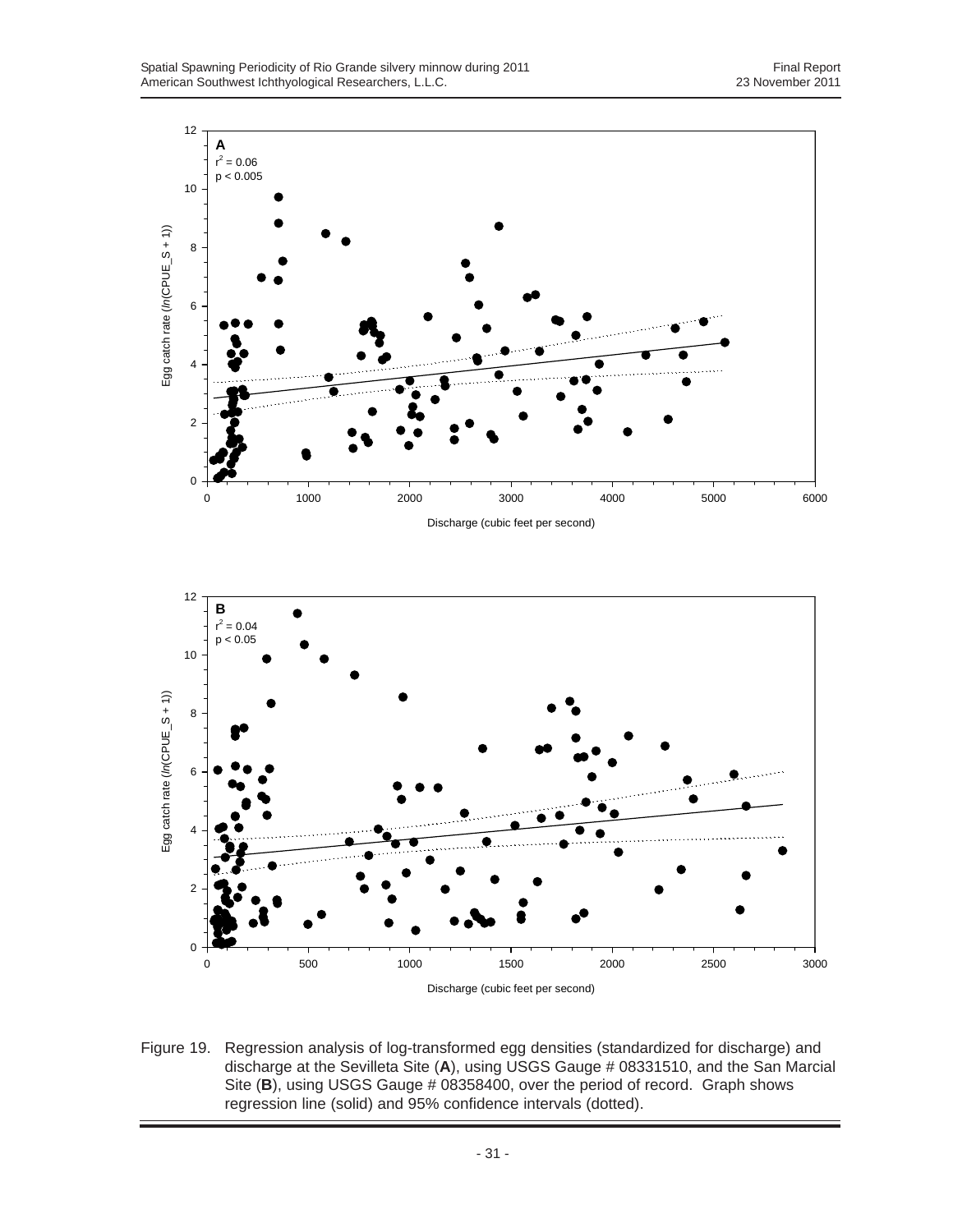![](_page_38_Figure_2.jpeg)

![](_page_38_Figure_3.jpeg)

Figure 19. Regression analysis of log-transformed egg densities (standardized for discharge) and discharge at the Sevilleta Site (**A**), using USGS Gauge # 08331510, and the San Marcial Site (B), using USGS Gauge # 08358400, over the period of record. Graph shows regression line (solid) and 95% confidence intervals (dotted).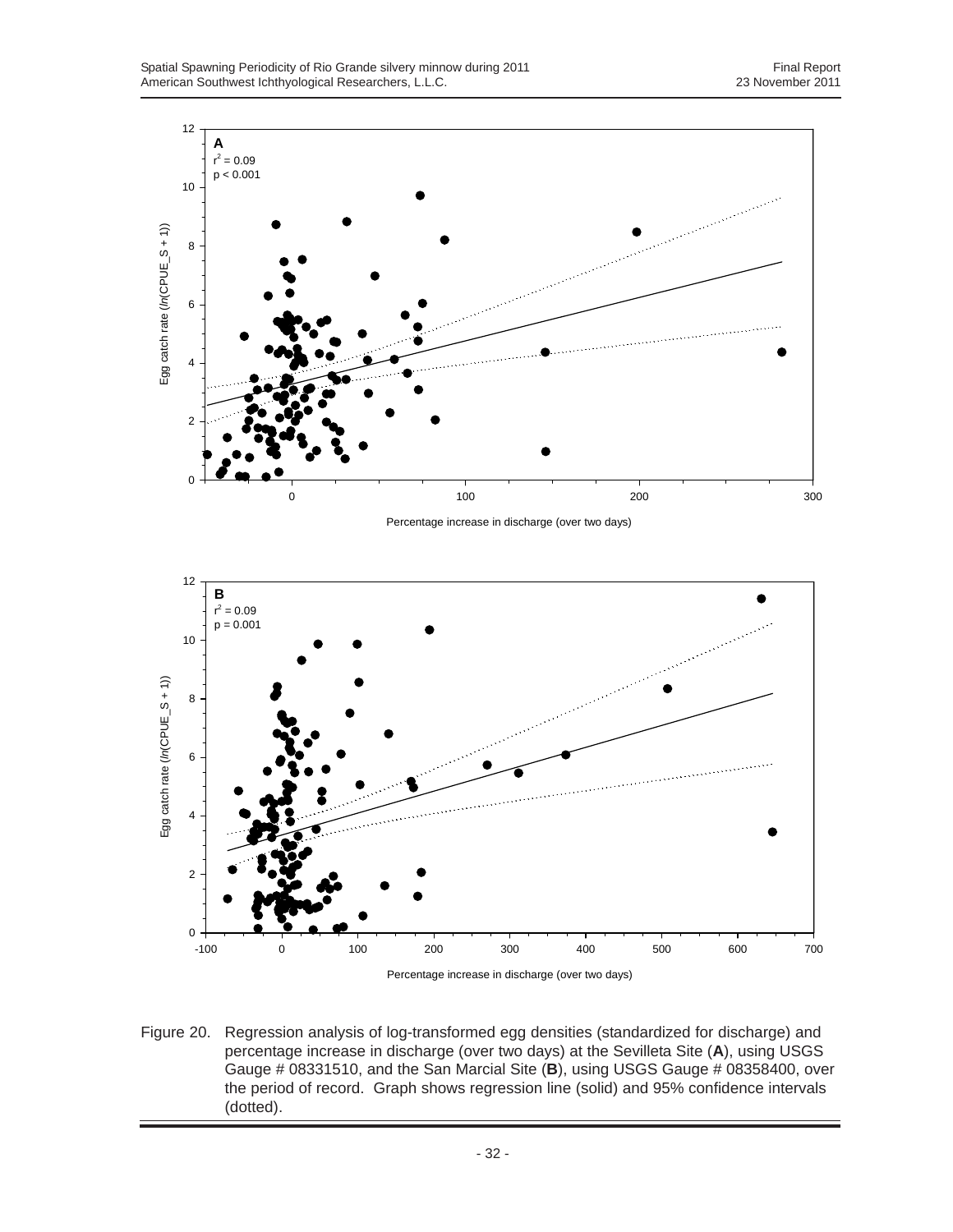![](_page_39_Figure_2.jpeg)

Percentage increase in discharge (over two days)

![](_page_39_Figure_4.jpeg)

Figure 20. Regression analysis of log-transformed egg densities (standardized for discharge) and percentage increase in discharge (over two days) at the Sevilleta Site (**A**), using USGS Gauge # 08331510, and the San Marcial Site (**B**), using USGS Gauge # 08358400, over the period of record. Graph shows regression line (solid) and 95% confidence intervals (dotted).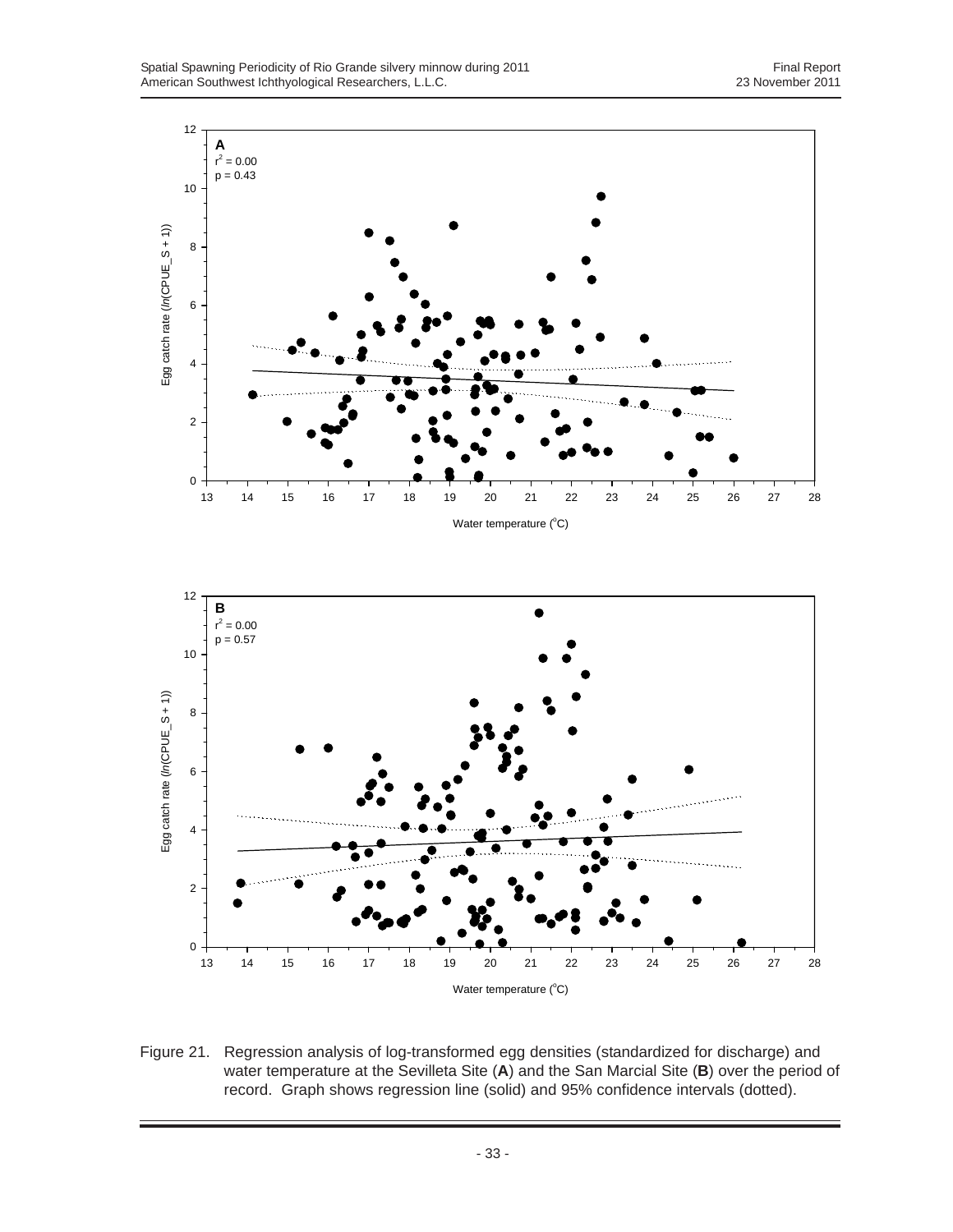![](_page_40_Figure_2.jpeg)

Figure 21. Regression analysis of log-transformed egg densities (standardized for discharge) and water temperature at the Sevilleta Site (**A**) and the San Marcial Site (**B**) over the period of record. Graph shows regression line (solid) and 95% confidence intervals (dotted).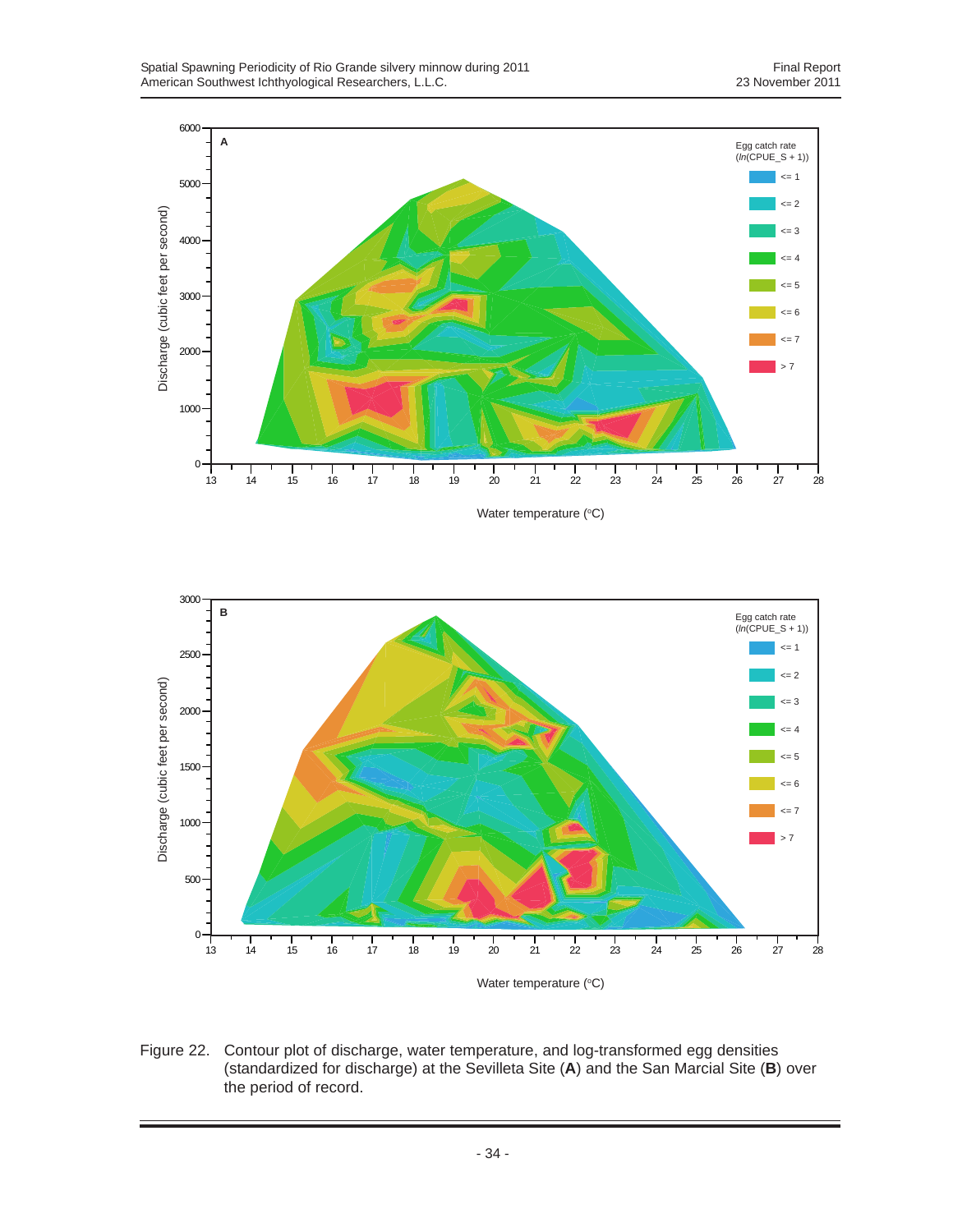![](_page_41_Figure_2.jpeg)

Water temperature (°C)

![](_page_41_Figure_4.jpeg)

Figure 22. Contour plot of discharge, water temperature, and log-transformed egg densities (standardized for discharge) at the Sevilleta Site (**A**) and the San Marcial Site (**B**) over the period of record.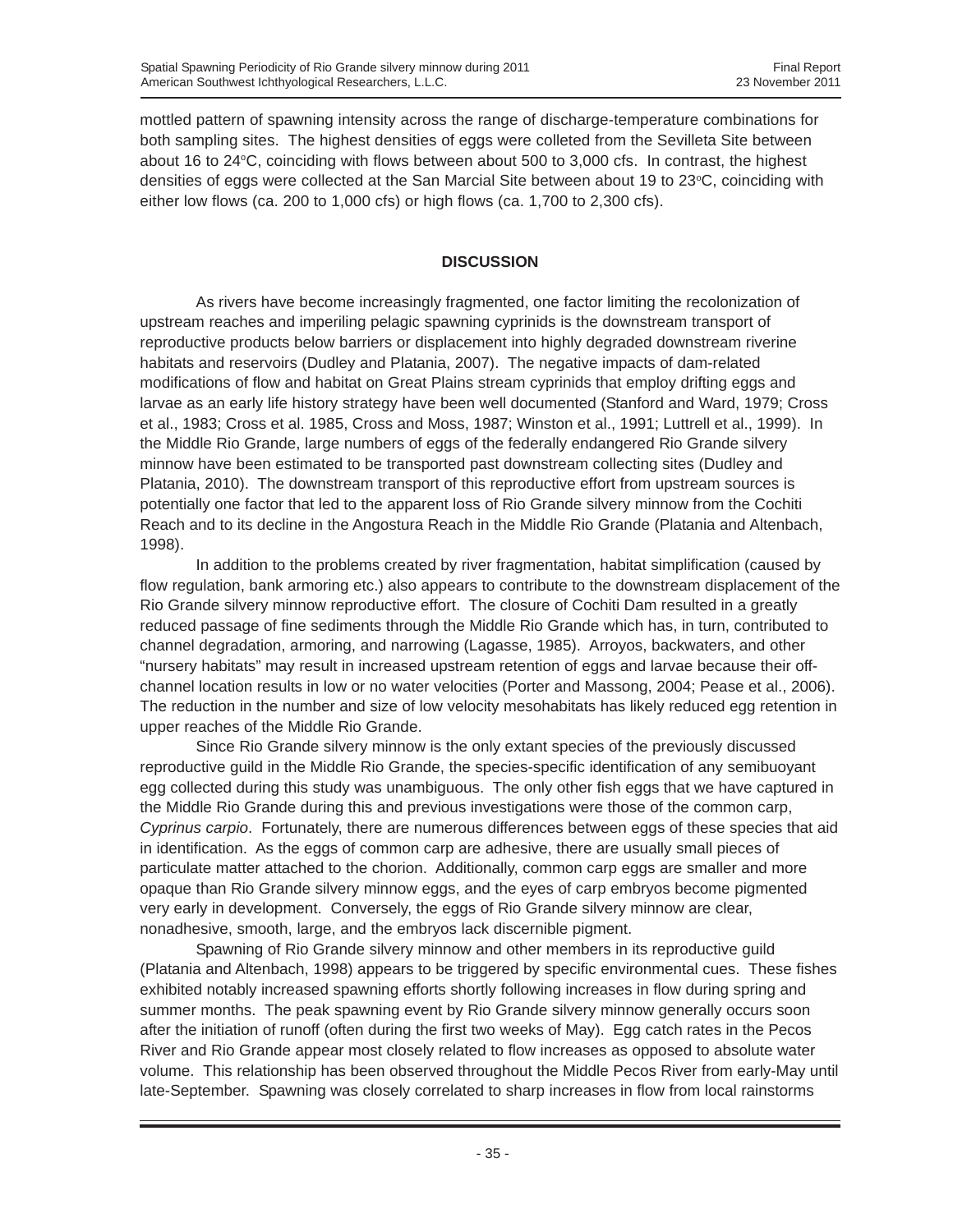mottled pattern of spawning intensity across the range of discharge-temperature combinations for both sampling sites. The highest densities of eggs were colleted from the Sevilleta Site between about 16 to 24 $\degree$ C, coinciding with flows between about 500 to 3,000 cfs. In contrast, the highest densities of eggs were collected at the San Marcial Site between about 19 to 23°C, coinciding with either low flows (ca. 200 to 1,000 cfs) or high flows (ca. 1,700 to 2,300 cfs).

# **DISCUSSION**

As rivers have become increasingly fragmented, one factor limiting the recolonization of upstream reaches and imperiling pelagic spawning cyprinids is the downstream transport of reproductive products below barriers or displacement into highly degraded downstream riverine habitats and reservoirs (Dudley and Platania, 2007). The negative impacts of dam-related modifications of flow and habitat on Great Plains stream cyprinids that employ drifting eggs and larvae as an early life history strategy have been well documented (Stanford and Ward, 1979; Cross et al., 1983; Cross et al. 1985, Cross and Moss, 1987; Winston et al., 1991; Luttrell et al., 1999). In the Middle Rio Grande, large numbers of eggs of the federally endangered Rio Grande silvery minnow have been estimated to be transported past downstream collecting sites (Dudley and Platania, 2010). The downstream transport of this reproductive effort from upstream sources is potentially one factor that led to the apparent loss of Rio Grande silvery minnow from the Cochiti Reach and to its decline in the Angostura Reach in the Middle Rio Grande (Platania and Altenbach, 1998).

In addition to the problems created by river fragmentation, habitat simplification (caused by flow regulation, bank armoring etc.) also appears to contribute to the downstream displacement of the Rio Grande silvery minnow reproductive effort. The closure of Cochiti Dam resulted in a greatly reduced passage of fine sediments through the Middle Rio Grande which has, in turn, contributed to channel degradation, armoring, and narrowing (Lagasse, 1985). Arroyos, backwaters, and other "nursery habitats" may result in increased upstream retention of eggs and larvae because their offchannel location results in low or no water velocities (Porter and Massong, 2004; Pease et al., 2006). The reduction in the number and size of low velocity mesohabitats has likely reduced egg retention in upper reaches of the Middle Rio Grande.

Since Rio Grande silvery minnow is the only extant species of the previously discussed reproductive guild in the Middle Rio Grande, the species-specific identification of any semibuoyant egg collected during this study was unambiguous. The only other fish eggs that we have captured in the Middle Rio Grande during this and previous investigations were those of the common carp, *Cyprinus carpio*. Fortunately, there are numerous differences between eggs of these species that aid in identification. As the eggs of common carp are adhesive, there are usually small pieces of particulate matter attached to the chorion. Additionally, common carp eggs are smaller and more opaque than Rio Grande silvery minnow eggs, and the eyes of carp embryos become pigmented very early in development. Conversely, the eggs of Rio Grande silvery minnow are clear, nonadhesive, smooth, large, and the embryos lack discernible pigment.

Spawning of Rio Grande silvery minnow and other members in its reproductive guild (Platania and Altenbach, 1998) appears to be triggered by specific environmental cues. These fishes exhibited notably increased spawning efforts shortly following increases in flow during spring and summer months. The peak spawning event by Rio Grande silvery minnow generally occurs soon after the initiation of runoff (often during the first two weeks of May). Egg catch rates in the Pecos River and Rio Grande appear most closely related to flow increases as opposed to absolute water volume. This relationship has been observed throughout the Middle Pecos River from early-May until late-September. Spawning was closely correlated to sharp increases in flow from local rainstorms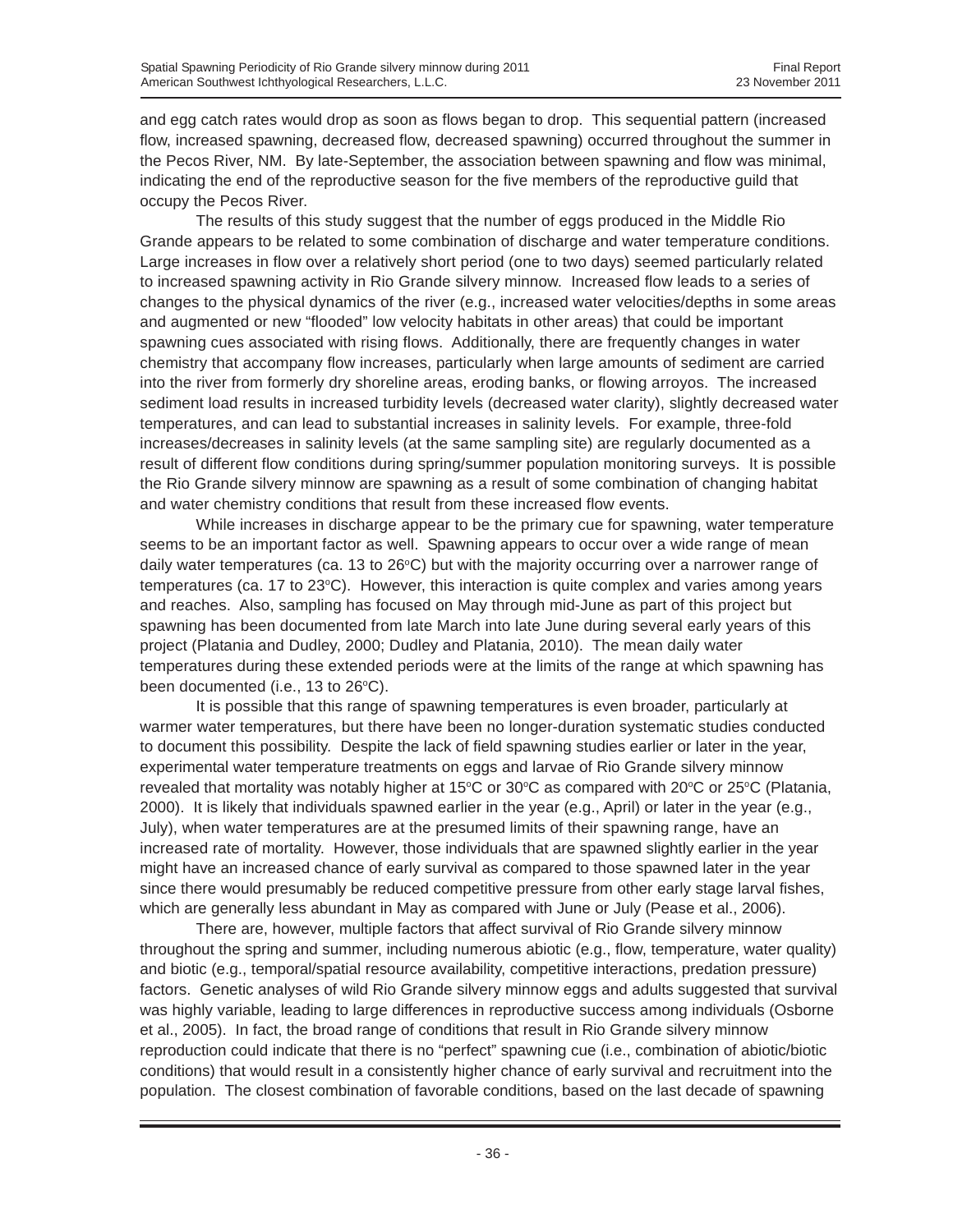and egg catch rates would drop as soon as flows began to drop. This sequential pattern (increased flow, increased spawning, decreased flow, decreased spawning) occurred throughout the summer in the Pecos River, NM. By late-September, the association between spawning and flow was minimal, indicating the end of the reproductive season for the five members of the reproductive guild that occupy the Pecos River.

The results of this study suggest that the number of eggs produced in the Middle Rio Grande appears to be related to some combination of discharge and water temperature conditions. Large increases in flow over a relatively short period (one to two days) seemed particularly related to increased spawning activity in Rio Grande silvery minnow. Increased flow leads to a series of changes to the physical dynamics of the river (e.g., increased water velocities/depths in some areas and augmented or new "flooded" low velocity habitats in other areas) that could be important spawning cues associated with rising flows. Additionally, there are frequently changes in water chemistry that accompany flow increases, particularly when large amounts of sediment are carried into the river from formerly dry shoreline areas, eroding banks, or flowing arroyos. The increased sediment load results in increased turbidity levels (decreased water clarity), slightly decreased water temperatures, and can lead to substantial increases in salinity levels. For example, three-fold increases/decreases in salinity levels (at the same sampling site) are regularly documented as a result of different flow conditions during spring/summer population monitoring surveys. It is possible the Rio Grande silvery minnow are spawning as a result of some combination of changing habitat and water chemistry conditions that result from these increased flow events.

While increases in discharge appear to be the primary cue for spawning, water temperature seems to be an important factor as well. Spawning appears to occur over a wide range of mean daily water temperatures (ca. 13 to  $26^{\circ}$ C) but with the majority occurring over a narrower range of temperatures (ca. 17 to 23°C). However, this interaction is quite complex and varies among years and reaches. Also, sampling has focused on May through mid-June as part of this project but spawning has been documented from late March into late June during several early years of this project (Platania and Dudley, 2000; Dudley and Platania, 2010). The mean daily water temperatures during these extended periods were at the limits of the range at which spawning has been documented (i.e., 13 to 26°C).

It is possible that this range of spawning temperatures is even broader, particularly at warmer water temperatures, but there have been no longer-duration systematic studies conducted to document this possibility. Despite the lack of field spawning studies earlier or later in the year, experimental water temperature treatments on eggs and larvae of Rio Grande silvery minnow revealed that mortality was notably higher at 15°C or 30°C as compared with 20°C or 25°C (Platania, 2000). It is likely that individuals spawned earlier in the year (e.g., April) or later in the year (e.g., July), when water temperatures are at the presumed limits of their spawning range, have an increased rate of mortality. However, those individuals that are spawned slightly earlier in the year might have an increased chance of early survival as compared to those spawned later in the year since there would presumably be reduced competitive pressure from other early stage larval fishes, which are generally less abundant in May as compared with June or July (Pease et al., 2006).

There are, however, multiple factors that affect survival of Rio Grande silvery minnow throughout the spring and summer, including numerous abiotic (e.g., flow, temperature, water quality) and biotic (e.g., temporal/spatial resource availability, competitive interactions, predation pressure) factors. Genetic analyses of wild Rio Grande silvery minnow eggs and adults suggested that survival was highly variable, leading to large differences in reproductive success among individuals (Osborne et al., 2005). In fact, the broad range of conditions that result in Rio Grande silvery minnow reproduction could indicate that there is no "perfect" spawning cue (i.e., combination of abiotic/biotic conditions) that would result in a consistently higher chance of early survival and recruitment into the population. The closest combination of favorable conditions, based on the last decade of spawning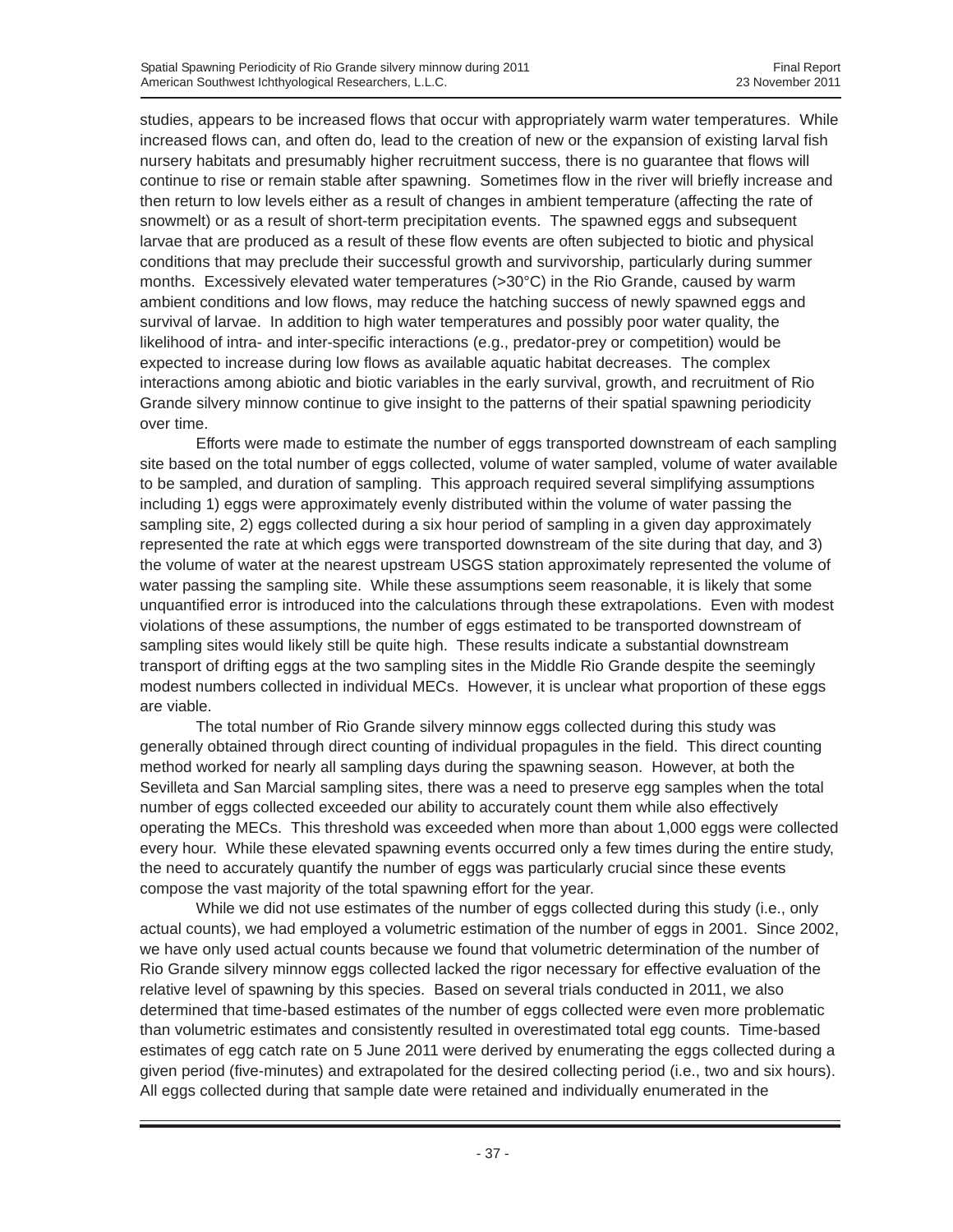studies, appears to be increased flows that occur with appropriately warm water temperatures. While increased flows can, and often do, lead to the creation of new or the expansion of existing larval fish nursery habitats and presumably higher recruitment success, there is no guarantee that flows will continue to rise or remain stable after spawning. Sometimes flow in the river will briefly increase and then return to low levels either as a result of changes in ambient temperature (affecting the rate of snowmelt) or as a result of short-term precipitation events. The spawned eggs and subsequent larvae that are produced as a result of these flow events are often subjected to biotic and physical conditions that may preclude their successful growth and survivorship, particularly during summer months. Excessively elevated water temperatures (>30°C) in the Rio Grande, caused by warm ambient conditions and low flows, may reduce the hatching success of newly spawned eggs and survival of larvae. In addition to high water temperatures and possibly poor water quality, the likelihood of intra- and inter-specific interactions (e.g., predator-prey or competition) would be expected to increase during low flows as available aquatic habitat decreases. The complex interactions among abiotic and biotic variables in the early survival, growth, and recruitment of Rio Grande silvery minnow continue to give insight to the patterns of their spatial spawning periodicity over time.

Efforts were made to estimate the number of eggs transported downstream of each sampling site based on the total number of eggs collected, volume of water sampled, volume of water available to be sampled, and duration of sampling. This approach required several simplifying assumptions including 1) eggs were approximately evenly distributed within the volume of water passing the sampling site, 2) eggs collected during a six hour period of sampling in a given day approximately represented the rate at which eggs were transported downstream of the site during that day, and 3) the volume of water at the nearest upstream USGS station approximately represented the volume of water passing the sampling site. While these assumptions seem reasonable, it is likely that some unquantified error is introduced into the calculations through these extrapolations. Even with modest violations of these assumptions, the number of eggs estimated to be transported downstream of sampling sites would likely still be quite high. These results indicate a substantial downstream transport of drifting eggs at the two sampling sites in the Middle Rio Grande despite the seemingly modest numbers collected in individual MECs. However, it is unclear what proportion of these eggs are viable.

The total number of Rio Grande silvery minnow eggs collected during this study was generally obtained through direct counting of individual propagules in the field. This direct counting method worked for nearly all sampling days during the spawning season. However, at both the Sevilleta and San Marcial sampling sites, there was a need to preserve egg samples when the total number of eggs collected exceeded our ability to accurately count them while also effectively operating the MECs. This threshold was exceeded when more than about 1,000 eggs were collected every hour. While these elevated spawning events occurred only a few times during the entire study, the need to accurately quantify the number of eggs was particularly crucial since these events compose the vast majority of the total spawning effort for the year.

While we did not use estimates of the number of eggs collected during this study (i.e., only actual counts), we had employed a volumetric estimation of the number of eggs in 2001. Since 2002, we have only used actual counts because we found that volumetric determination of the number of Rio Grande silvery minnow eggs collected lacked the rigor necessary for effective evaluation of the relative level of spawning by this species. Based on several trials conducted in 2011, we also determined that time-based estimates of the number of eggs collected were even more problematic than volumetric estimates and consistently resulted in overestimated total egg counts. Time-based estimates of egg catch rate on 5 June 2011 were derived by enumerating the eggs collected during a given period (five-minutes) and extrapolated for the desired collecting period (i.e., two and six hours). All eggs collected during that sample date were retained and individually enumerated in the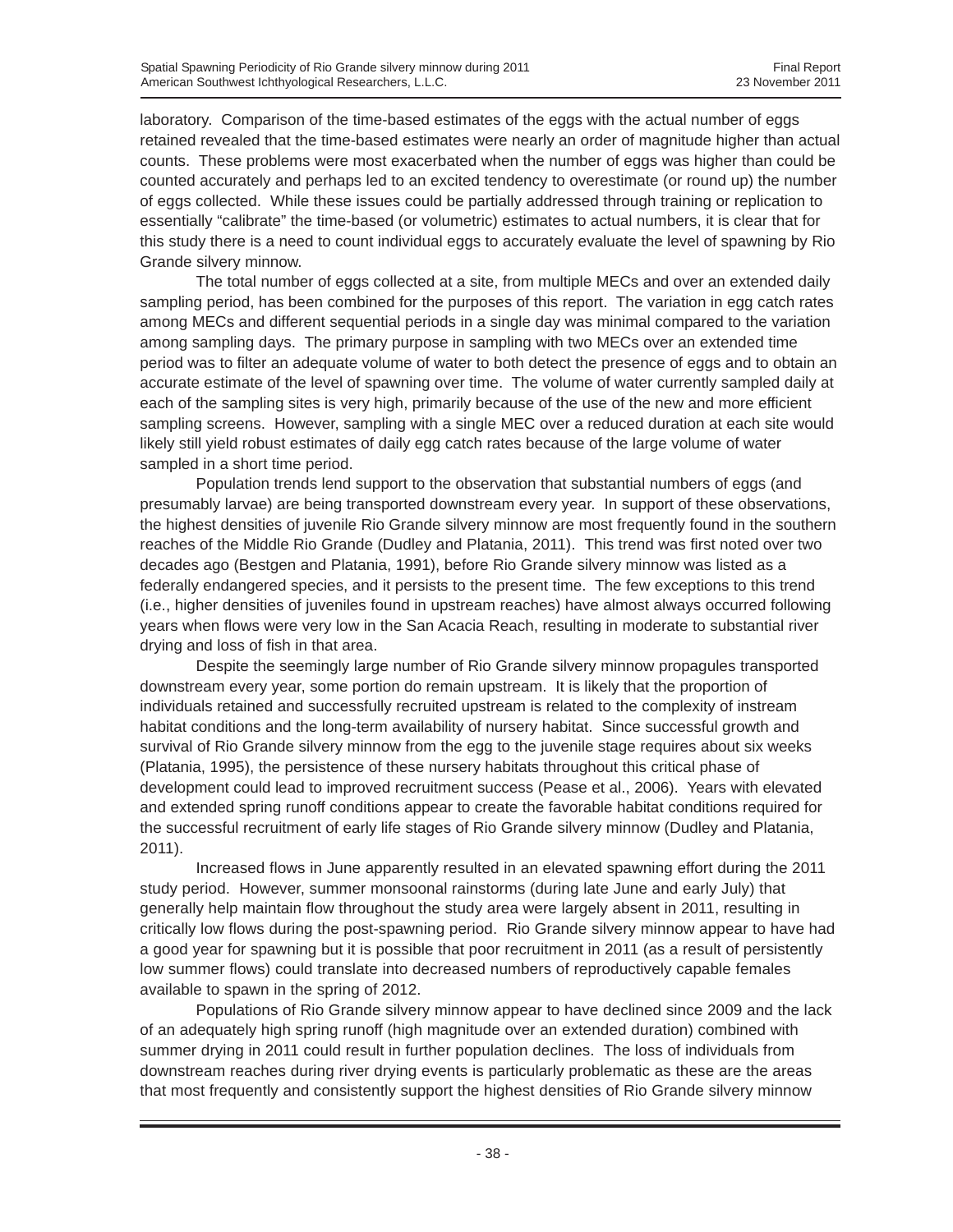laboratory. Comparison of the time-based estimates of the eggs with the actual number of eggs retained revealed that the time-based estimates were nearly an order of magnitude higher than actual counts. These problems were most exacerbated when the number of eggs was higher than could be counted accurately and perhaps led to an excited tendency to overestimate (or round up) the number of eggs collected. While these issues could be partially addressed through training or replication to essentially "calibrate" the time-based (or volumetric) estimates to actual numbers, it is clear that for this study there is a need to count individual eggs to accurately evaluate the level of spawning by Rio Grande silvery minnow.

The total number of eggs collected at a site, from multiple MECs and over an extended daily sampling period, has been combined for the purposes of this report. The variation in egg catch rates among MECs and different sequential periods in a single day was minimal compared to the variation among sampling days. The primary purpose in sampling with two MECs over an extended time period was to filter an adequate volume of water to both detect the presence of eggs and to obtain an accurate estimate of the level of spawning over time. The volume of water currently sampled daily at each of the sampling sites is very high, primarily because of the use of the new and more efficient sampling screens. However, sampling with a single MEC over a reduced duration at each site would likely still yield robust estimates of daily egg catch rates because of the large volume of water sampled in a short time period.

Population trends lend support to the observation that substantial numbers of eggs (and presumably larvae) are being transported downstream every year. In support of these observations, the highest densities of juvenile Rio Grande silvery minnow are most frequently found in the southern reaches of the Middle Rio Grande (Dudley and Platania, 2011). This trend was first noted over two decades ago (Bestgen and Platania, 1991), before Rio Grande silvery minnow was listed as a federally endangered species, and it persists to the present time. The few exceptions to this trend (i.e., higher densities of juveniles found in upstream reaches) have almost always occurred following years when flows were very low in the San Acacia Reach, resulting in moderate to substantial river drying and loss of fish in that area.

Despite the seemingly large number of Rio Grande silvery minnow propagules transported downstream every year, some portion do remain upstream. It is likely that the proportion of individuals retained and successfully recruited upstream is related to the complexity of instream habitat conditions and the long-term availability of nursery habitat. Since successful growth and survival of Rio Grande silvery minnow from the egg to the juvenile stage requires about six weeks (Platania, 1995), the persistence of these nursery habitats throughout this critical phase of development could lead to improved recruitment success (Pease et al., 2006). Years with elevated and extended spring runoff conditions appear to create the favorable habitat conditions required for the successful recruitment of early life stages of Rio Grande silvery minnow (Dudley and Platania, 2011).

Increased flows in June apparently resulted in an elevated spawning effort during the 2011 study period. However, summer monsoonal rainstorms (during late June and early July) that generally help maintain flow throughout the study area were largely absent in 2011, resulting in critically low flows during the post-spawning period. Rio Grande silvery minnow appear to have had a good year for spawning but it is possible that poor recruitment in 2011 (as a result of persistently low summer flows) could translate into decreased numbers of reproductively capable females available to spawn in the spring of 2012.

Populations of Rio Grande silvery minnow appear to have declined since 2009 and the lack of an adequately high spring runoff (high magnitude over an extended duration) combined with summer drying in 2011 could result in further population declines. The loss of individuals from downstream reaches during river drying events is particularly problematic as these are the areas that most frequently and consistently support the highest densities of Rio Grande silvery minnow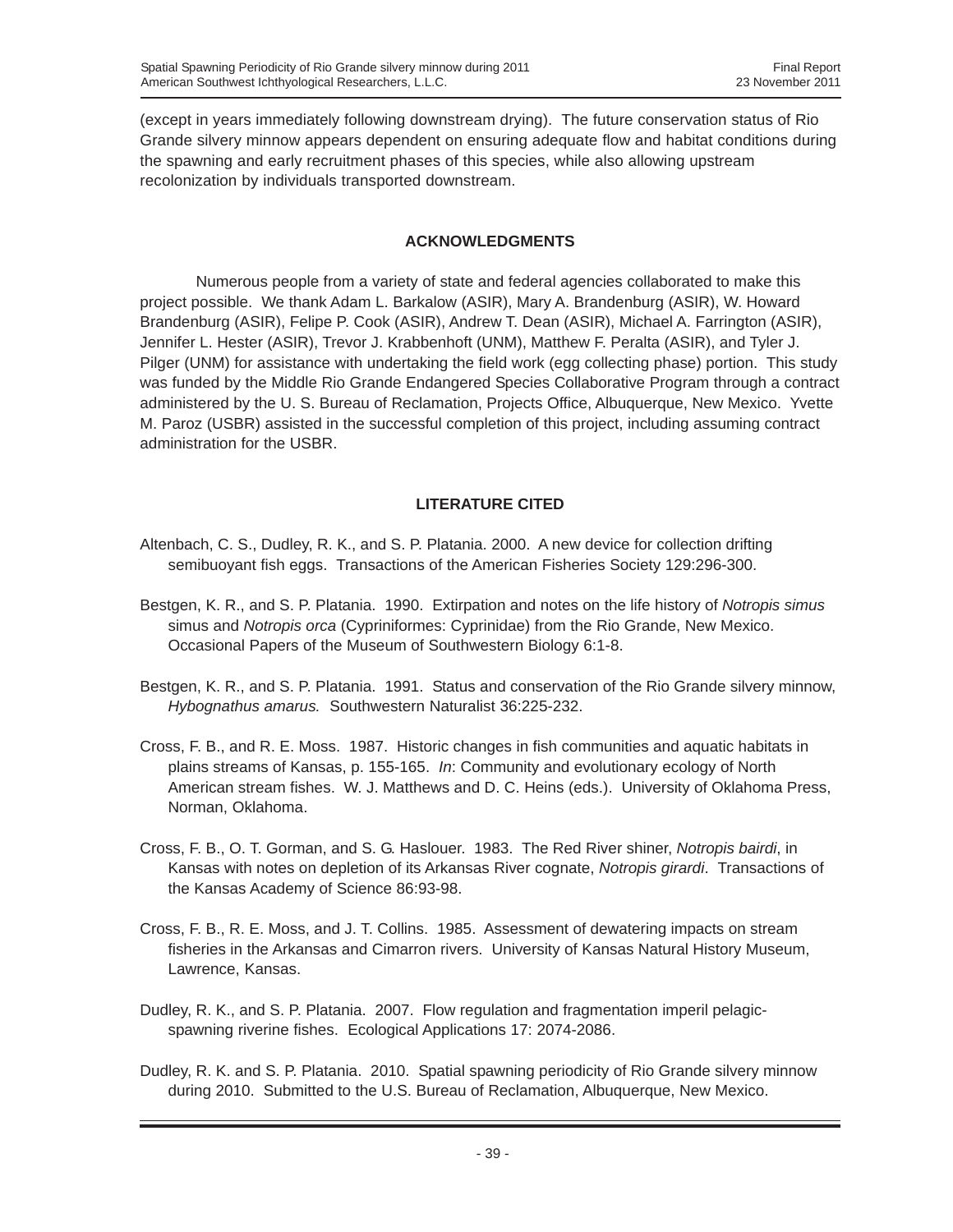(except in years immediately following downstream drying). The future conservation status of Rio Grande silvery minnow appears dependent on ensuring adequate flow and habitat conditions during the spawning and early recruitment phases of this species, while also allowing upstream recolonization by individuals transported downstream.

# **ACKNOWLEDGMENTS**

Numerous people from a variety of state and federal agencies collaborated to make this project possible. We thank Adam L. Barkalow (ASIR), Mary A. Brandenburg (ASIR), W. Howard Brandenburg (ASIR), Felipe P. Cook (ASIR), Andrew T. Dean (ASIR), Michael A. Farrington (ASIR), Jennifer L. Hester (ASIR), Trevor J. Krabbenhoft (UNM), Matthew F. Peralta (ASIR), and Tyler J. Pilger (UNM) for assistance with undertaking the field work (egg collecting phase) portion. This study was funded by the Middle Rio Grande Endangered Species Collaborative Program through a contract administered by the U. S. Bureau of Reclamation, Projects Office, Albuquerque, New Mexico. Yvette M. Paroz (USBR) assisted in the successful completion of this project, including assuming contract administration for the USBR.

# **LITERATURE CITED**

- Altenbach, C. S., Dudley, R. K., and S. P. Platania. 2000. A new device for collection drifting semibuoyant fish eggs. Transactions of the American Fisheries Society 129:296-300.
- Bestgen, K. R., and S. P. Platania. 1990. Extirpation and notes on the life history of *Notropis simus* simus and *Notropis orca* (Cypriniformes: Cyprinidae) from the Rio Grande, New Mexico. Occasional Papers of the Museum of Southwestern Biology 6:1-8.
- Bestgen, K. R., and S. P. Platania. 1991. Status and conservation of the Rio Grande silvery minnow, *Hybognathus amarus.* Southwestern Naturalist 36:225-232.
- Cross, F. B., and R. E. Moss. 1987. Historic changes in fish communities and aquatic habitats in plains streams of Kansas, p. 155-165. *In*: Community and evolutionary ecology of North American stream fishes. W. J. Matthews and D. C. Heins (eds.). University of Oklahoma Press, Norman, Oklahoma.
- Cross, F. B., O. T. Gorman, and S. G. Haslouer. 1983. The Red River shiner, *Notropis bairdi*, in Kansas with notes on depletion of its Arkansas River cognate, *Notropis girardi*. Transactions of the Kansas Academy of Science 86:93-98.
- Cross, F. B., R. E. Moss, and J. T. Collins. 1985. Assessment of dewatering impacts on stream fisheries in the Arkansas and Cimarron rivers. University of Kansas Natural History Museum, Lawrence, Kansas.
- Dudley, R. K., and S. P. Platania. 2007. Flow regulation and fragmentation imperil pelagicspawning riverine fishes. Ecological Applications 17: 2074-2086.
- Dudley, R. K. and S. P. Platania. 2010. Spatial spawning periodicity of Rio Grande silvery minnow during 2010. Submitted to the U.S. Bureau of Reclamation, Albuquerque, New Mexico.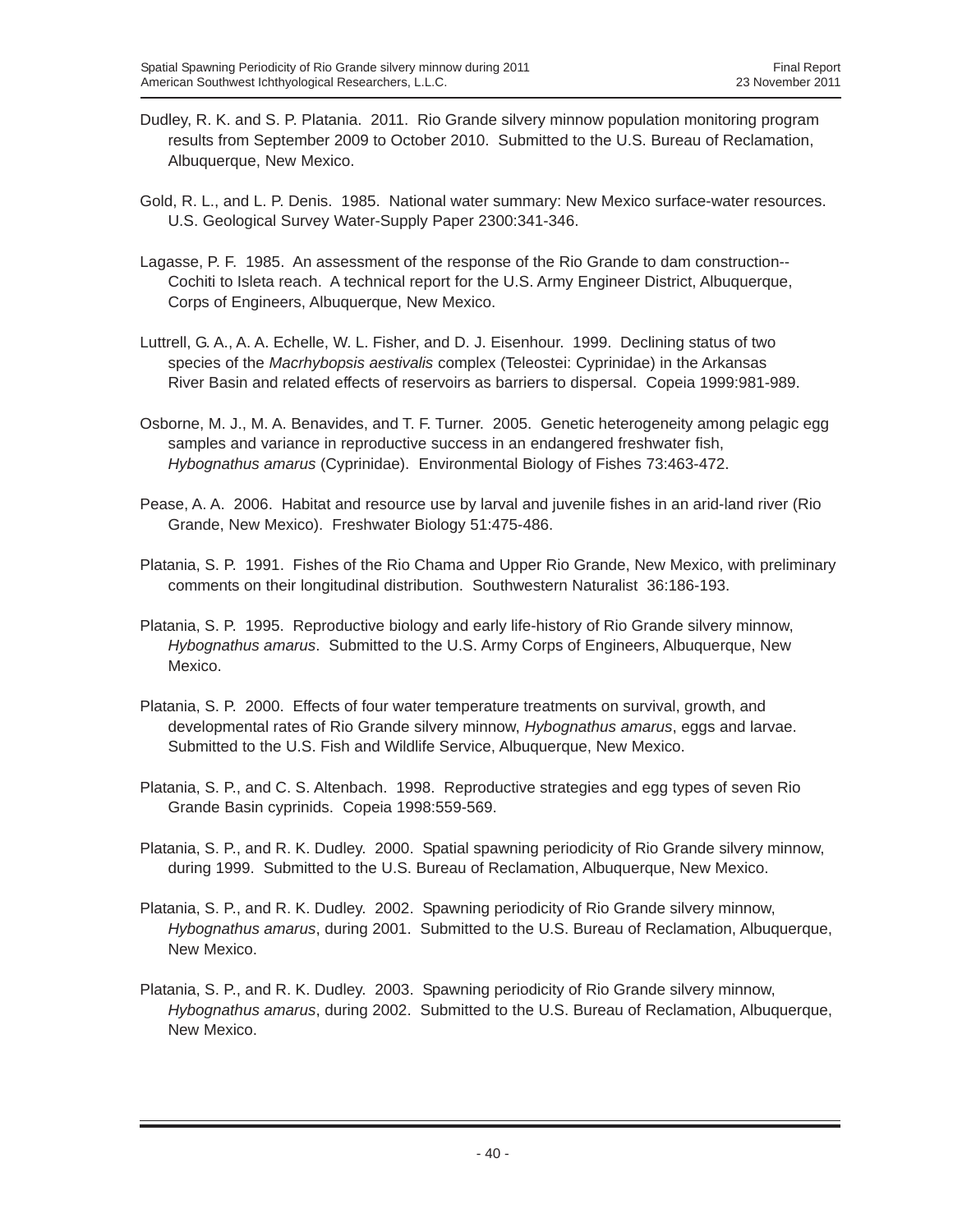- Dudley, R. K. and S. P. Platania. 2011. Rio Grande silvery minnow population monitoring program results from September 2009 to October 2010. Submitted to the U.S. Bureau of Reclamation, Albuquerque, New Mexico.
- Gold, R. L., and L. P. Denis. 1985. National water summary: New Mexico surface-water resources. U.S. Geological Survey Water-Supply Paper 2300:341-346.
- Lagasse, P. F. 1985. An assessment of the response of the Rio Grande to dam construction-- Cochiti to Isleta reach. A technical report for the U.S. Army Engineer District, Albuquerque, Corps of Engineers, Albuquerque, New Mexico.
- Luttrell, G. A., A. A. Echelle, W. L. Fisher, and D. J. Eisenhour. 1999. Declining status of two species of the *Macrhybopsis aestivalis* complex (Teleostei: Cyprinidae) in the Arkansas River Basin and related effects of reservoirs as barriers to dispersal. Copeia 1999:981-989.
- Osborne, M. J., M. A. Benavides, and T. F. Turner. 2005. Genetic heterogeneity among pelagic egg samples and variance in reproductive success in an endangered freshwater fish, *Hybognathus amarus* (Cyprinidae). Environmental Biology of Fishes 73:463-472.
- Pease, A. A. 2006. Habitat and resource use by larval and juvenile fishes in an arid-land river (Rio Grande, New Mexico). Freshwater Biology 51:475-486.
- Platania, S. P. 1991. Fishes of the Rio Chama and Upper Rio Grande, New Mexico, with preliminary comments on their longitudinal distribution. Southwestern Naturalist 36:186-193.
- Platania, S. P. 1995. Reproductive biology and early life-history of Rio Grande silvery minnow, *Hybognathus amarus*. Submitted to the U.S. Army Corps of Engineers, Albuquerque, New Mexico.
- Platania, S. P. 2000. Effects of four water temperature treatments on survival, growth, and developmental rates of Rio Grande silvery minnow, *Hybognathus amarus*, eggs and larvae. Submitted to the U.S. Fish and Wildlife Service, Albuquerque, New Mexico.
- Platania, S. P., and C. S. Altenbach. 1998. Reproductive strategies and egg types of seven Rio Grande Basin cyprinids. Copeia 1998:559-569.
- Platania, S. P., and R. K. Dudley. 2000. Spatial spawning periodicity of Rio Grande silvery minnow, during 1999. Submitted to the U.S. Bureau of Reclamation, Albuquerque, New Mexico.
- Platania, S. P., and R. K. Dudley. 2002. Spawning periodicity of Rio Grande silvery minnow, *Hybognathus amarus*, during 2001. Submitted to the U.S. Bureau of Reclamation, Albuquerque, New Mexico.
- Platania, S. P., and R. K. Dudley. 2003. Spawning periodicity of Rio Grande silvery minnow, *Hybognathus amarus*, during 2002. Submitted to the U.S. Bureau of Reclamation, Albuquerque, New Mexico.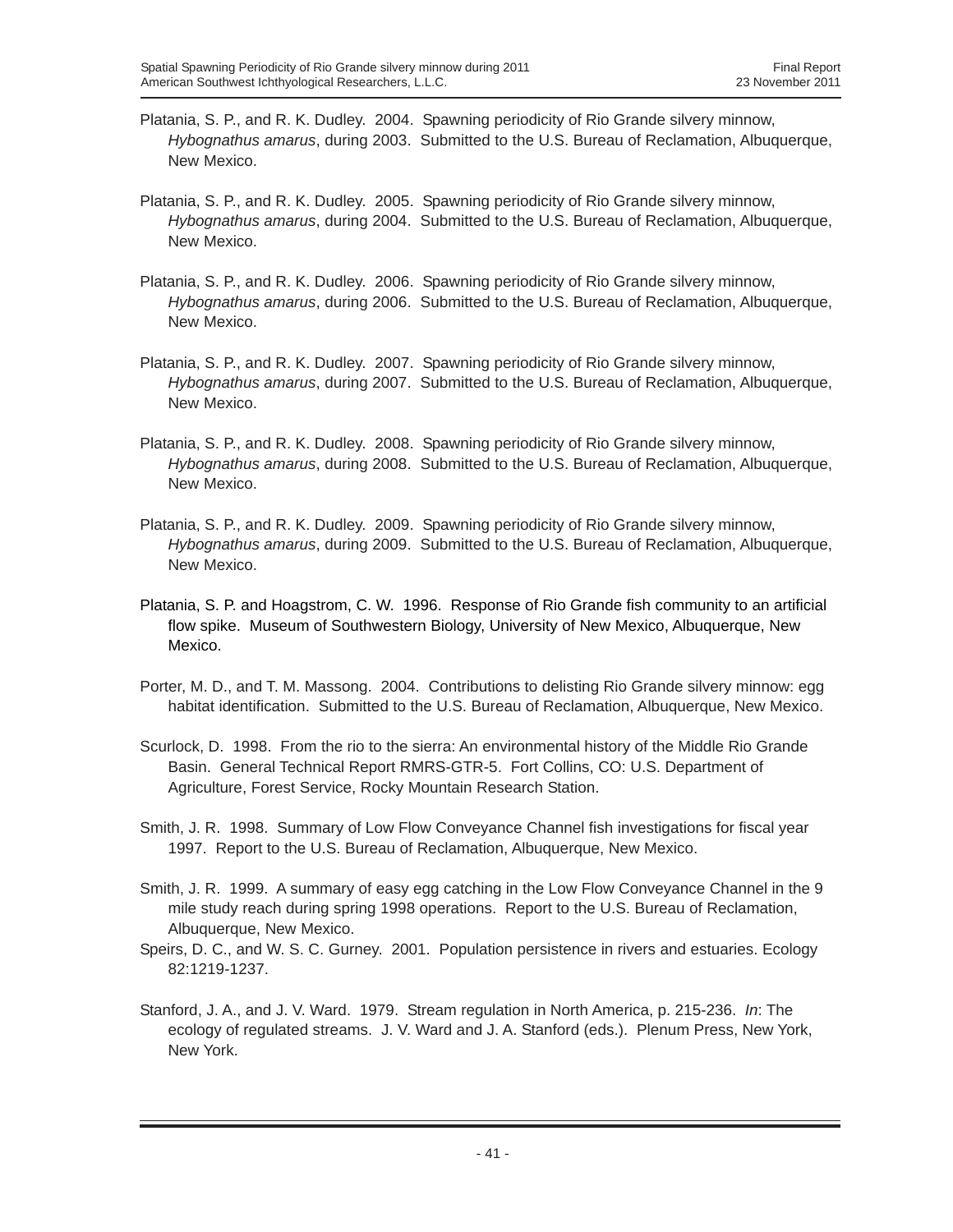- Platania, S. P., and R. K. Dudley. 2004. Spawning periodicity of Rio Grande silvery minnow, *Hybognathus amarus*, during 2003. Submitted to the U.S. Bureau of Reclamation, Albuquerque, New Mexico.
- Platania, S. P., and R. K. Dudley. 2005. Spawning periodicity of Rio Grande silvery minnow, *Hybognathus amarus*, during 2004. Submitted to the U.S. Bureau of Reclamation, Albuquerque, New Mexico.
- Platania, S. P., and R. K. Dudley. 2006. Spawning periodicity of Rio Grande silvery minnow, *Hybognathus amarus*, during 2006. Submitted to the U.S. Bureau of Reclamation, Albuquerque, New Mexico.
- Platania, S. P., and R. K. Dudley. 2007. Spawning periodicity of Rio Grande silvery minnow, *Hybognathus amarus*, during 2007. Submitted to the U.S. Bureau of Reclamation, Albuquerque, New Mexico.
- Platania, S. P., and R. K. Dudley. 2008. Spawning periodicity of Rio Grande silvery minnow, *Hybognathus amarus*, during 2008. Submitted to the U.S. Bureau of Reclamation, Albuquerque, New Mexico.
- Platania, S. P., and R. K. Dudley. 2009. Spawning periodicity of Rio Grande silvery minnow, *Hybognathus amarus*, during 2009. Submitted to the U.S. Bureau of Reclamation, Albuquerque, New Mexico.
- Platania, S. P. and Hoagstrom, C. W. 1996. Response of Rio Grande fish community to an artificial flow spike. Museum of Southwestern Biology, University of New Mexico, Albuquerque, New Mexico.
- Porter, M. D., and T. M. Massong. 2004. Contributions to delisting Rio Grande silvery minnow: egg habitat identification. Submitted to the U.S. Bureau of Reclamation, Albuquerque, New Mexico.
- Scurlock, D. 1998. From the rio to the sierra: An environmental history of the Middle Rio Grande Basin. General Technical Report RMRS-GTR-5. Fort Collins, CO: U.S. Department of Agriculture, Forest Service, Rocky Mountain Research Station.
- Smith, J. R. 1998. Summary of Low Flow Conveyance Channel fish investigations for fiscal year 1997. Report to the U.S. Bureau of Reclamation, Albuquerque, New Mexico.
- Smith, J. R. 1999. A summary of easy egg catching in the Low Flow Conveyance Channel in the 9 mile study reach during spring 1998 operations. Report to the U.S. Bureau of Reclamation, Albuquerque, New Mexico.
- Speirs, D. C., and W. S. C. Gurney. 2001. Population persistence in rivers and estuaries. Ecology 82:1219-1237.
- Stanford, J. A., and J. V. Ward. 1979. Stream regulation in North America, p. 215-236. *In*: The ecology of regulated streams. J. V. Ward and J. A. Stanford (eds.). Plenum Press, New York, New York.